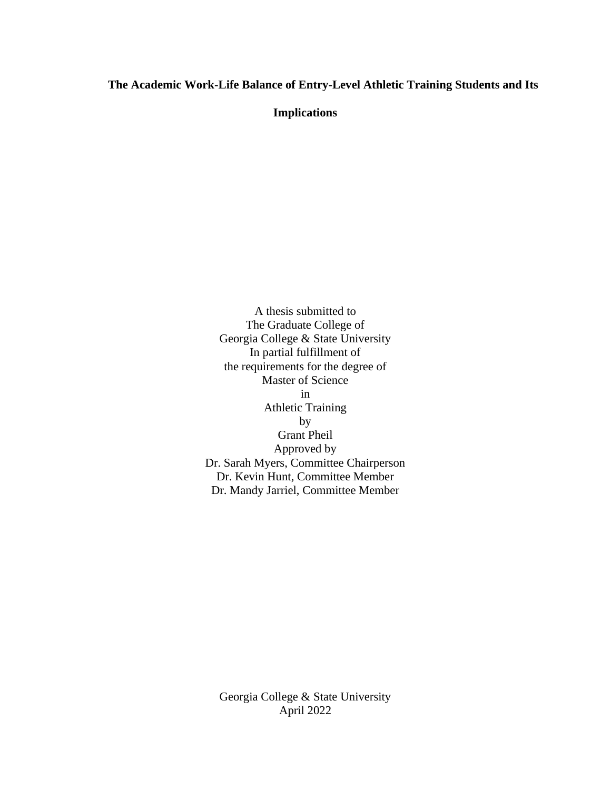# **The Academic Work-Life Balance of Entry-Level Athletic Training Students and Its**

**Implications**

A thesis submitted to The Graduate College of Georgia College & State University In partial fulfillment of the requirements for the degree of Master of Science in Athletic Training by Grant Pheil Approved by Dr. Sarah Myers, Committee Chairperson Dr. Kevin Hunt, Committee Member Dr. Mandy Jarriel, Committee Member

Georgia College & State University April 2022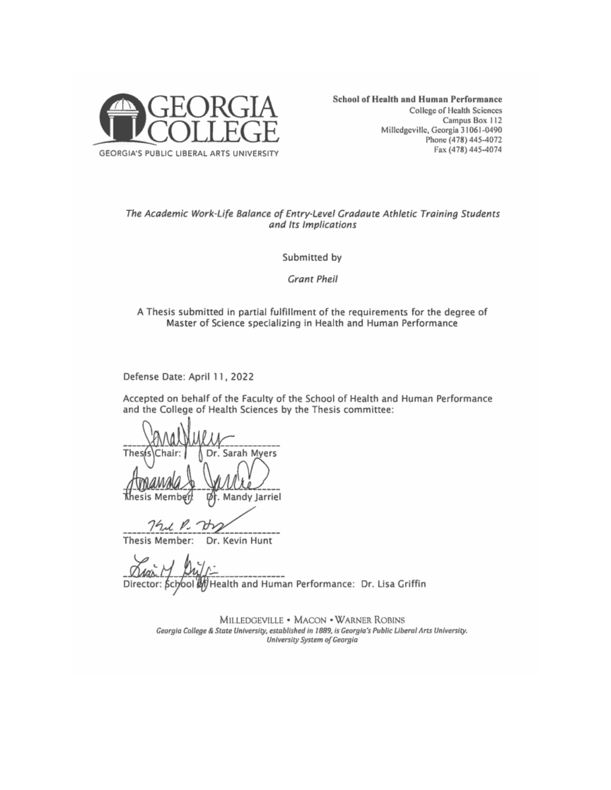

#### The Academic Work-Life Balance of Entry-Level Gradaute Athletic Training Students and Its Implications

Submitted by

**Grant Pheil** 

#### A Thesis submitted in partial fulfillment of the requirements for the degree of Master of Science specializing in Health and Human Performance

Defense Date: April 11, 2022

Accepted on behalf of the Faculty of the School of Health and Human Performance and the College of Health Sciences by the Thesis committee:

The Dr. Sarah Myers Mandy Jarriel

1. P.

Thesis Member: Dr. Kevin Hunt

Director: School of Health and Human Performance: Dr. Lisa Griffin

MILLEDGEVILLE • MACON • WARNER ROBINS Georgia College & State University, established in 1889, is Georgia's Public Liberal Arts University. University System of Georgia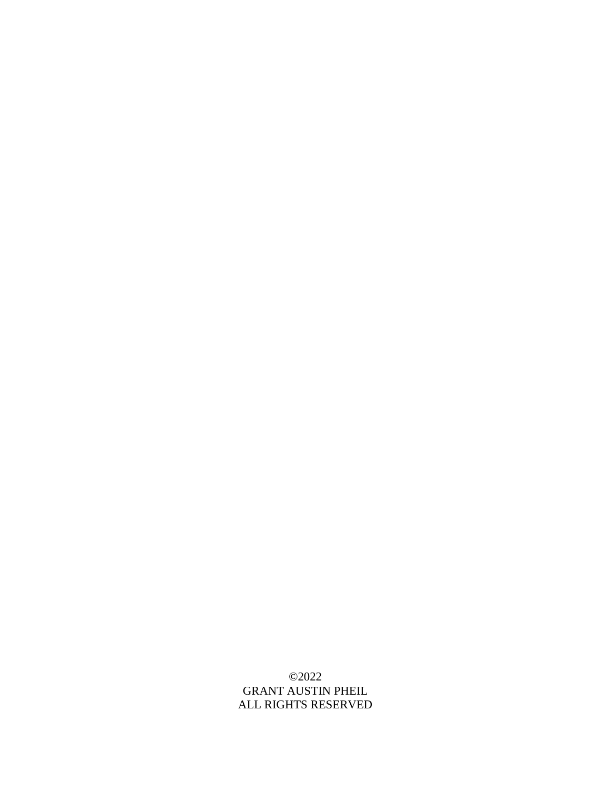# ©2022 GRANT AUSTIN PHEIL ALL RIGHTS RESERVED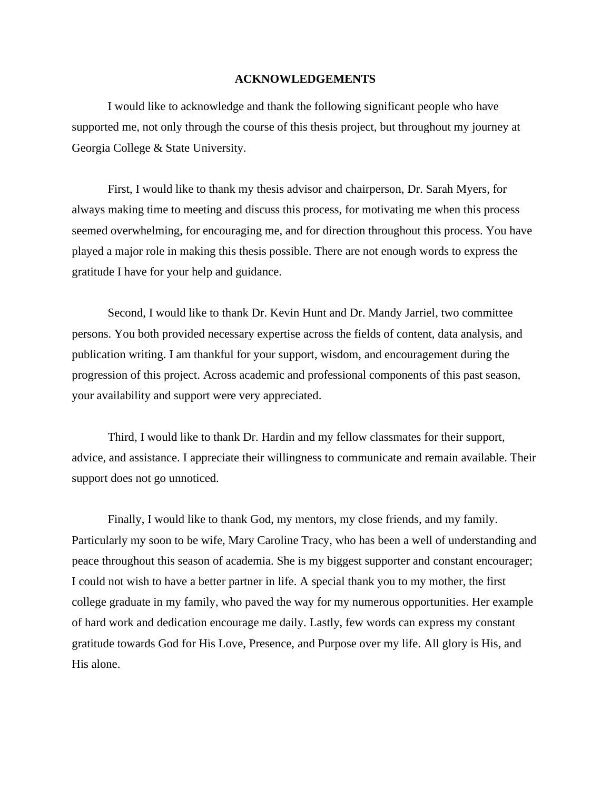# **ACKNOWLEDGEMENTS**

I would like to acknowledge and thank the following significant people who have supported me, not only through the course of this thesis project, but throughout my journey at Georgia College & State University.

First, I would like to thank my thesis advisor and chairperson, Dr. Sarah Myers, for always making time to meeting and discuss this process, for motivating me when this process seemed overwhelming, for encouraging me, and for direction throughout this process. You have played a major role in making this thesis possible. There are not enough words to express the gratitude I have for your help and guidance.

Second, I would like to thank Dr. Kevin Hunt and Dr. Mandy Jarriel, two committee persons. You both provided necessary expertise across the fields of content, data analysis, and publication writing. I am thankful for your support, wisdom, and encouragement during the progression of this project. Across academic and professional components of this past season, your availability and support were very appreciated.

Third, I would like to thank Dr. Hardin and my fellow classmates for their support, advice, and assistance. I appreciate their willingness to communicate and remain available. Their support does not go unnoticed.

Finally, I would like to thank God, my mentors, my close friends, and my family. Particularly my soon to be wife, Mary Caroline Tracy, who has been a well of understanding and peace throughout this season of academia. She is my biggest supporter and constant encourager; I could not wish to have a better partner in life. A special thank you to my mother, the first college graduate in my family, who paved the way for my numerous opportunities. Her example of hard work and dedication encourage me daily. Lastly, few words can express my constant gratitude towards God for His Love, Presence, and Purpose over my life. All glory is His, and His alone.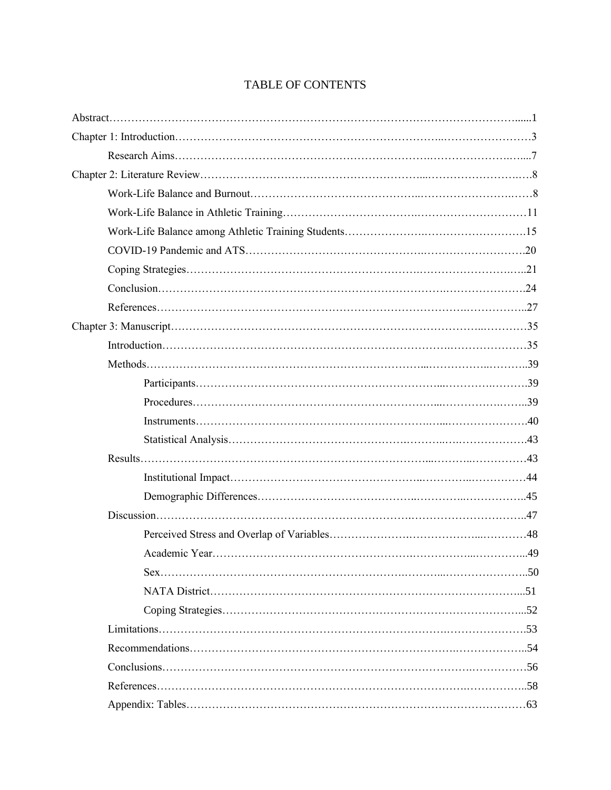# TABLE OF CONTENTS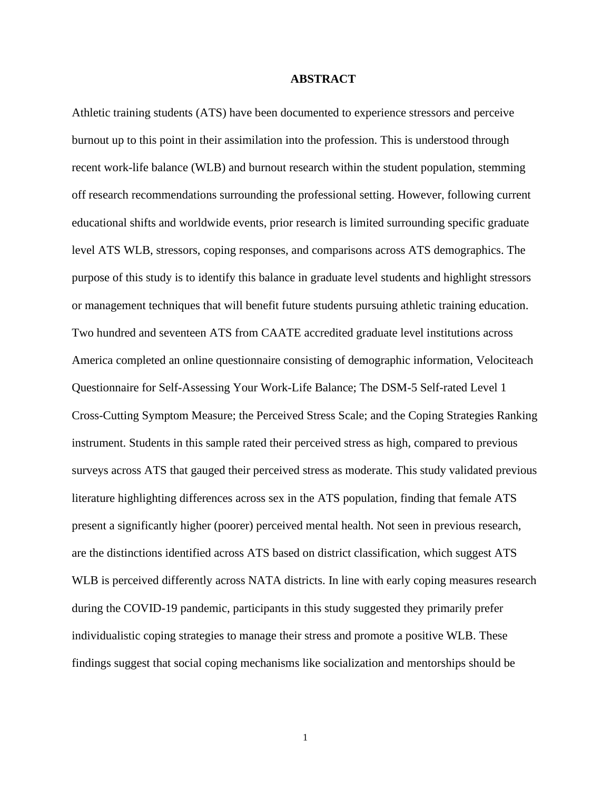# **ABSTRACT**

Athletic training students (ATS) have been documented to experience stressors and perceive burnout up to this point in their assimilation into the profession. This is understood through recent work-life balance (WLB) and burnout research within the student population, stemming off research recommendations surrounding the professional setting. However, following current educational shifts and worldwide events, prior research is limited surrounding specific graduate level ATS WLB, stressors, coping responses, and comparisons across ATS demographics. The purpose of this study is to identify this balance in graduate level students and highlight stressors or management techniques that will benefit future students pursuing athletic training education. Two hundred and seventeen ATS from CAATE accredited graduate level institutions across America completed an online questionnaire consisting of demographic information, Velociteach Questionnaire for Self-Assessing Your Work-Life Balance; The DSM-5 Self-rated Level 1 Cross-Cutting Symptom Measure; the Perceived Stress Scale; and the Coping Strategies Ranking instrument. Students in this sample rated their perceived stress as high, compared to previous surveys across ATS that gauged their perceived stress as moderate. This study validated previous literature highlighting differences across sex in the ATS population, finding that female ATS present a significantly higher (poorer) perceived mental health. Not seen in previous research, are the distinctions identified across ATS based on district classification, which suggest ATS WLB is perceived differently across NATA districts. In line with early coping measures research during the COVID-19 pandemic, participants in this study suggested they primarily prefer individualistic coping strategies to manage their stress and promote a positive WLB. These findings suggest that social coping mechanisms like socialization and mentorships should be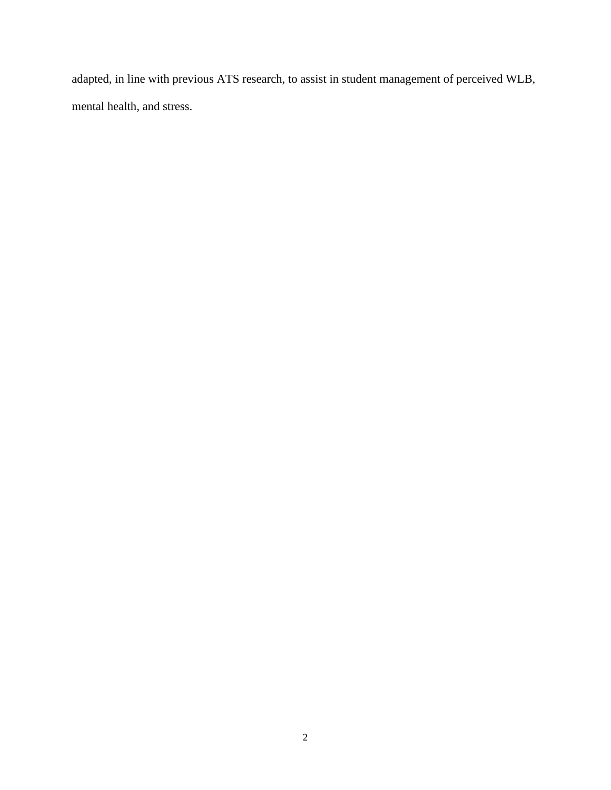adapted, in line with previous ATS research, to assist in student management of perceived WLB, mental health, and stress.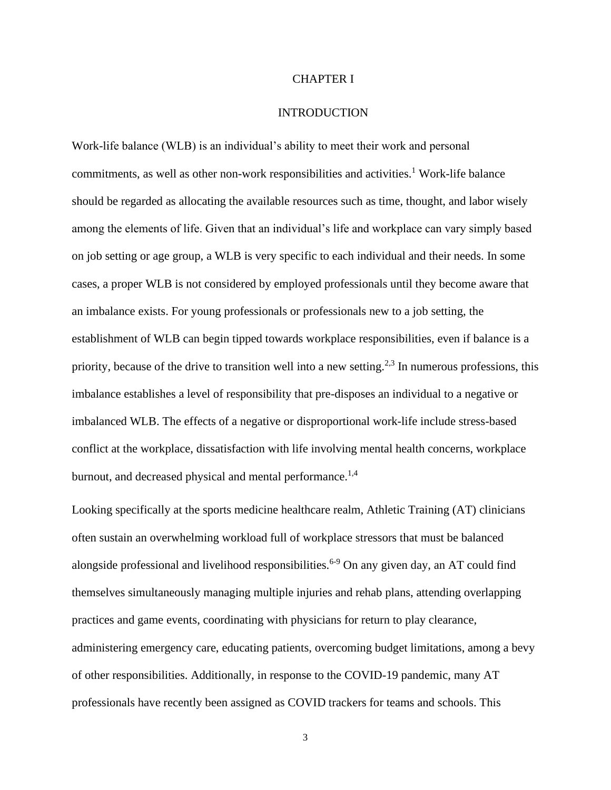# CHAPTER I

### INTRODUCTION

Work-life balance (WLB) is an individual's ability to meet their work and personal commitments, as well as other non-work responsibilities and activities.<sup>1</sup> Work-life balance should be regarded as allocating the available resources such as time, thought, and labor wisely among the elements of life. Given that an individual's life and workplace can vary simply based on job setting or age group, a WLB is very specific to each individual and their needs. In some cases, a proper WLB is not considered by employed professionals until they become aware that an imbalance exists. For young professionals or professionals new to a job setting, the establishment of WLB can begin tipped towards workplace responsibilities, even if balance is a priority, because of the drive to transition well into a new setting.<sup>2,3</sup> In numerous professions, this imbalance establishes a level of responsibility that pre-disposes an individual to a negative or imbalanced WLB. The effects of a negative or disproportional work-life include stress-based conflict at the workplace, dissatisfaction with life involving mental health concerns, workplace burnout, and decreased physical and mental performance.<sup>1,4</sup>

Looking specifically at the sports medicine healthcare realm, Athletic Training (AT) clinicians often sustain an overwhelming workload full of workplace stressors that must be balanced alongside professional and livelihood responsibilities.<sup>6-9</sup> On any given day, an AT could find themselves simultaneously managing multiple injuries and rehab plans, attending overlapping practices and game events, coordinating with physicians for return to play clearance, administering emergency care, educating patients, overcoming budget limitations, among a bevy of other responsibilities. Additionally, in response to the COVID-19 pandemic, many AT professionals have recently been assigned as COVID trackers for teams and schools. This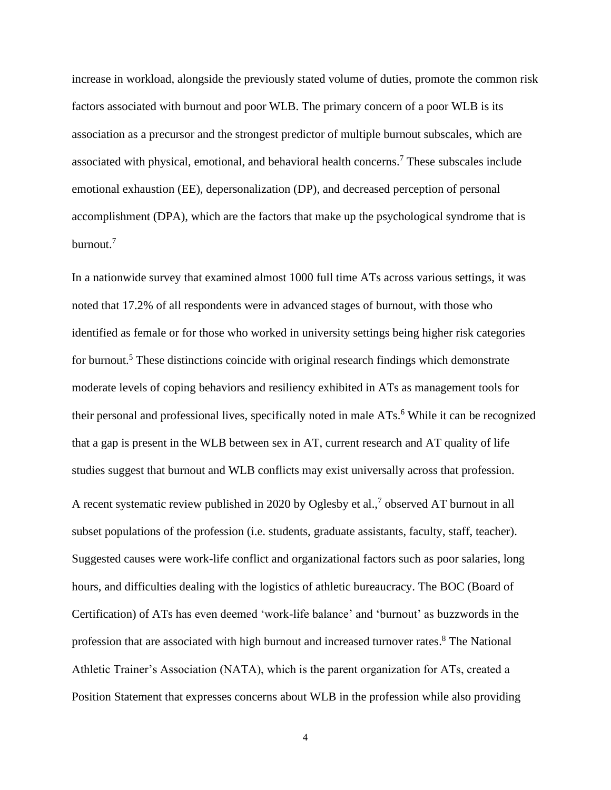increase in workload, alongside the previously stated volume of duties, promote the common risk factors associated with burnout and poor WLB. The primary concern of a poor WLB is its association as a precursor and the strongest predictor of multiple burnout subscales, which are associated with physical, emotional, and behavioral health concerns.<sup>7</sup> These subscales include emotional exhaustion (EE), depersonalization (DP), and decreased perception of personal accomplishment (DPA), which are the factors that make up the psychological syndrome that is burnout.<sup>7</sup>

In a nationwide survey that examined almost 1000 full time ATs across various settings, it was noted that 17.2% of all respondents were in advanced stages of burnout, with those who identified as female or for those who worked in university settings being higher risk categories for burnout.<sup>5</sup> These distinctions coincide with original research findings which demonstrate moderate levels of coping behaviors and resiliency exhibited in ATs as management tools for their personal and professional lives, specifically noted in male ATs.<sup>6</sup> While it can be recognized that a gap is present in the WLB between sex in AT, current research and AT quality of life studies suggest that burnout and WLB conflicts may exist universally across that profession. A recent systematic review published in 2020 by Oglesby et al.,<sup>7</sup> observed AT burnout in all subset populations of the profession (i.e. students, graduate assistants, faculty, staff, teacher). Suggested causes were work-life conflict and organizational factors such as poor salaries, long hours, and difficulties dealing with the logistics of athletic bureaucracy. The BOC (Board of Certification) of ATs has even deemed 'work-life balance' and 'burnout' as buzzwords in the profession that are associated with high burnout and increased turnover rates. <sup>8</sup> The National Athletic Trainer's Association (NATA), which is the parent organization for ATs, created a Position Statement that expresses concerns about WLB in the profession while also providing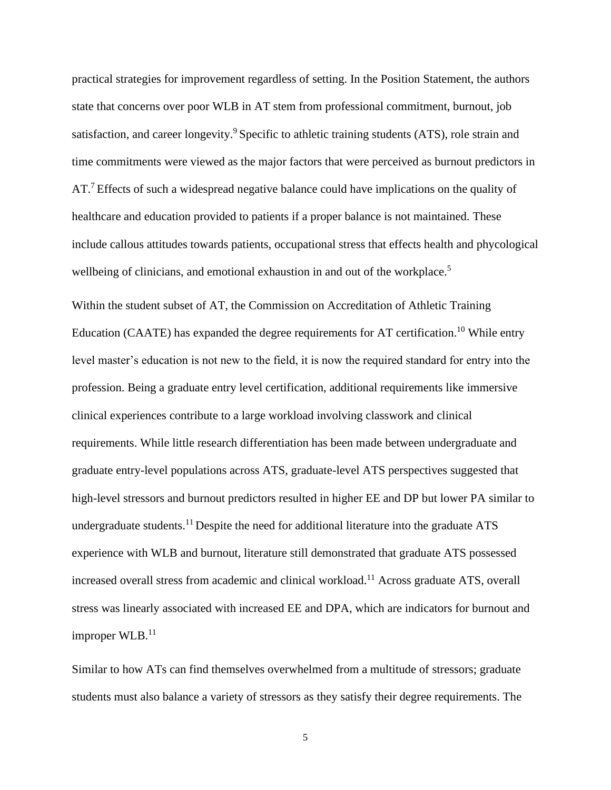practical strategies for improvement regardless of setting. In the Position Statement, the authors state that concerns over poor WLB in AT stem from professional commitment, burnout, job satisfaction, and career longevity.<sup>9</sup> Specific to athletic training students (ATS), role strain and time commitments were viewed as the major factors that were perceived as burnout predictors in AT.<sup>7</sup> Effects of such a widespread negative balance could have implications on the quality of healthcare and education provided to patients if a proper balance is not maintained. These include callous attitudes towards patients, occupational stress that effects health and phycological wellbeing of clinicians, and emotional exhaustion in and out of the workplace.<sup>5</sup>

Within the student subset of AT, the Commission on Accreditation of Athletic Training Education (CAATE) has expanded the degree requirements for AT certification.<sup>10</sup> While entry level master's education is not new to the field, it is now the required standard for entry into the profession. Being a graduate entry level certification, additional requirements like immersive clinical experiences contribute to a large workload involving classwork and clinical requirements. While little research differentiation has been made between undergraduate and graduate entry-level populations across ATS, graduate-level ATS perspectives suggested that high-level stressors and burnout predictors resulted in higher EE and DP but lower PA similar to undergraduate students.<sup>11</sup> Despite the need for additional literature into the graduate  $ATS$ experience with WLB and burnout, literature still demonstrated that graduate ATS possessed increased overall stress from academic and clinical workload.<sup>11</sup> Across graduate ATS, overall stress was linearly associated with increased EE and DPA, which are indicators for burnout and improper WLB.<sup>11</sup>

Similar to how ATs can find themselves overwhelmed from a multitude of stressors; graduate students must also balance a variety of stressors as they satisfy their degree requirements. The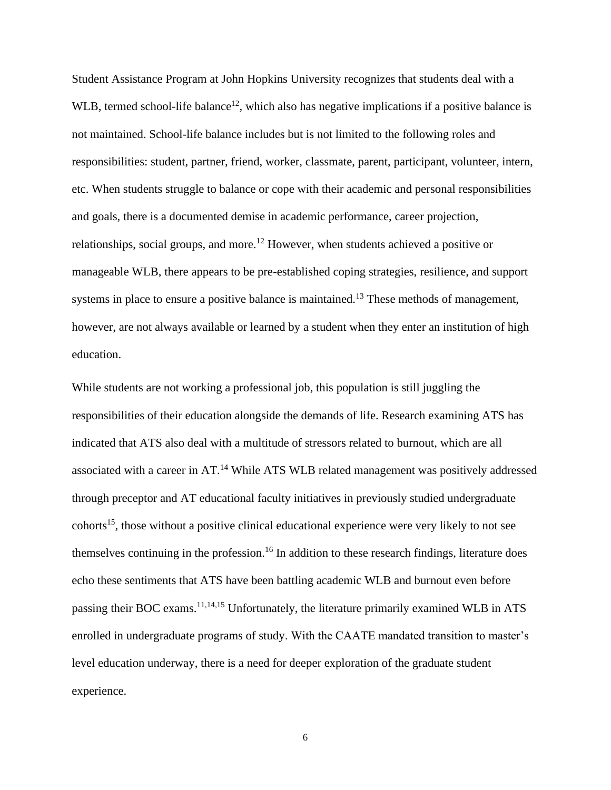Student Assistance Program at John Hopkins University recognizes that students deal with a WLB, termed school-life balance<sup>12</sup>, which also has negative implications if a positive balance is not maintained. School-life balance includes but is not limited to the following roles and responsibilities: student, partner, friend, worker, classmate, parent, participant, volunteer, intern, etc. When students struggle to balance or cope with their academic and personal responsibilities and goals, there is a documented demise in academic performance, career projection, relationships, social groups, and more.<sup>12</sup> However, when students achieved a positive or manageable WLB, there appears to be pre-established coping strategies, resilience, and support systems in place to ensure a positive balance is maintained.<sup>13</sup> These methods of management, however, are not always available or learned by a student when they enter an institution of high education.

While students are not working a professional job, this population is still juggling the responsibilities of their education alongside the demands of life. Research examining ATS has indicated that ATS also deal with a multitude of stressors related to burnout, which are all associated with a career in AT.<sup>14</sup> While ATS WLB related management was positively addressed through preceptor and AT educational faculty initiatives in previously studied undergraduate cohorts<sup>15</sup>, those without a positive clinical educational experience were very likely to not see themselves continuing in the profession.<sup>16</sup> In addition to these research findings, literature does echo these sentiments that ATS have been battling academic WLB and burnout even before passing their BOC exams.<sup>11,14,15</sup> Unfortunately, the literature primarily examined WLB in ATS enrolled in undergraduate programs of study. With the CAATE mandated transition to master's level education underway, there is a need for deeper exploration of the graduate student experience.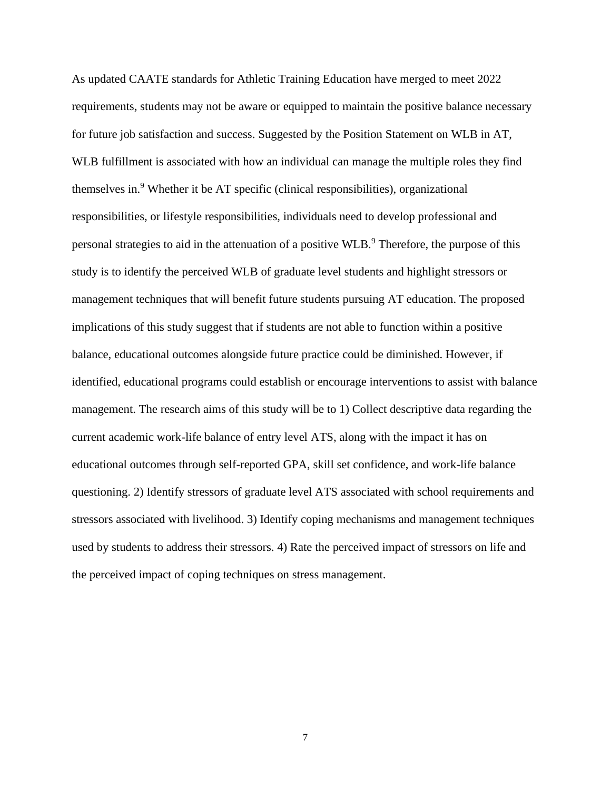As updated CAATE standards for Athletic Training Education have merged to meet 2022 requirements, students may not be aware or equipped to maintain the positive balance necessary for future job satisfaction and success. Suggested by the Position Statement on WLB in AT, WLB fulfillment is associated with how an individual can manage the multiple roles they find themselves in.<sup>9</sup> Whether it be AT specific (clinical responsibilities), organizational responsibilities, or lifestyle responsibilities, individuals need to develop professional and personal strategies to aid in the attenuation of a positive WLB.<sup>9</sup> Therefore, the purpose of this study is to identify the perceived WLB of graduate level students and highlight stressors or management techniques that will benefit future students pursuing AT education. The proposed implications of this study suggest that if students are not able to function within a positive balance, educational outcomes alongside future practice could be diminished. However, if identified, educational programs could establish or encourage interventions to assist with balance management. The research aims of this study will be to 1) Collect descriptive data regarding the current academic work-life balance of entry level ATS, along with the impact it has on educational outcomes through self-reported GPA, skill set confidence, and work-life balance questioning. 2) Identify stressors of graduate level ATS associated with school requirements and stressors associated with livelihood. 3) Identify coping mechanisms and management techniques used by students to address their stressors. 4) Rate the perceived impact of stressors on life and the perceived impact of coping techniques on stress management.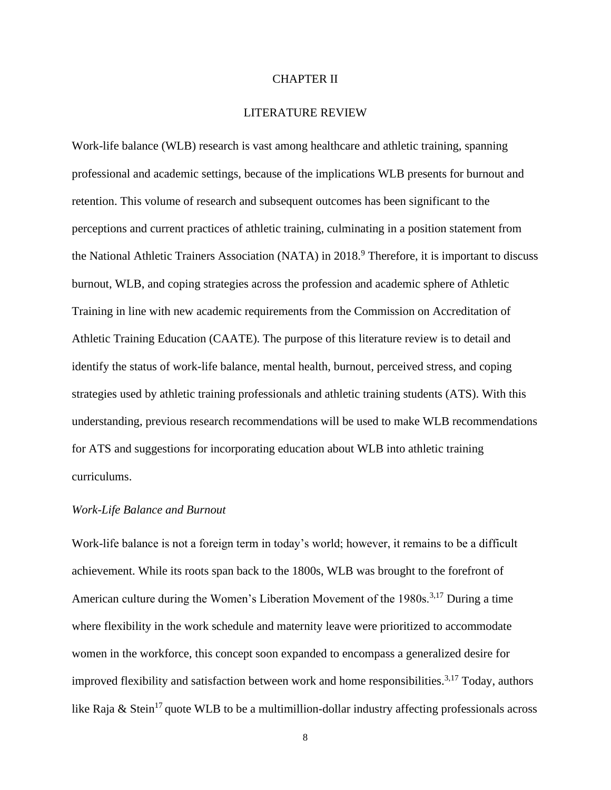#### CHAPTER II

# LITERATURE REVIEW

Work-life balance (WLB) research is vast among healthcare and athletic training, spanning professional and academic settings, because of the implications WLB presents for burnout and retention. This volume of research and subsequent outcomes has been significant to the perceptions and current practices of athletic training, culminating in a position statement from the National Athletic Trainers Association (NATA) in 2018.<sup>9</sup> Therefore, it is important to discuss burnout, WLB, and coping strategies across the profession and academic sphere of Athletic Training in line with new academic requirements from the Commission on Accreditation of Athletic Training Education (CAATE). The purpose of this literature review is to detail and identify the status of work-life balance, mental health, burnout, perceived stress, and coping strategies used by athletic training professionals and athletic training students (ATS). With this understanding, previous research recommendations will be used to make WLB recommendations for ATS and suggestions for incorporating education about WLB into athletic training curriculums.

#### *Work-Life Balance and Burnout*

Work-life balance is not a foreign term in today's world; however, it remains to be a difficult achievement. While its roots span back to the 1800s, WLB was brought to the forefront of American culture during the Women's Liberation Movement of the 1980s.<sup>3,17</sup> During a time where flexibility in the work schedule and maternity leave were prioritized to accommodate women in the workforce, this concept soon expanded to encompass a generalized desire for improved flexibility and satisfaction between work and home responsibilities.<sup>3,17</sup> Today, authors like Raja & Stein<sup>17</sup> quote WLB to be a multimillion-dollar industry affecting professionals across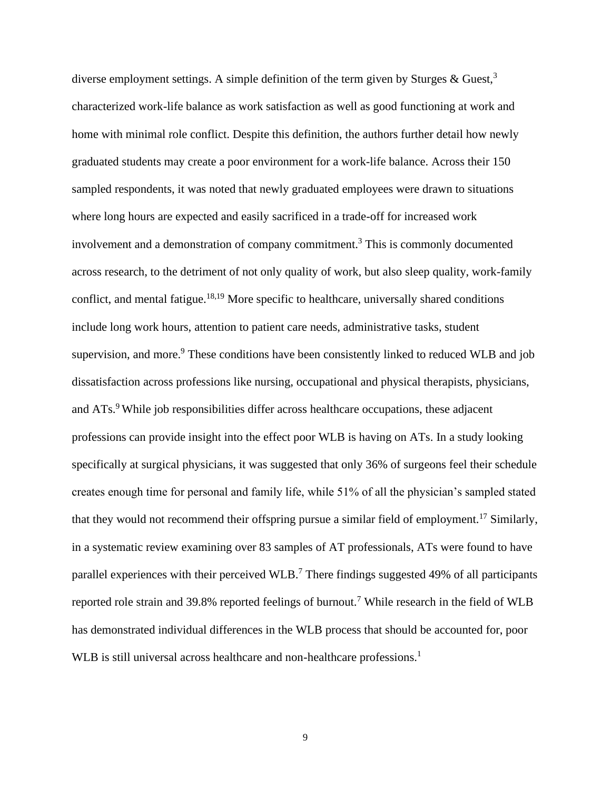diverse employment settings. A simple definition of the term given by Sturges  $\&$  Guest,<sup>3</sup> characterized work-life balance as work satisfaction as well as good functioning at work and home with minimal role conflict. Despite this definition, the authors further detail how newly graduated students may create a poor environment for a work-life balance. Across their 150 sampled respondents, it was noted that newly graduated employees were drawn to situations where long hours are expected and easily sacrificed in a trade-off for increased work involvement and a demonstration of company commitment.<sup>3</sup> This is commonly documented across research, to the detriment of not only quality of work, but also sleep quality, work-family conflict, and mental fatigue.<sup>18,19</sup> More specific to healthcare, universally shared conditions include long work hours, attention to patient care needs, administrative tasks, student supervision, and more.<sup>9</sup> These conditions have been consistently linked to reduced WLB and job dissatisfaction across professions like nursing, occupational and physical therapists, physicians, and ATs.<sup>9</sup> While job responsibilities differ across healthcare occupations, these adjacent professions can provide insight into the effect poor WLB is having on ATs. In a study looking specifically at surgical physicians, it was suggested that only 36% of surgeons feel their schedule creates enough time for personal and family life, while 51% of all the physician's sampled stated that they would not recommend their offspring pursue a similar field of employment.<sup>17</sup> Similarly, in a systematic review examining over 83 samples of AT professionals, ATs were found to have parallel experiences with their perceived WLB.<sup>7</sup> There findings suggested 49% of all participants reported role strain and 39.8% reported feelings of burnout.<sup>7</sup> While research in the field of WLB has demonstrated individual differences in the WLB process that should be accounted for, poor WLB is still universal across healthcare and non-healthcare professions.<sup>1</sup>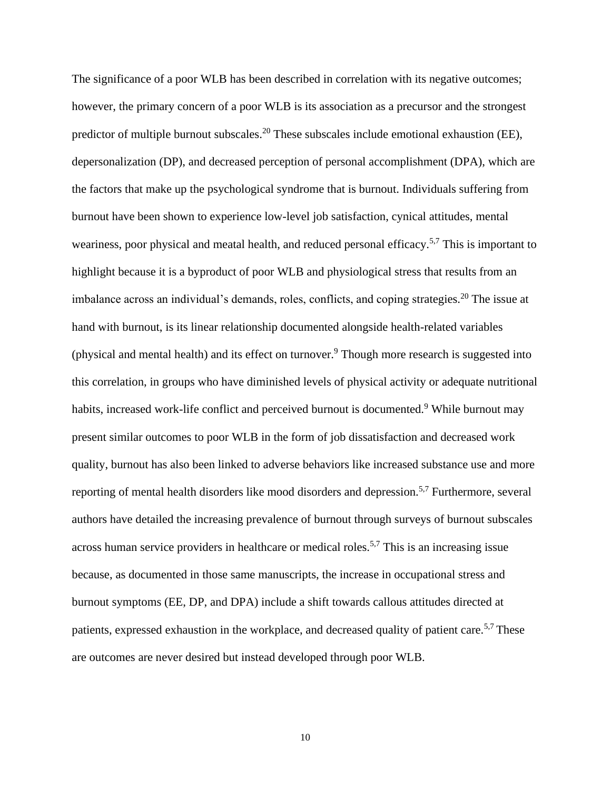The significance of a poor WLB has been described in correlation with its negative outcomes; however, the primary concern of a poor WLB is its association as a precursor and the strongest predictor of multiple burnout subscales.<sup>20</sup> These subscales include emotional exhaustion (EE), depersonalization (DP), and decreased perception of personal accomplishment (DPA), which are the factors that make up the psychological syndrome that is burnout. Individuals suffering from burnout have been shown to experience low-level job satisfaction, cynical attitudes, mental weariness, poor physical and meatal health, and reduced personal efficacy.<sup>5,7</sup> This is important to highlight because it is a byproduct of poor WLB and physiological stress that results from an imbalance across an individual's demands, roles, conflicts, and coping strategies.<sup>20</sup> The issue at hand with burnout, is its linear relationship documented alongside health-related variables (physical and mental health) and its effect on turnover.<sup>9</sup> Though more research is suggested into this correlation, in groups who have diminished levels of physical activity or adequate nutritional habits, increased work-life conflict and perceived burnout is documented.<sup>9</sup> While burnout may present similar outcomes to poor WLB in the form of job dissatisfaction and decreased work quality, burnout has also been linked to adverse behaviors like increased substance use and more reporting of mental health disorders like mood disorders and depression.5,7 Furthermore, several authors have detailed the increasing prevalence of burnout through surveys of burnout subscales across human service providers in healthcare or medical roles.<sup>5,7</sup> This is an increasing issue because, as documented in those same manuscripts, the increase in occupational stress and burnout symptoms (EE, DP, and DPA) include a shift towards callous attitudes directed at patients, expressed exhaustion in the workplace, and decreased quality of patient care.<sup>5,7</sup> These are outcomes are never desired but instead developed through poor WLB.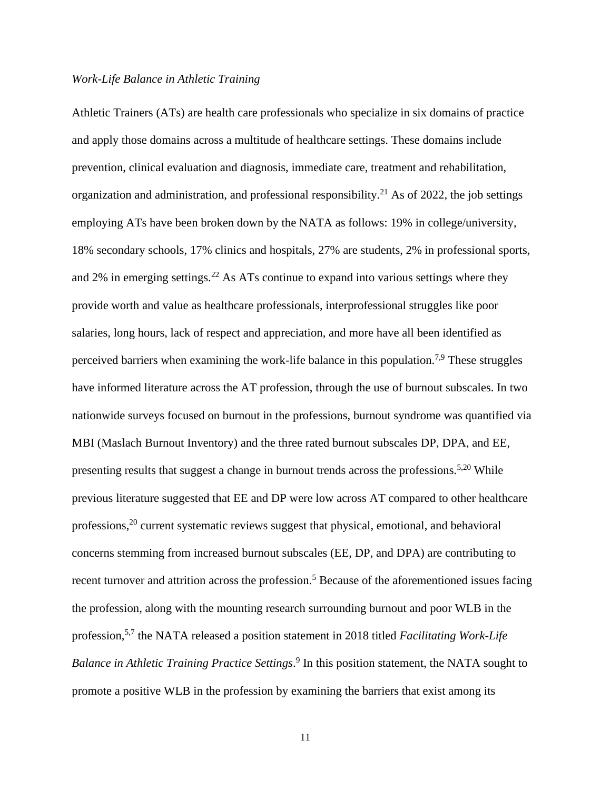# *Work-Life Balance in Athletic Training*

Athletic Trainers (ATs) are health care professionals who specialize in six domains of practice and apply those domains across a multitude of healthcare settings. These domains include prevention, clinical evaluation and diagnosis, immediate care, treatment and rehabilitation, organization and administration, and professional responsibility.<sup>21</sup> As of 2022, the job settings employing ATs have been broken down by the NATA as follows: 19% in college/university, 18% secondary schools, 17% clinics and hospitals, 27% are students, 2% in professional sports, and 2% in emerging settings.<sup>22</sup> As ATs continue to expand into various settings where they provide worth and value as healthcare professionals, interprofessional struggles like poor salaries, long hours, lack of respect and appreciation, and more have all been identified as perceived barriers when examining the work-life balance in this population.<sup>7,9</sup> These struggles have informed literature across the AT profession, through the use of burnout subscales. In two nationwide surveys focused on burnout in the professions, burnout syndrome was quantified via MBI (Maslach Burnout Inventory) and the three rated burnout subscales DP, DPA, and EE, presenting results that suggest a change in burnout trends across the professions.<sup>5,20</sup> While previous literature suggested that EE and DP were low across AT compared to other healthcare professions,<sup>20</sup> current systematic reviews suggest that physical, emotional, and behavioral concerns stemming from increased burnout subscales (EE, DP, and DPA) are contributing to recent turnover and attrition across the profession.<sup>5</sup> Because of the aforementioned issues facing the profession, along with the mounting research surrounding burnout and poor WLB in the profession,5,7 the NATA released a position statement in 2018 titled *Facilitating Work-Life Balance in Athletic Training Practice Settings*. 9 In this position statement, the NATA sought to promote a positive WLB in the profession by examining the barriers that exist among its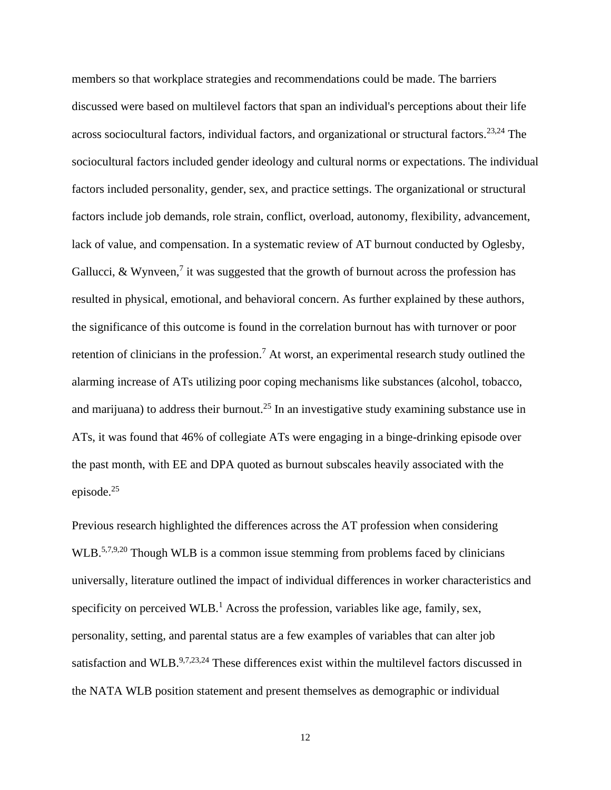members so that workplace strategies and recommendations could be made. The barriers discussed were based on multilevel factors that span an individual's perceptions about their life across sociocultural factors, individual factors, and organizational or structural factors.<sup>23,24</sup> The sociocultural factors included gender ideology and cultural norms or expectations. The individual factors included personality, gender, sex, and practice settings. The organizational or structural factors include job demands, role strain, conflict, overload, autonomy, flexibility, advancement, lack of value, and compensation. In a systematic review of AT burnout conducted by Oglesby, Gallucci, & Wynveen,<sup>7</sup> it was suggested that the growth of burnout across the profession has resulted in physical, emotional, and behavioral concern. As further explained by these authors, the significance of this outcome is found in the correlation burnout has with turnover or poor retention of clinicians in the profession.<sup>7</sup> At worst, an experimental research study outlined the alarming increase of ATs utilizing poor coping mechanisms like substances (alcohol, tobacco, and marijuana) to address their burnout.<sup>25</sup> In an investigative study examining substance use in ATs, it was found that 46% of collegiate ATs were engaging in a binge-drinking episode over the past month, with EE and DPA quoted as burnout subscales heavily associated with the episode.<sup>25</sup>

Previous research highlighted the differences across the AT profession when considering WLB.<sup>5,7,9,20</sup> Though WLB is a common issue stemming from problems faced by clinicians universally, literature outlined the impact of individual differences in worker characteristics and specificity on perceived WLB.<sup>1</sup> Across the profession, variables like age, family, sex, personality, setting, and parental status are a few examples of variables that can alter job satisfaction and WLB.<sup>9,7,23,24</sup> These differences exist within the multilevel factors discussed in the NATA WLB position statement and present themselves as demographic or individual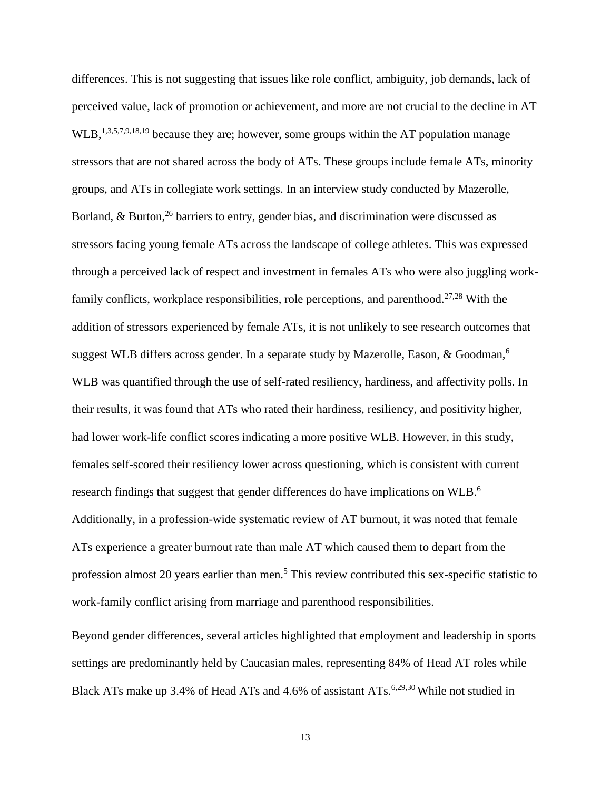differences. This is not suggesting that issues like role conflict, ambiguity, job demands, lack of perceived value, lack of promotion or achievement, and more are not crucial to the decline in AT WLB,  $^{1,3,5,7,9,18,19}$  because they are; however, some groups within the AT population manage stressors that are not shared across the body of ATs. These groups include female ATs, minority groups, and ATs in collegiate work settings. In an interview study conducted by Mazerolle, Borland,  $\&$  Burton,  $^{26}$  barriers to entry, gender bias, and discrimination were discussed as stressors facing young female ATs across the landscape of college athletes. This was expressed through a perceived lack of respect and investment in females ATs who were also juggling workfamily conflicts, workplace responsibilities, role perceptions, and parenthood.<sup>27,28</sup> With the addition of stressors experienced by female ATs, it is not unlikely to see research outcomes that suggest WLB differs across gender. In a separate study by Mazerolle, Eason, & Goodman,<sup>6</sup> WLB was quantified through the use of self-rated resiliency, hardiness, and affectivity polls. In their results, it was found that ATs who rated their hardiness, resiliency, and positivity higher, had lower work-life conflict scores indicating a more positive WLB. However, in this study, females self-scored their resiliency lower across questioning, which is consistent with current research findings that suggest that gender differences do have implications on WLB.<sup>6</sup> Additionally, in a profession-wide systematic review of AT burnout, it was noted that female ATs experience a greater burnout rate than male AT which caused them to depart from the profession almost 20 years earlier than men.<sup>5</sup> This review contributed this sex-specific statistic to work-family conflict arising from marriage and parenthood responsibilities.

Beyond gender differences, several articles highlighted that employment and leadership in sports settings are predominantly held by Caucasian males, representing 84% of Head AT roles while Black ATs make up 3.4% of Head ATs and 4.6% of assistant ATs.<sup>6,29,30</sup> While not studied in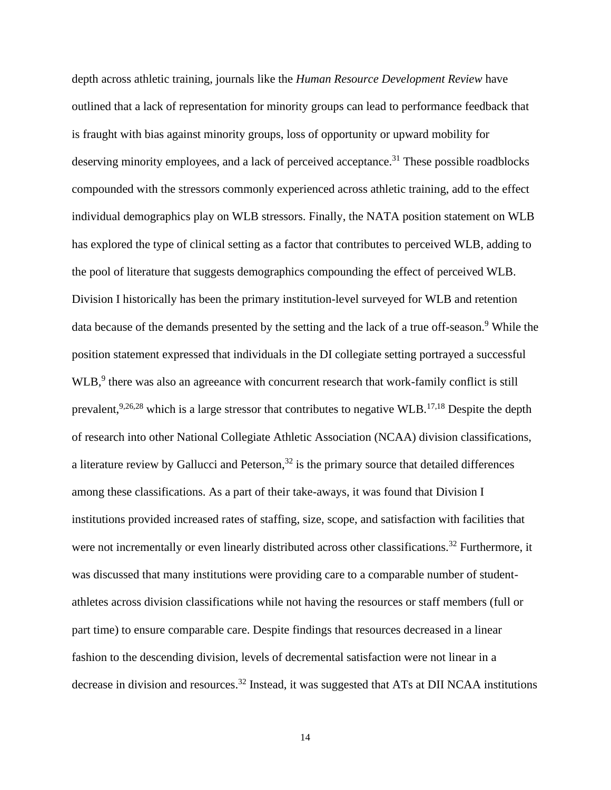depth across athletic training, journals like the *Human Resource Development Review* have outlined that a lack of representation for minority groups can lead to performance feedback that is fraught with bias against minority groups, loss of opportunity or upward mobility for deserving minority employees, and a lack of perceived acceptance.<sup>31</sup> These possible roadblocks compounded with the stressors commonly experienced across athletic training, add to the effect individual demographics play on WLB stressors. Finally, the NATA position statement on WLB has explored the type of clinical setting as a factor that contributes to perceived WLB, adding to the pool of literature that suggests demographics compounding the effect of perceived WLB. Division I historically has been the primary institution-level surveyed for WLB and retention data because of the demands presented by the setting and the lack of a true off-season.<sup>9</sup> While the position statement expressed that individuals in the DI collegiate setting portrayed a successful WLB,<sup>9</sup> there was also an agreeance with concurrent research that work-family conflict is still prevalent,<sup>9,26,28</sup> which is a large stressor that contributes to negative WLB.<sup>17,18</sup> Despite the depth of research into other National Collegiate Athletic Association (NCAA) division classifications, a literature review by Gallucci and Peterson, $32$  is the primary source that detailed differences among these classifications. As a part of their take-aways, it was found that Division I institutions provided increased rates of staffing, size, scope, and satisfaction with facilities that were not incrementally or even linearly distributed across other classifications.<sup>32</sup> Furthermore, it was discussed that many institutions were providing care to a comparable number of studentathletes across division classifications while not having the resources or staff members (full or part time) to ensure comparable care. Despite findings that resources decreased in a linear fashion to the descending division, levels of decremental satisfaction were not linear in a decrease in division and resources.<sup>32</sup> Instead, it was suggested that ATs at DII NCAA institutions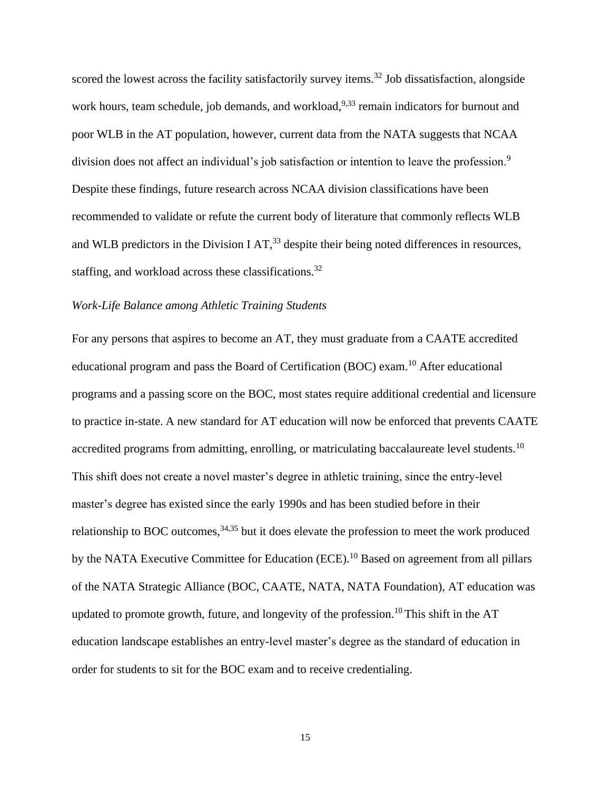scored the lowest across the facility satisfactorily survey items.<sup>32</sup> Job dissatisfaction, alongside work hours, team schedule, job demands, and workload,  $9.33$  remain indicators for burnout and poor WLB in the AT population, however, current data from the NATA suggests that NCAA division does not affect an individual's job satisfaction or intention to leave the profession.<sup>9</sup> Despite these findings, future research across NCAA division classifications have been recommended to validate or refute the current body of literature that commonly reflects WLB and WLB predictors in the Division I AT,  $33$  despite their being noted differences in resources, staffing, and workload across these classifications.<sup>32</sup>

# *Work-Life Balance among Athletic Training Students*

For any persons that aspires to become an AT, they must graduate from a CAATE accredited educational program and pass the Board of Certification (BOC) exam.<sup>10</sup> After educational programs and a passing score on the BOC, most states require additional credential and licensure to practice in-state. A new standard for AT education will now be enforced that prevents CAATE accredited programs from admitting, enrolling, or matriculating baccalaureate level students.<sup>10</sup> This shift does not create a novel master's degree in athletic training, since the entry-level master's degree has existed since the early 1990s and has been studied before in their relationship to BOC outcomes,  $34,35$  but it does elevate the profession to meet the work produced by the NATA Executive Committee for Education (ECE).<sup>10</sup> Based on agreement from all pillars of the NATA Strategic Alliance (BOC, CAATE, NATA, NATA Foundation), AT education was updated to promote growth, future, and longevity of the profession.<sup>10</sup> This shift in the AT education landscape establishes an entry-level master's degree as the standard of education in order for students to sit for the BOC exam and to receive credentialing.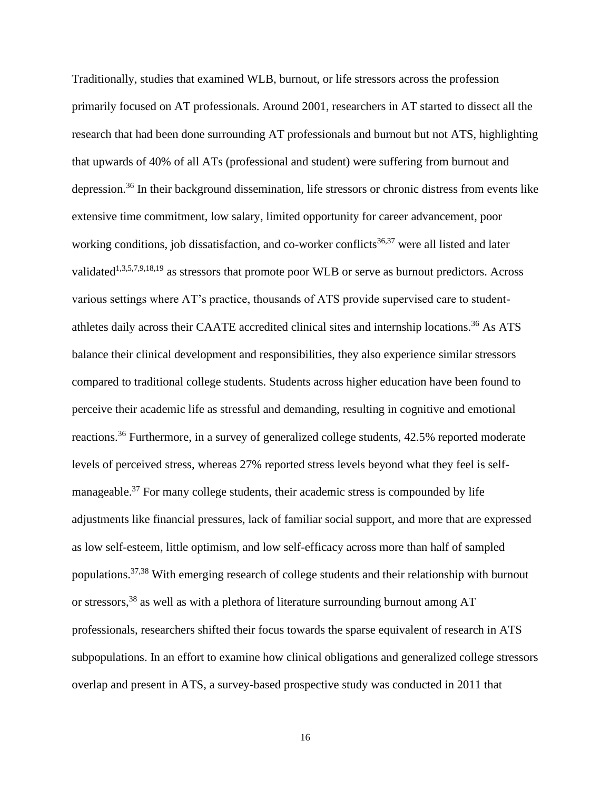Traditionally, studies that examined WLB, burnout, or life stressors across the profession primarily focused on AT professionals. Around 2001, researchers in AT started to dissect all the research that had been done surrounding AT professionals and burnout but not ATS, highlighting that upwards of 40% of all ATs (professional and student) were suffering from burnout and depression.<sup>36</sup> In their background dissemination, life stressors or chronic distress from events like extensive time commitment, low salary, limited opportunity for career advancement, poor working conditions, job dissatisfaction, and co-worker conflicts<sup>36,37</sup> were all listed and later validated<sup>1,3,5,7,9,18,19</sup> as stressors that promote poor WLB or serve as burnout predictors. Across various settings where AT's practice, thousands of ATS provide supervised care to studentathletes daily across their CAATE accredited clinical sites and internship locations.<sup>36</sup> As ATS balance their clinical development and responsibilities, they also experience similar stressors compared to traditional college students. Students across higher education have been found to perceive their academic life as stressful and demanding, resulting in cognitive and emotional reactions.<sup>36</sup> Furthermore, in a survey of generalized college students, 42.5% reported moderate levels of perceived stress, whereas 27% reported stress levels beyond what they feel is selfmanageable.<sup>37</sup> For many college students, their academic stress is compounded by life adjustments like financial pressures, lack of familiar social support, and more that are expressed as low self-esteem, little optimism, and low self-efficacy across more than half of sampled populations.37,38 With emerging research of college students and their relationship with burnout or stressors,<sup>38</sup> as well as with a plethora of literature surrounding burnout among AT professionals, researchers shifted their focus towards the sparse equivalent of research in ATS subpopulations. In an effort to examine how clinical obligations and generalized college stressors overlap and present in ATS, a survey-based prospective study was conducted in 2011 that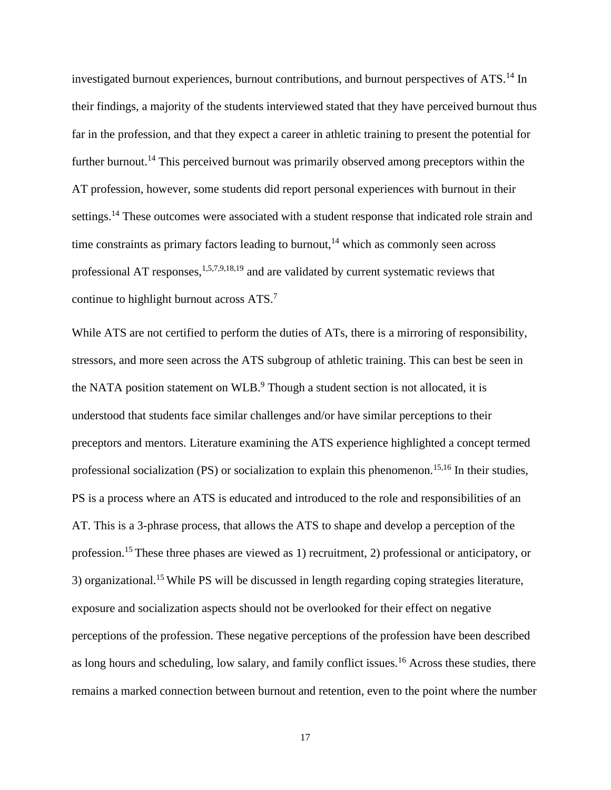investigated burnout experiences, burnout contributions, and burnout perspectives of ATS.<sup>14</sup> In their findings, a majority of the students interviewed stated that they have perceived burnout thus far in the profession, and that they expect a career in athletic training to present the potential for further burnout.<sup>14</sup> This perceived burnout was primarily observed among preceptors within the AT profession, however, some students did report personal experiences with burnout in their settings.<sup>14</sup> These outcomes were associated with a student response that indicated role strain and time constraints as primary factors leading to burnout, $14$  which as commonly seen across professional AT responses, $1,5,7,9,18,19$  and are validated by current systematic reviews that continue to highlight burnout across ATS.<sup>7</sup>

While ATS are not certified to perform the duties of ATs, there is a mirroring of responsibility, stressors, and more seen across the ATS subgroup of athletic training. This can best be seen in the NATA position statement on WLB.<sup>9</sup> Though a student section is not allocated, it is understood that students face similar challenges and/or have similar perceptions to their preceptors and mentors. Literature examining the ATS experience highlighted a concept termed professional socialization (PS) or socialization to explain this phenomenon.<sup>15,16</sup> In their studies, PS is a process where an ATS is educated and introduced to the role and responsibilities of an AT. This is a 3-phrase process, that allows the ATS to shape and develop a perception of the profession.<sup>15</sup>These three phases are viewed as 1) recruitment, 2) professional or anticipatory, or 3) organizational.<sup>15</sup>While PS will be discussed in length regarding coping strategies literature, exposure and socialization aspects should not be overlooked for their effect on negative perceptions of the profession. These negative perceptions of the profession have been described as long hours and scheduling, low salary, and family conflict issues.<sup>16</sup> Across these studies, there remains a marked connection between burnout and retention, even to the point where the number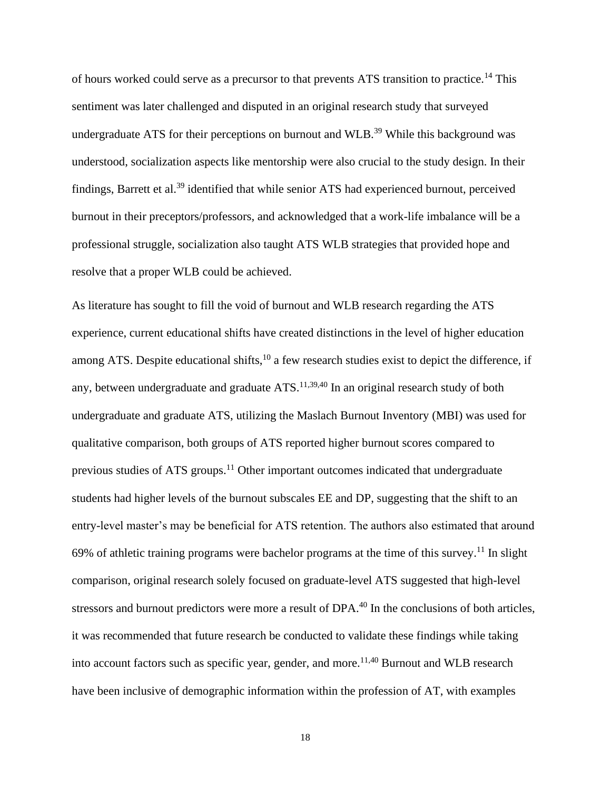of hours worked could serve as a precursor to that prevents ATS transition to practice.<sup>14</sup> This sentiment was later challenged and disputed in an original research study that surveyed undergraduate ATS for their perceptions on burnout and WLB.<sup>39</sup> While this background was understood, socialization aspects like mentorship were also crucial to the study design. In their findings, Barrett et al.<sup>39</sup> identified that while senior ATS had experienced burnout, perceived burnout in their preceptors/professors, and acknowledged that a work-life imbalance will be a professional struggle, socialization also taught ATS WLB strategies that provided hope and resolve that a proper WLB could be achieved.

As literature has sought to fill the void of burnout and WLB research regarding the ATS experience, current educational shifts have created distinctions in the level of higher education among ATS. Despite educational shifts,  $10$  a few research studies exist to depict the difference, if any, between undergraduate and graduate  $ATS$ .<sup>11,39,40</sup> In an original research study of both undergraduate and graduate ATS, utilizing the Maslach Burnout Inventory (MBI) was used for qualitative comparison, both groups of ATS reported higher burnout scores compared to previous studies of ATS groups.<sup>11</sup> Other important outcomes indicated that undergraduate students had higher levels of the burnout subscales EE and DP, suggesting that the shift to an entry-level master's may be beneficial for ATS retention. The authors also estimated that around 69% of athletic training programs were bachelor programs at the time of this survey.<sup>11</sup> In slight comparison, original research solely focused on graduate-level ATS suggested that high-level stressors and burnout predictors were more a result of DPA.<sup>40</sup> In the conclusions of both articles, it was recommended that future research be conducted to validate these findings while taking into account factors such as specific year, gender, and more.<sup>11,40</sup> Burnout and WLB research have been inclusive of demographic information within the profession of AT, with examples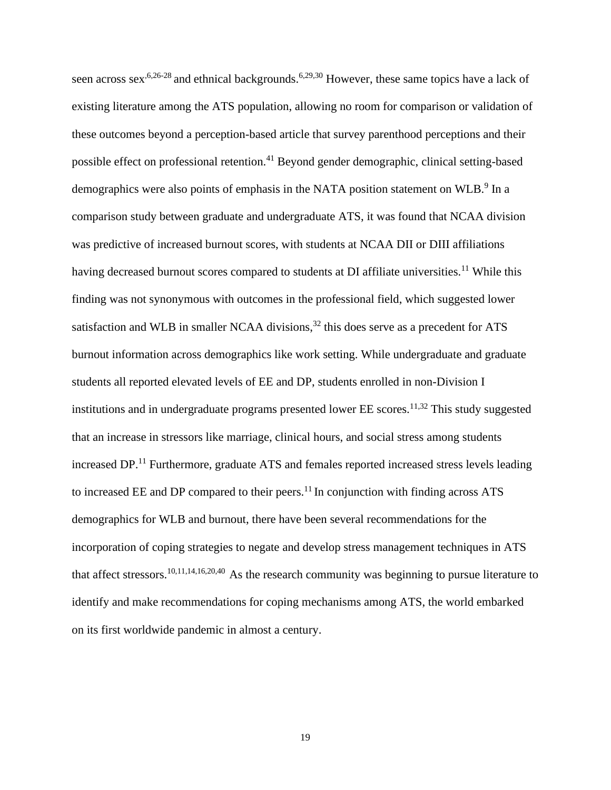seen across sex<sup>,6,26-28</sup> and ethnical backgrounds.<sup>6,29,30</sup> However, these same topics have a lack of existing literature among the ATS population, allowing no room for comparison or validation of these outcomes beyond a perception-based article that survey parenthood perceptions and their possible effect on professional retention.<sup>41</sup> Beyond gender demographic, clinical setting-based demographics were also points of emphasis in the NATA position statement on WLB.<sup>9</sup> In a comparison study between graduate and undergraduate ATS, it was found that NCAA division was predictive of increased burnout scores, with students at NCAA DII or DIII affiliations having decreased burnout scores compared to students at DI affiliate universities.<sup>11</sup> While this finding was not synonymous with outcomes in the professional field, which suggested lower satisfaction and WLB in smaller NCAA divisions, $32$  this does serve as a precedent for ATS burnout information across demographics like work setting. While undergraduate and graduate students all reported elevated levels of EE and DP, students enrolled in non-Division I institutions and in undergraduate programs presented lower  $EE$  scores.<sup>11,32</sup> This study suggested that an increase in stressors like marriage, clinical hours, and social stress among students increased DP.<sup>11</sup> Furthermore, graduate ATS and females reported increased stress levels leading to increased EE and DP compared to their peers. $^{11}$  In conjunction with finding across ATS demographics for WLB and burnout, there have been several recommendations for the incorporation of coping strategies to negate and develop stress management techniques in ATS that affect stressors.10,11,14,16,20,40 As the research community was beginning to pursue literature to identify and make recommendations for coping mechanisms among ATS, the world embarked on its first worldwide pandemic in almost a century.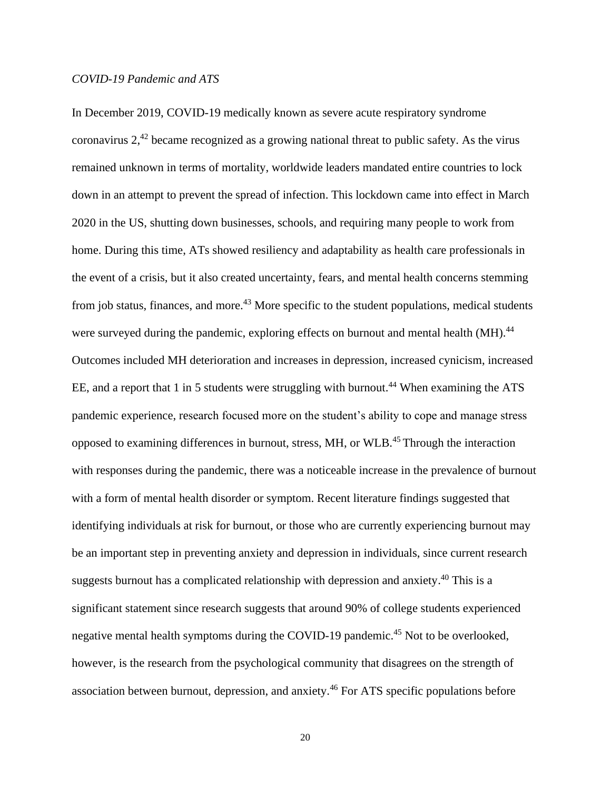# *COVID-19 Pandemic and ATS*

In December 2019, COVID-19 medically known as severe acute respiratory syndrome coronavirus 2,<sup>42</sup> became recognized as a growing national threat to public safety. As the virus remained unknown in terms of mortality, worldwide leaders mandated entire countries to lock down in an attempt to prevent the spread of infection. This lockdown came into effect in March 2020 in the US, shutting down businesses, schools, and requiring many people to work from home. During this time, ATs showed resiliency and adaptability as health care professionals in the event of a crisis, but it also created uncertainty, fears, and mental health concerns stemming from job status, finances, and more.<sup>43</sup> More specific to the student populations, medical students were surveyed during the pandemic, exploring effects on burnout and mental health (MH).<sup>44</sup> Outcomes included MH deterioration and increases in depression, increased cynicism, increased EE, and a report that 1 in 5 students were struggling with burnout.<sup>44</sup> When examining the ATS pandemic experience, research focused more on the student's ability to cope and manage stress opposed to examining differences in burnout, stress, MH, or WLB.<sup>45</sup>Through the interaction with responses during the pandemic, there was a noticeable increase in the prevalence of burnout with a form of mental health disorder or symptom. Recent literature findings suggested that identifying individuals at risk for burnout, or those who are currently experiencing burnout may be an important step in preventing anxiety and depression in individuals, since current research suggests burnout has a complicated relationship with depression and anxiety. <sup>40</sup> This is a significant statement since research suggests that around 90% of college students experienced negative mental health symptoms during the COVID-19 pandemic.<sup>45</sup> Not to be overlooked, however, is the research from the psychological community that disagrees on the strength of association between burnout, depression, and anxiety.<sup>46</sup> For ATS specific populations before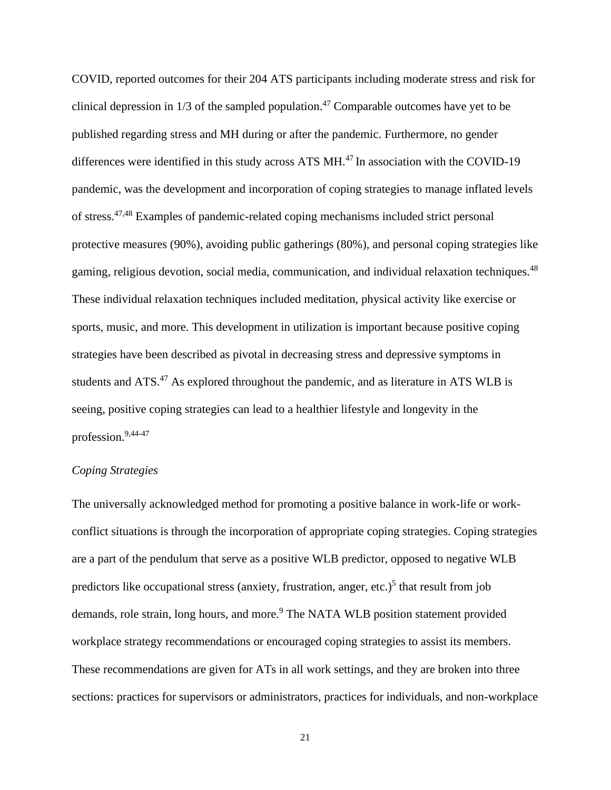COVID, reported outcomes for their 204 ATS participants including moderate stress and risk for clinical depression in  $1/3$  of the sampled population.<sup>47</sup> Comparable outcomes have yet to be published regarding stress and MH during or after the pandemic. Furthermore, no gender differences were identified in this study across ATS MH.<sup>47</sup> In association with the COVID-19 pandemic, was the development and incorporation of coping strategies to manage inflated levels of stress.47,48 Examples of pandemic-related coping mechanisms included strict personal protective measures (90%), avoiding public gatherings (80%), and personal coping strategies like gaming, religious devotion, social media, communication, and individual relaxation techniques.<sup>48</sup> These individual relaxation techniques included meditation, physical activity like exercise or sports, music, and more. This development in utilization is important because positive coping strategies have been described as pivotal in decreasing stress and depressive symptoms in students and ATS.<sup>47</sup> As explored throughout the pandemic, and as literature in ATS WLB is seeing, positive coping strategies can lead to a healthier lifestyle and longevity in the profession.9,44-47

# *Coping Strategies*

The universally acknowledged method for promoting a positive balance in work-life or workconflict situations is through the incorporation of appropriate coping strategies. Coping strategies are a part of the pendulum that serve as a positive WLB predictor, opposed to negative WLB predictors like occupational stress (anxiety, frustration, anger, etc.)<sup>5</sup> that result from job demands, role strain, long hours, and more.<sup>9</sup> The NATA WLB position statement provided workplace strategy recommendations or encouraged coping strategies to assist its members. These recommendations are given for ATs in all work settings, and they are broken into three sections: practices for supervisors or administrators, practices for individuals, and non-workplace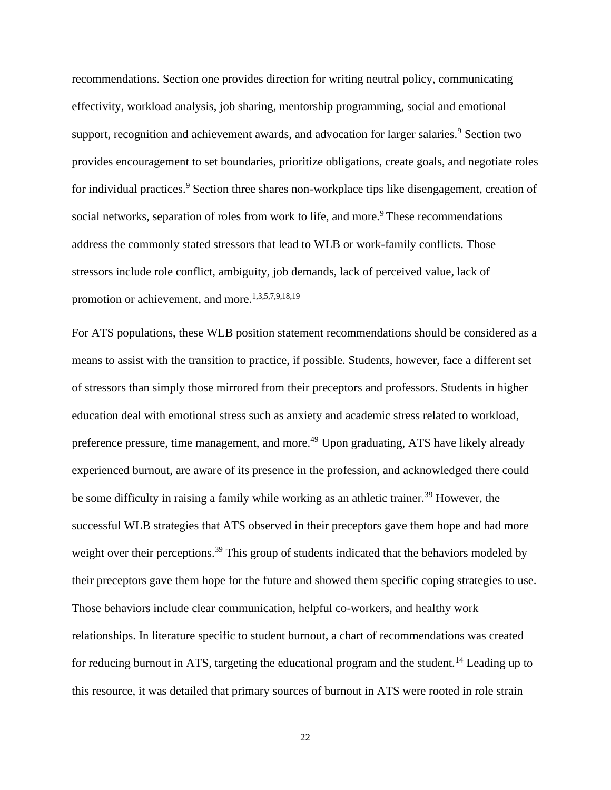recommendations. Section one provides direction for writing neutral policy, communicating effectivity, workload analysis, job sharing, mentorship programming, social and emotional support, recognition and achievement awards, and advocation for larger salaries.<sup>9</sup> Section two provides encouragement to set boundaries, prioritize obligations, create goals, and negotiate roles for individual practices.<sup>9</sup> Section three shares non-workplace tips like disengagement, creation of social networks, separation of roles from work to life, and more.<sup>9</sup> These recommendations address the commonly stated stressors that lead to WLB or work-family conflicts. Those stressors include role conflict, ambiguity, job demands, lack of perceived value, lack of promotion or achievement, and more.<sup>1,3,5,7,9,18,19</sup>

For ATS populations, these WLB position statement recommendations should be considered as a means to assist with the transition to practice, if possible. Students, however, face a different set of stressors than simply those mirrored from their preceptors and professors. Students in higher education deal with emotional stress such as anxiety and academic stress related to workload, preference pressure, time management, and more.<sup>49</sup> Upon graduating, ATS have likely already experienced burnout, are aware of its presence in the profession, and acknowledged there could be some difficulty in raising a family while working as an athletic trainer.<sup>39</sup> However, the successful WLB strategies that ATS observed in their preceptors gave them hope and had more weight over their perceptions.<sup>39</sup> This group of students indicated that the behaviors modeled by their preceptors gave them hope for the future and showed them specific coping strategies to use. Those behaviors include clear communication, helpful co-workers, and healthy work relationships. In literature specific to student burnout, a chart of recommendations was created for reducing burnout in ATS, targeting the educational program and the student.<sup>14</sup> Leading up to this resource, it was detailed that primary sources of burnout in ATS were rooted in role strain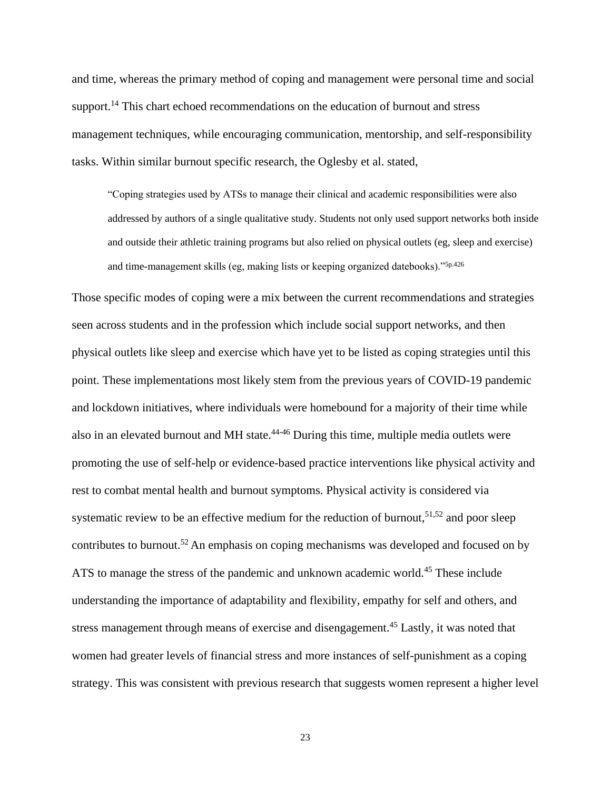and time, whereas the primary method of coping and management were personal time and social support.<sup>14</sup> This chart echoed recommendations on the education of burnout and stress management techniques, while encouraging communication, mentorship, and self-responsibility tasks. Within similar burnout specific research, the Oglesby et al. stated,

"Coping strategies used by ATSs to manage their clinical and academic responsibilities were also addressed by authors of a single qualitative study. Students not only used support networks both inside and outside their athletic training programs but also relied on physical outlets (eg, sleep and exercise) and time-management skills (eg, making lists or keeping organized datebooks)."5p.426

Those specific modes of coping were a mix between the current recommendations and strategies seen across students and in the profession which include social support networks, and then physical outlets like sleep and exercise which have yet to be listed as coping strategies until this point. These implementations most likely stem from the previous years of COVID-19 pandemic and lockdown initiatives, where individuals were homebound for a majority of their time while also in an elevated burnout and MH state.<sup>44-46</sup> During this time, multiple media outlets were promoting the use of self-help or evidence-based practice interventions like physical activity and rest to combat mental health and burnout symptoms. Physical activity is considered via systematic review to be an effective medium for the reduction of burnout,<sup>51,52</sup> and poor sleep contributes to burnout.<sup>52</sup> An emphasis on coping mechanisms was developed and focused on by ATS to manage the stress of the pandemic and unknown academic world.<sup>45</sup> These include understanding the importance of adaptability and flexibility, empathy for self and others, and stress management through means of exercise and disengagement.<sup>45</sup> Lastly, it was noted that women had greater levels of financial stress and more instances of self-punishment as a coping strategy. This was consistent with previous research that suggests women represent a higher level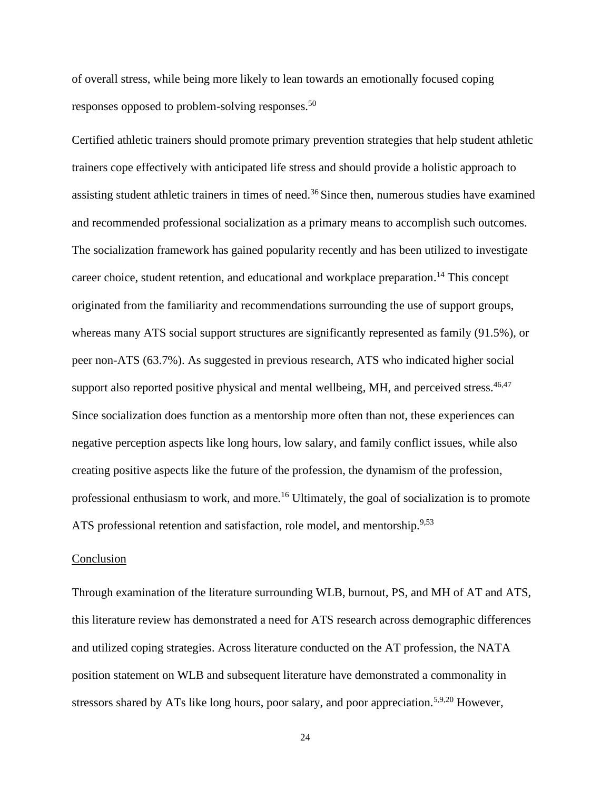of overall stress, while being more likely to lean towards an emotionally focused coping responses opposed to problem-solving responses.<sup>50</sup>

Certified athletic trainers should promote primary prevention strategies that help student athletic trainers cope effectively with anticipated life stress and should provide a holistic approach to assisting student athletic trainers in times of need.<sup>36</sup> Since then, numerous studies have examined and recommended professional socialization as a primary means to accomplish such outcomes. The socialization framework has gained popularity recently and has been utilized to investigate career choice, student retention, and educational and workplace preparation. <sup>14</sup> This concept originated from the familiarity and recommendations surrounding the use of support groups, whereas many ATS social support structures are significantly represented as family (91.5%), or peer non-ATS (63.7%). As suggested in previous research, ATS who indicated higher social support also reported positive physical and mental wellbeing, MH, and perceived stress.  $46,47$ Since socialization does function as a mentorship more often than not, these experiences can negative perception aspects like long hours, low salary, and family conflict issues, while also creating positive aspects like the future of the profession, the dynamism of the profession, professional enthusiasm to work, and more.<sup>16</sup> Ultimately, the goal of socialization is to promote ATS professional retention and satisfaction, role model, and mentorship.<sup>9,53</sup>

#### **Conclusion**

Through examination of the literature surrounding WLB, burnout, PS, and MH of AT and ATS, this literature review has demonstrated a need for ATS research across demographic differences and utilized coping strategies. Across literature conducted on the AT profession, the NATA position statement on WLB and subsequent literature have demonstrated a commonality in stressors shared by ATs like long hours, poor salary, and poor appreciation.<sup>5,9,20</sup> However,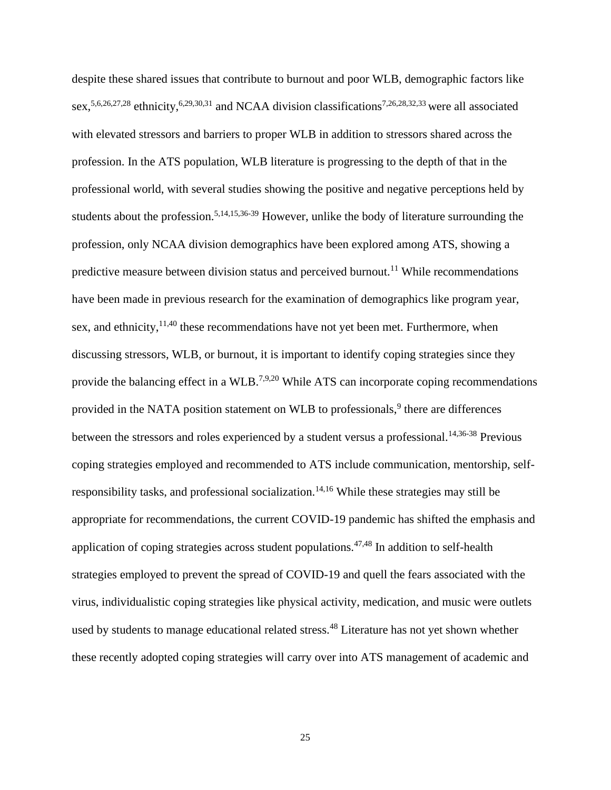despite these shared issues that contribute to burnout and poor WLB, demographic factors like sex,<sup>5,6,26,27,28</sup> ethnicity,<sup>6,29,30,31</sup> and NCAA division classifications<sup>7,26,28,32,33</sup> were all associated with elevated stressors and barriers to proper WLB in addition to stressors shared across the profession. In the ATS population, WLB literature is progressing to the depth of that in the professional world, with several studies showing the positive and negative perceptions held by students about the profession.<sup>5,14,15,36-39</sup> However, unlike the body of literature surrounding the profession, only NCAA division demographics have been explored among ATS, showing a predictive measure between division status and perceived burnout.<sup>11</sup> While recommendations have been made in previous research for the examination of demographics like program year, sex, and ethnicity, $11,40$  these recommendations have not yet been met. Furthermore, when discussing stressors, WLB, or burnout, it is important to identify coping strategies since they provide the balancing effect in a WLB.<sup>7,9,20</sup> While ATS can incorporate coping recommendations provided in the NATA position statement on WLB to professionals,<sup>9</sup> there are differences between the stressors and roles experienced by a student versus a professional.<sup>14,36-38</sup> Previous coping strategies employed and recommended to ATS include communication, mentorship, selfresponsibility tasks, and professional socialization.<sup>14,16</sup> While these strategies may still be appropriate for recommendations, the current COVID-19 pandemic has shifted the emphasis and application of coping strategies across student populations. $47,48$  In addition to self-health strategies employed to prevent the spread of COVID-19 and quell the fears associated with the virus, individualistic coping strategies like physical activity, medication, and music were outlets used by students to manage educational related stress.<sup>48</sup> Literature has not yet shown whether these recently adopted coping strategies will carry over into ATS management of academic and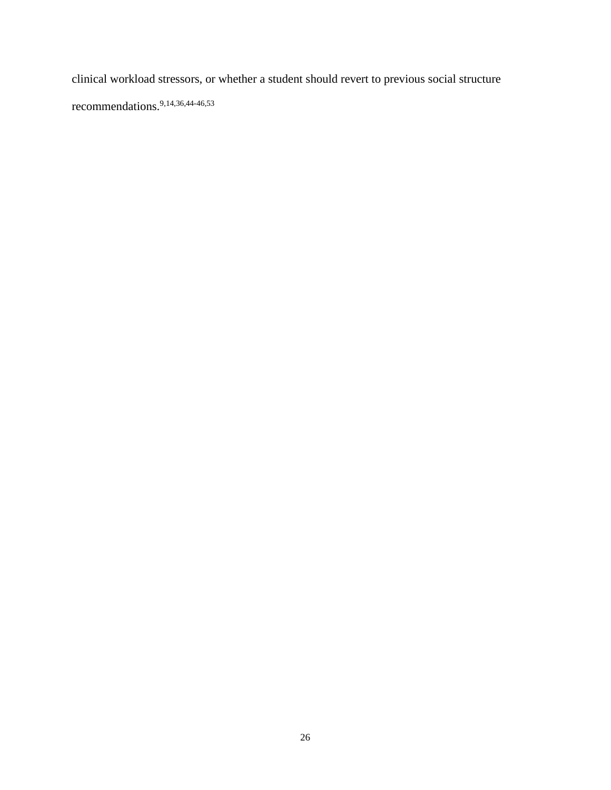clinical workload stressors, or whether a student should revert to previous social structure recommendations.9,14,36,44-46,53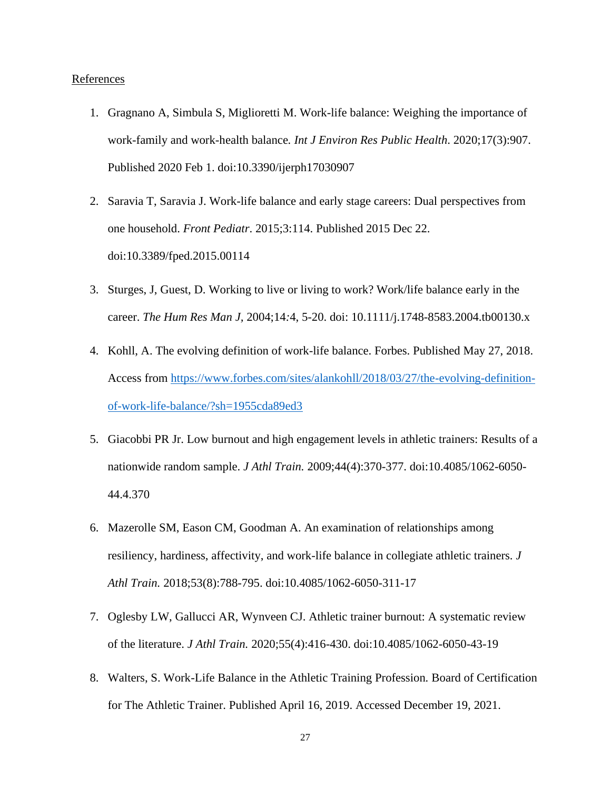# **References**

- 1. Gragnano A, Simbula S, Miglioretti M. Work-life balance: Weighing the importance of work-family and work-health balance*. Int J Environ Res Public Health*. 2020;17(3):907. Published 2020 Feb 1. doi:10.3390/ijerph17030907
- 2. Saravia T, Saravia J. Work-life balance and early stage careers: Dual perspectives from one household. *Front Pediatr*. 2015;3:114. Published 2015 Dec 22. doi:10.3389/fped.2015.00114
- 3. Sturges, J, Guest, D. Working to live or living to work? Work/life balance early in the career. *The Hum Res Man J,* 2004;14*:*4, 5-20. doi: 10.1111/j.1748-8583.2004.tb00130.x
- 4. Kohll, A. The evolving definition of work-life balance. Forbes. Published May 27, 2018. Access from [https://www.forbes.com/sites/alankohll/2018/03/27/the-evolving-definition](https://www.forbes.com/sites/alankohll/2018/03/27/the-evolving-definition-of-work-life-balance/?sh=1955cda89ed3)[of-work-life-balance/?sh=1955cda89ed3](https://www.forbes.com/sites/alankohll/2018/03/27/the-evolving-definition-of-work-life-balance/?sh=1955cda89ed3)
- 5. Giacobbi PR Jr. Low burnout and high engagement levels in athletic trainers: Results of a nationwide random sample. *J Athl Train.* 2009;44(4):370-377. doi:10.4085/1062-6050- 44.4.370
- 6. Mazerolle SM, Eason CM, Goodman A. An examination of relationships among resiliency, hardiness, affectivity, and work-life balance in collegiate athletic trainers. *J Athl Train.* 2018;53(8):788-795. doi:10.4085/1062-6050-311-17
- 7. Oglesby LW, Gallucci AR, Wynveen CJ. Athletic trainer burnout: A systematic review of the literature. *J Athl Train.* 2020;55(4):416-430. doi:10.4085/1062-6050-43-19
- 8. Walters, S. Work-Life Balance in the Athletic Training Profession*.* Board of Certification for The Athletic Trainer. Published April 16, 2019. Accessed December 19, 2021.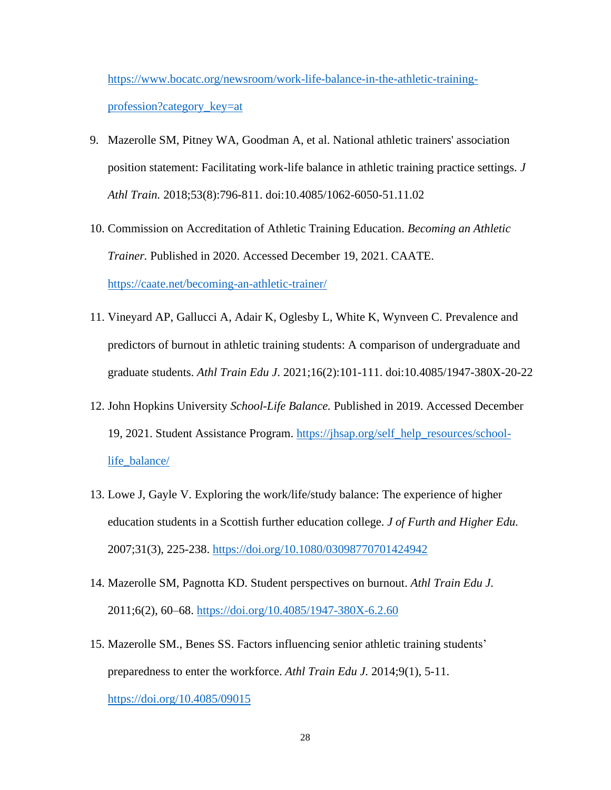[https://www.bocatc.org/newsroom/work-life-balance-in-the-athletic-training](https://www.bocatc.org/newsroom/work-life-balance-in-the-athletic-training-profession?category_key=at)[profession?category\\_key=at](https://www.bocatc.org/newsroom/work-life-balance-in-the-athletic-training-profession?category_key=at)

- 9. Mazerolle SM, Pitney WA, Goodman A, et al. National athletic trainers' association position statement: Facilitating work-life balance in athletic training practice settings. *J Athl Train.* 2018;53(8):796-811. doi:10.4085/1062-6050-51.11.02
- 10. Commission on Accreditation of Athletic Training Education. *Becoming an Athletic Trainer.* Published in 2020. Accessed December 19, 2021. CAATE. <https://caate.net/becoming-an-athletic-trainer/>
- 11. Vineyard AP, Gallucci A, Adair K, Oglesby L, White K, Wynveen C. Prevalence and predictors of burnout in athletic training students: A comparison of undergraduate and graduate students. *Athl Train Edu J*. 2021;16(2):101-111. doi:10.4085/1947-380X-20-22
- 12. John Hopkins University *School-Life Balance.* Published in 2019. Accessed December 19, 2021. Student Assistance Program. [https://jhsap.org/self\\_help\\_resources/school](https://jhsap.org/self_help_resources/school-life_balance/)[life\\_balance/](https://jhsap.org/self_help_resources/school-life_balance/)
- 13. Lowe J, Gayle V. Exploring the work/life/study balance: The experience of higher education students in a Scottish further education college. *J of Furth and Higher Edu.*  2007;31(3), 225-238.<https://doi.org/10.1080/03098770701424942>
- 14. Mazerolle SM, Pagnotta KD. Student perspectives on burnout. *Athl Train Edu J.*  2011;6(2), 60–68.<https://doi.org/10.4085/1947-380X-6.2.60>
- 15. Mazerolle SM., Benes SS. Factors influencing senior athletic training students' preparedness to enter the workforce. *Athl Train Edu J.* 2014;9(1), 5-11. <https://doi.org/10.4085/09015>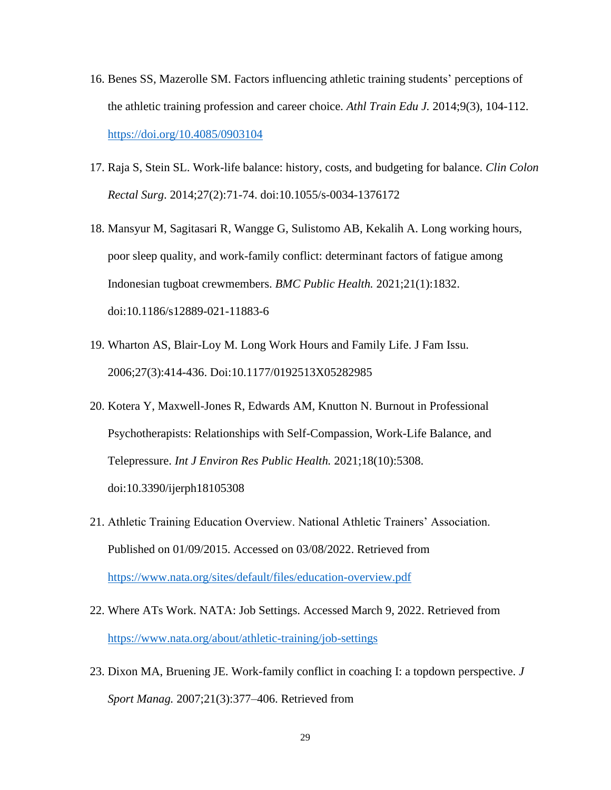- 16. Benes SS, Mazerolle SM. Factors influencing athletic training students' perceptions of the athletic training profession and career choice. *Athl Train Edu J.* 2014;9(3), 104-112. <https://doi.org/10.4085/0903104>
- 17. Raja S, Stein SL. Work-life balance: history, costs, and budgeting for balance. *Clin Colon Rectal Surg*. 2014;27(2):71-74. doi:10.1055/s-0034-1376172
- 18. Mansyur M, Sagitasari R, Wangge G, Sulistomo AB, Kekalih A. Long working hours, poor sleep quality, and work-family conflict: determinant factors of fatigue among Indonesian tugboat crewmembers. *BMC Public Health.* 2021;21(1):1832. doi:10.1186/s12889-021-11883-6
- 19. Wharton AS, Blair-Loy M. Long Work Hours and Family Life. J Fam Issu. 2006;27(3):414-436. Doi:10.1177/0192513X05282985
- 20. Kotera Y, Maxwell-Jones R, Edwards AM, Knutton N. Burnout in Professional Psychotherapists: Relationships with Self-Compassion, Work-Life Balance, and Telepressure. *Int J Environ Res Public Health.* 2021;18(10):5308. doi:10.3390/ijerph18105308
- 21. Athletic Training Education Overview. National Athletic Trainers' Association. Published on 01/09/2015. Accessed on 03/08/2022. Retrieved from <https://www.nata.org/sites/default/files/education-overview.pdf>
- 22. Where ATs Work. NATA: Job Settings. Accessed March 9, 2022. Retrieved from <https://www.nata.org/about/athletic-training/job-settings>
- 23. Dixon MA, Bruening JE. Work-family conflict in coaching I: a topdown perspective. *J Sport Manag.* 2007;21(3):377–406. Retrieved from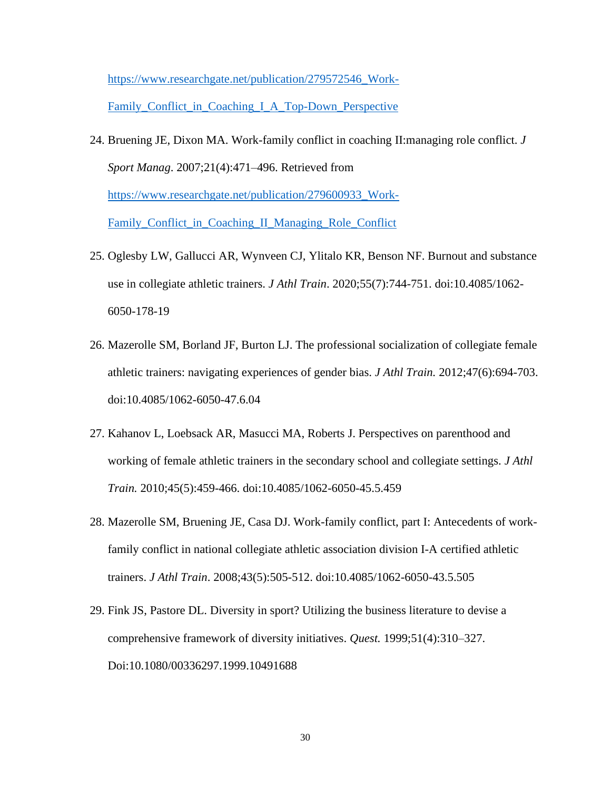[https://www.researchgate.net/publication/279572546\\_Work-](https://www.researchgate.net/publication/279572546_Work-Family_Conflict_in_Coaching_I_A_Top-Down_Perspective)[Family\\_Conflict\\_in\\_Coaching\\_I\\_A\\_Top-Down\\_Perspective](https://www.researchgate.net/publication/279572546_Work-Family_Conflict_in_Coaching_I_A_Top-Down_Perspective)

- 24. Bruening JE, Dixon MA. Work-family conflict in coaching II:managing role conflict. *J Sport Manag*. 2007;21(4):471–496. Retrieved from [https://www.researchgate.net/publication/279600933\\_Work-](https://www.researchgate.net/publication/279600933_Work-Family_Conflict_in_Coaching_II_Managing_Role_Conflict)[Family\\_Conflict\\_in\\_Coaching\\_II\\_Managing\\_Role\\_Conflict](https://www.researchgate.net/publication/279600933_Work-Family_Conflict_in_Coaching_II_Managing_Role_Conflict)
- 25. Oglesby LW, Gallucci AR, Wynveen CJ, Ylitalo KR, Benson NF. Burnout and substance use in collegiate athletic trainers. *J Athl Train*. 2020;55(7):744-751. doi:10.4085/1062- 6050-178-19
- 26. Mazerolle SM, Borland JF, Burton LJ. The professional socialization of collegiate female athletic trainers: navigating experiences of gender bias. *J Athl Train.* 2012;47(6):694-703. doi:10.4085/1062-6050-47.6.04
- 27. Kahanov L, Loebsack AR, Masucci MA, Roberts J. Perspectives on parenthood and working of female athletic trainers in the secondary school and collegiate settings. *J Athl Train.* 2010;45(5):459-466. doi:10.4085/1062-6050-45.5.459
- 28. Mazerolle SM, Bruening JE, Casa DJ. Work-family conflict, part I: Antecedents of workfamily conflict in national collegiate athletic association division I-A certified athletic trainers. *J Athl Train*. 2008;43(5):505-512. doi:10.4085/1062-6050-43.5.505
- 29. Fink JS, Pastore DL. Diversity in sport? Utilizing the business literature to devise a comprehensive framework of diversity initiatives. *Quest.* 1999;51(4):310–327. Doi:10.1080/00336297.1999.10491688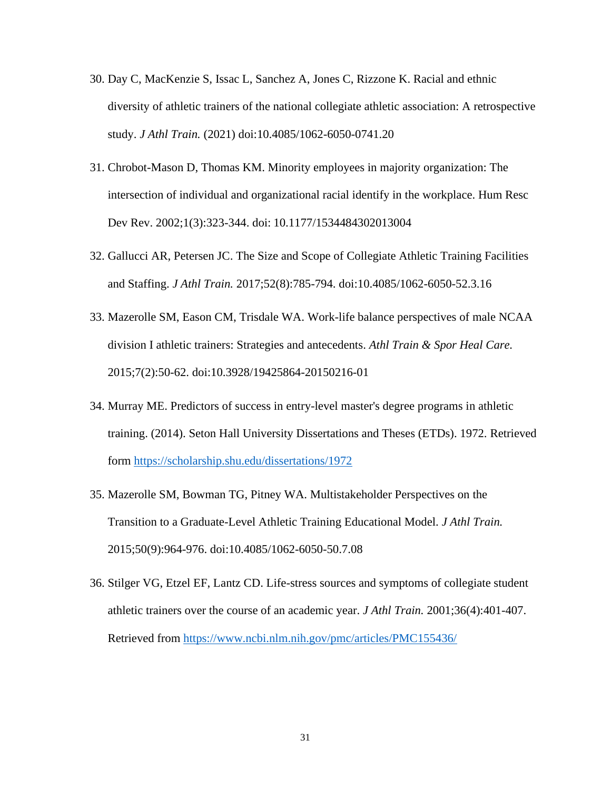- 30. Day C, MacKenzie S, Issac L, Sanchez A, Jones C, Rizzone K. Racial and ethnic diversity of athletic trainers of the national collegiate athletic association: A retrospective study. *J Athl Train.* (2021) doi:10.4085/1062-6050-0741.20
- 31. Chrobot-Mason D, Thomas KM. Minority employees in majority organization: The intersection of individual and organizational racial identify in the workplace. Hum Resc Dev Rev. 2002;1(3):323-344. doi: 10.1177/1534484302013004
- 32. Gallucci AR, Petersen JC. The Size and Scope of Collegiate Athletic Training Facilities and Staffing. *J Athl Train.* 2017;52(8):785-794. doi:10.4085/1062-6050-52.3.16
- 33. Mazerolle SM, Eason CM, Trisdale WA. Work-life balance perspectives of male NCAA division I athletic trainers: Strategies and antecedents. *Athl Train & Spor Heal Care.* 2015;7(2):50-62. doi:10.3928/19425864-20150216-01
- 34. Murray ME. Predictors of success in entry-level master's degree programs in athletic training. (2014). Seton Hall University Dissertations and Theses (ETDs). 1972. Retrieved form<https://scholarship.shu.edu/dissertations/1972>
- 35. Mazerolle SM, Bowman TG, Pitney WA. Multistakeholder Perspectives on the Transition to a Graduate-Level Athletic Training Educational Model. *J Athl Train.* 2015;50(9):964-976. doi:10.4085/1062-6050-50.7.08
- 36. Stilger VG, Etzel EF, Lantz CD. Life-stress sources and symptoms of collegiate student athletic trainers over the course of an academic year. *J Athl Train.* 2001;36(4):401-407. Retrieved from<https://www.ncbi.nlm.nih.gov/pmc/articles/PMC155436/>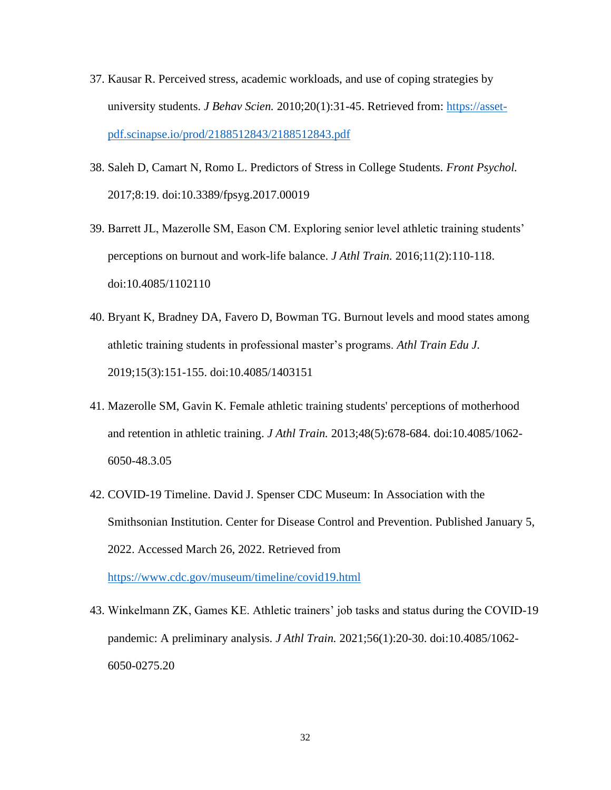- 37. Kausar R. Perceived stress, academic workloads, and use of coping strategies by university students. *J Behav Scien.* 2010;20(1):31-45. Retrieved from: [https://asset](https://asset-pdf.scinapse.io/prod/2188512843/2188512843.pdf)[pdf.scinapse.io/prod/2188512843/2188512843.pdf](https://asset-pdf.scinapse.io/prod/2188512843/2188512843.pdf)
- 38. Saleh D, Camart N, Romo L. Predictors of Stress in College Students. *Front Psychol.* 2017;8:19. doi:10.3389/fpsyg.2017.00019
- 39. Barrett JL, Mazerolle SM, Eason CM. Exploring senior level athletic training students' perceptions on burnout and work-life balance. *J Athl Train.* 2016;11(2):110-118. doi:10.4085/1102110
- 40. Bryant K, Bradney DA, Favero D, Bowman TG. Burnout levels and mood states among athletic training students in professional master's programs. *Athl Train Edu J.* 2019;15(3):151-155. doi:10.4085/1403151
- 41. Mazerolle SM, Gavin K. Female athletic training students' perceptions of motherhood and retention in athletic training. *J Athl Train.* 2013;48(5):678-684. doi:10.4085/1062- 6050-48.3.05
- 42. COVID-19 Timeline. David J. Spenser CDC Museum: In Association with the Smithsonian Institution. Center for Disease Control and Prevention. Published January 5, 2022. Accessed March 26, 2022. Retrieved from
- 43. Winkelmann ZK, Games KE. Athletic trainers' job tasks and status during the COVID-19 pandemic: A preliminary analysis. *J Athl Train.* 2021;56(1):20-30. doi:10.4085/1062-

<https://www.cdc.gov/museum/timeline/covid19.html>

6050-0275.20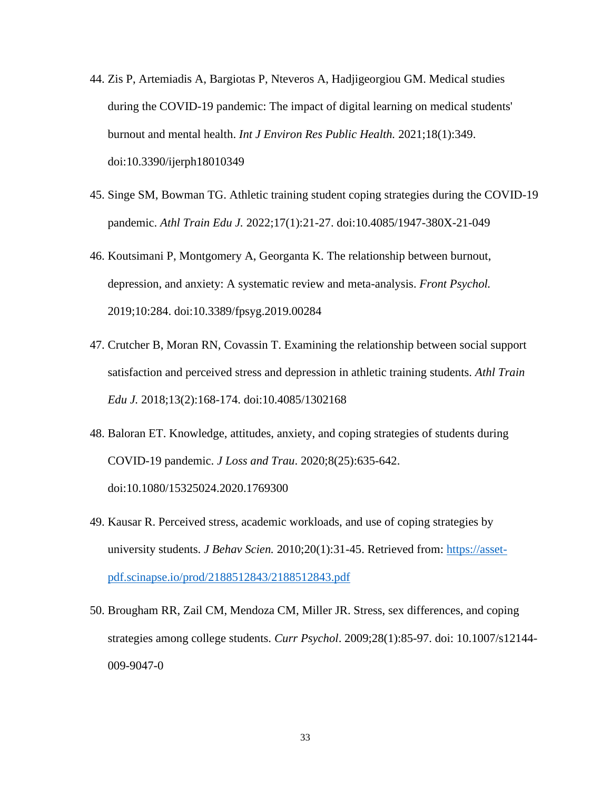- 44. Zis P, Artemiadis A, Bargiotas P, Nteveros A, Hadjigeorgiou GM. Medical studies during the COVID-19 pandemic: The impact of digital learning on medical students' burnout and mental health. *Int J Environ Res Public Health.* 2021;18(1):349. doi:10.3390/ijerph18010349
- 45. Singe SM, Bowman TG. Athletic training student coping strategies during the COVID-19 pandemic. *Athl Train Edu J.* 2022;17(1):21-27. doi:10.4085/1947-380X-21-049
- 46. Koutsimani P, Montgomery A, Georganta K. The relationship between burnout, depression, and anxiety: A systematic review and meta-analysis. *Front Psychol.* 2019;10:284. doi:10.3389/fpsyg.2019.00284
- 47. Crutcher B, Moran RN, Covassin T. Examining the relationship between social support satisfaction and perceived stress and depression in athletic training students. *Athl Train Edu J.* 2018;13(2):168-174. doi:10.4085/1302168
- 48. Baloran ET. Knowledge, attitudes, anxiety, and coping strategies of students during COVID-19 pandemic. *J Loss and Trau*. 2020;8(25):635-642. doi:10.1080/15325024.2020.1769300
- 49. Kausar R. Perceived stress, academic workloads, and use of coping strategies by university students. *J Behav Scien.* 2010;20(1):31-45. Retrieved from: [https://asset](https://asset-pdf.scinapse.io/prod/2188512843/2188512843.pdf)[pdf.scinapse.io/prod/2188512843/2188512843.pdf](https://asset-pdf.scinapse.io/prod/2188512843/2188512843.pdf)
- 50. Brougham RR, Zail CM, Mendoza CM, Miller JR. Stress, sex differences, and coping strategies among college students. *Curr Psychol*. 2009;28(1):85-97. doi: 10.1007/s12144- 009-9047-0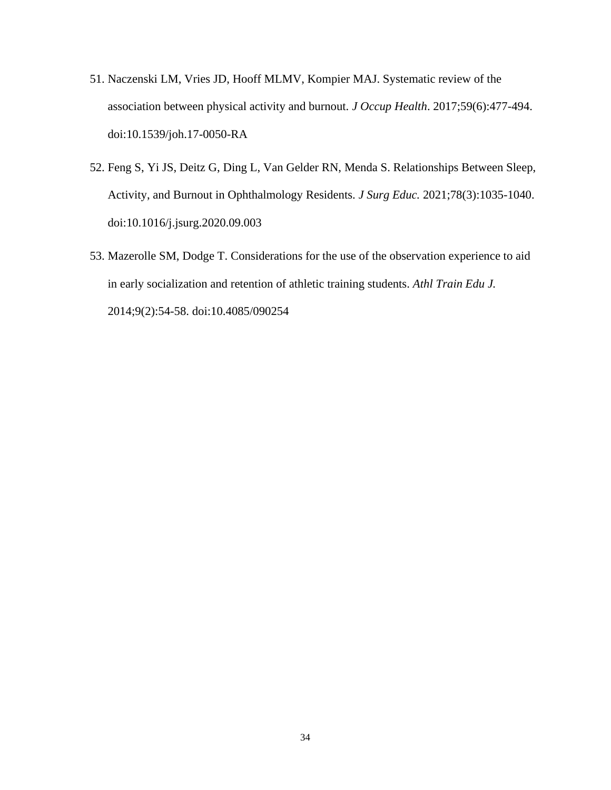- 51. Naczenski LM, Vries JD, Hooff MLMV, Kompier MAJ. Systematic review of the association between physical activity and burnout. *J Occup Health*. 2017;59(6):477-494. doi:10.1539/joh.17-0050-RA
- 52. Feng S, Yi JS, Deitz G, Ding L, Van Gelder RN, Menda S. Relationships Between Sleep, Activity, and Burnout in Ophthalmology Residents. *J Surg Educ.* 2021;78(3):1035-1040. doi:10.1016/j.jsurg.2020.09.003
- 53. Mazerolle SM, Dodge T. Considerations for the use of the observation experience to aid in early socialization and retention of athletic training students. *Athl Train Edu J.* 2014;9(2):54-58. doi:10.4085/090254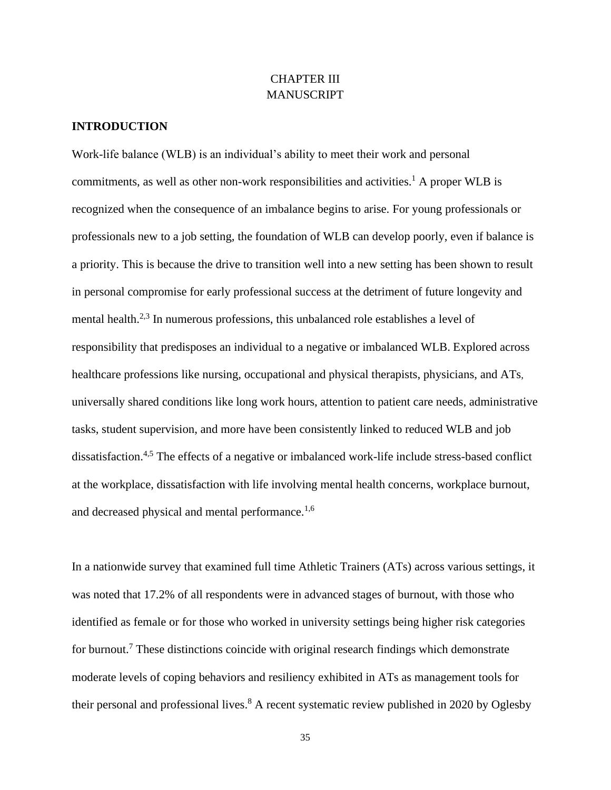## CHAPTER III MANUSCRIPT

## **INTRODUCTION**

Work-life balance (WLB) is an individual's ability to meet their work and personal commitments, as well as other non-work responsibilities and activities.<sup>1</sup> A proper WLB is recognized when the consequence of an imbalance begins to arise. For young professionals or professionals new to a job setting, the foundation of WLB can develop poorly, even if balance is a priority. This is because the drive to transition well into a new setting has been shown to result in personal compromise for early professional success at the detriment of future longevity and mental health.<sup>2,3</sup> In numerous professions, this unbalanced role establishes a level of responsibility that predisposes an individual to a negative or imbalanced WLB. Explored across healthcare professions like nursing, occupational and physical therapists, physicians, and ATs, universally shared conditions like long work hours, attention to patient care needs, administrative tasks, student supervision, and more have been consistently linked to reduced WLB and job dissatisfaction.<sup>4,5</sup> The effects of a negative or imbalanced work-life include stress-based conflict at the workplace, dissatisfaction with life involving mental health concerns, workplace burnout, and decreased physical and mental performance.<sup>1,6</sup>

In a nationwide survey that examined full time Athletic Trainers (ATs) across various settings, it was noted that 17.2% of all respondents were in advanced stages of burnout, with those who identified as female or for those who worked in university settings being higher risk categories for burnout.<sup>7</sup> These distinctions coincide with original research findings which demonstrate moderate levels of coping behaviors and resiliency exhibited in ATs as management tools for their personal and professional lives.<sup>8</sup> A recent systematic review published in 2020 by Oglesby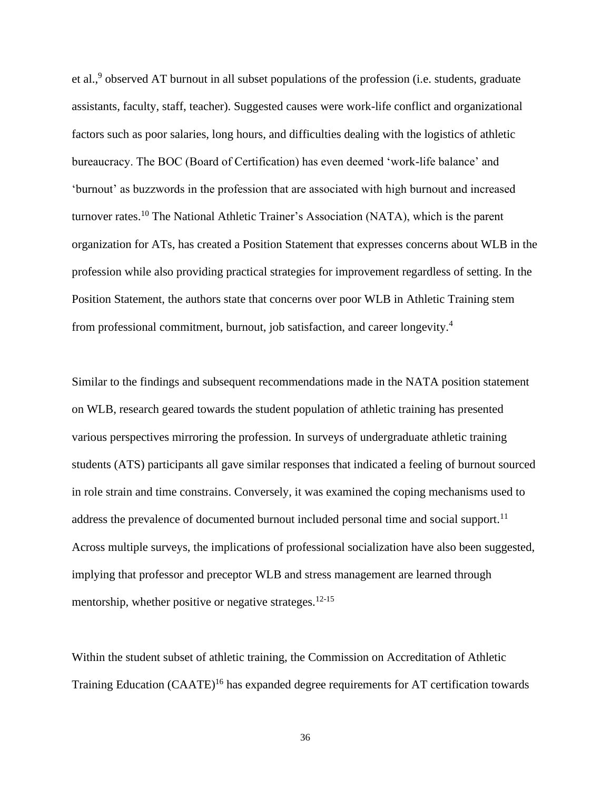et al.,<sup>9</sup> observed AT burnout in all subset populations of the profession (i.e. students, graduate assistants, faculty, staff, teacher). Suggested causes were work-life conflict and organizational factors such as poor salaries, long hours, and difficulties dealing with the logistics of athletic bureaucracy. The BOC (Board of Certification) has even deemed 'work-life balance' and 'burnout' as buzzwords in the profession that are associated with high burnout and increased turnover rates.<sup>10</sup> The National Athletic Trainer's Association (NATA), which is the parent organization for ATs, has created a Position Statement that expresses concerns about WLB in the profession while also providing practical strategies for improvement regardless of setting. In the Position Statement, the authors state that concerns over poor WLB in Athletic Training stem from professional commitment, burnout, job satisfaction, and career longevity.<sup>4</sup>

Similar to the findings and subsequent recommendations made in the NATA position statement on WLB, research geared towards the student population of athletic training has presented various perspectives mirroring the profession. In surveys of undergraduate athletic training students (ATS) participants all gave similar responses that indicated a feeling of burnout sourced in role strain and time constrains. Conversely, it was examined the coping mechanisms used to address the prevalence of documented burnout included personal time and social support.<sup>11</sup> Across multiple surveys, the implications of professional socialization have also been suggested, implying that professor and preceptor WLB and stress management are learned through mentorship, whether positive or negative strateges.<sup>12-15</sup>

Within the student subset of athletic training, the Commission on Accreditation of Athletic Training Education (CAATE)<sup>16</sup> has expanded degree requirements for AT certification towards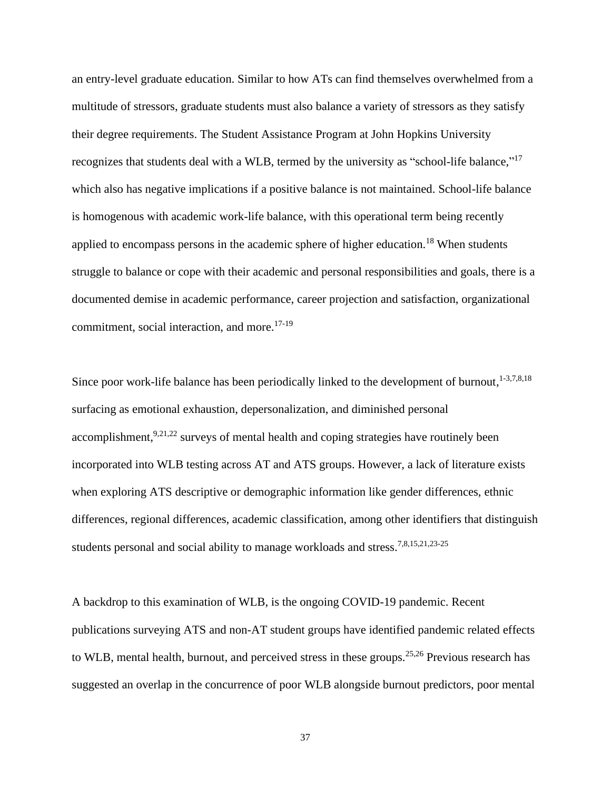an entry-level graduate education. Similar to how ATs can find themselves overwhelmed from a multitude of stressors, graduate students must also balance a variety of stressors as they satisfy their degree requirements. The Student Assistance Program at John Hopkins University recognizes that students deal with a WLB, termed by the university as "school-life balance,"<sup>17</sup> which also has negative implications if a positive balance is not maintained. School-life balance is homogenous with academic work-life balance, with this operational term being recently applied to encompass persons in the academic sphere of higher education.<sup>18</sup> When students struggle to balance or cope with their academic and personal responsibilities and goals, there is a documented demise in academic performance, career projection and satisfaction, organizational commitment, social interaction, and more. $17-19$ 

Since poor work-life balance has been periodically linked to the development of burnout,  $1-3,7,8,18$ surfacing as emotional exhaustion, depersonalization, and diminished personal  $accomplishment$ ,  $9,21,22$  surveys of mental health and coping strategies have routinely been incorporated into WLB testing across AT and ATS groups. However, a lack of literature exists when exploring ATS descriptive or demographic information like gender differences, ethnic differences, regional differences, academic classification, among other identifiers that distinguish students personal and social ability to manage workloads and stress.<sup>7,8,15,21,23-25</sup>

A backdrop to this examination of WLB, is the ongoing COVID-19 pandemic. Recent publications surveying ATS and non-AT student groups have identified pandemic related effects to WLB, mental health, burnout, and perceived stress in these groups.<sup>25,26</sup> Previous research has suggested an overlap in the concurrence of poor WLB alongside burnout predictors, poor mental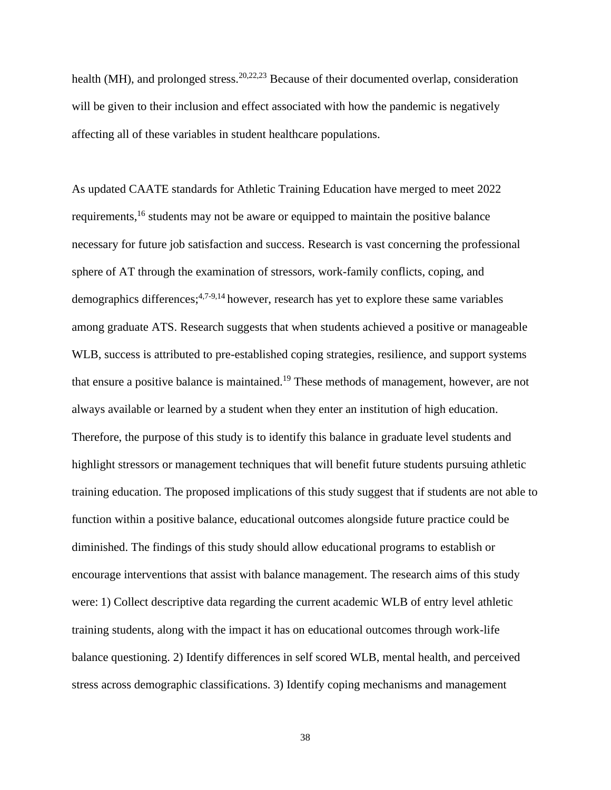health (MH), and prolonged stress.  $20,22,23$  Because of their documented overlap, consideration will be given to their inclusion and effect associated with how the pandemic is negatively affecting all of these variables in student healthcare populations.

As updated CAATE standards for Athletic Training Education have merged to meet 2022 requirements,<sup>16</sup> students may not be aware or equipped to maintain the positive balance necessary for future job satisfaction and success. Research is vast concerning the professional sphere of AT through the examination of stressors, work-family conflicts, coping, and demographics differences;<sup>4,7-9,14</sup> however, research has yet to explore these same variables among graduate ATS. Research suggests that when students achieved a positive or manageable WLB, success is attributed to pre-established coping strategies, resilience, and support systems that ensure a positive balance is maintained.<sup>19</sup> These methods of management, however, are not always available or learned by a student when they enter an institution of high education. Therefore, the purpose of this study is to identify this balance in graduate level students and highlight stressors or management techniques that will benefit future students pursuing athletic training education. The proposed implications of this study suggest that if students are not able to function within a positive balance, educational outcomes alongside future practice could be diminished. The findings of this study should allow educational programs to establish or encourage interventions that assist with balance management. The research aims of this study were: 1) Collect descriptive data regarding the current academic WLB of entry level athletic training students, along with the impact it has on educational outcomes through work-life balance questioning. 2) Identify differences in self scored WLB, mental health, and perceived stress across demographic classifications. 3) Identify coping mechanisms and management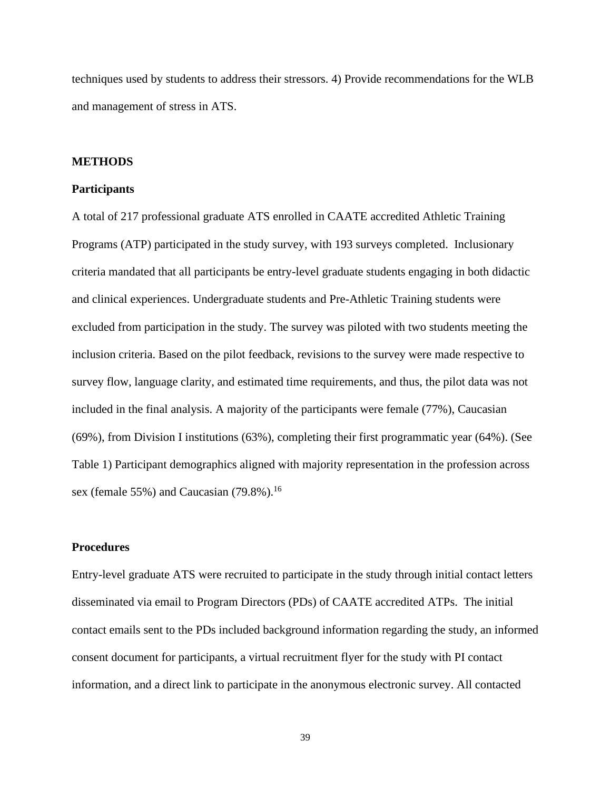techniques used by students to address their stressors. 4) Provide recommendations for the WLB and management of stress in ATS.

## **METHODS**

#### **Participants**

A total of 217 professional graduate ATS enrolled in CAATE accredited Athletic Training Programs (ATP) participated in the study survey, with 193 surveys completed. Inclusionary criteria mandated that all participants be entry-level graduate students engaging in both didactic and clinical experiences. Undergraduate students and Pre-Athletic Training students were excluded from participation in the study. The survey was piloted with two students meeting the inclusion criteria. Based on the pilot feedback, revisions to the survey were made respective to survey flow, language clarity, and estimated time requirements, and thus, the pilot data was not included in the final analysis. A majority of the participants were female (77%), Caucasian (69%), from Division I institutions (63%), completing their first programmatic year (64%). (See Table 1) Participant demographics aligned with majority representation in the profession across sex (female 55%) and Caucasian  $(79.8\%)$ .<sup>16</sup>

## **Procedures**

Entry-level graduate ATS were recruited to participate in the study through initial contact letters disseminated via email to Program Directors (PDs) of CAATE accredited ATPs. The initial contact emails sent to the PDs included background information regarding the study, an informed consent document for participants, a virtual recruitment flyer for the study with PI contact information, and a direct link to participate in the anonymous electronic survey. All contacted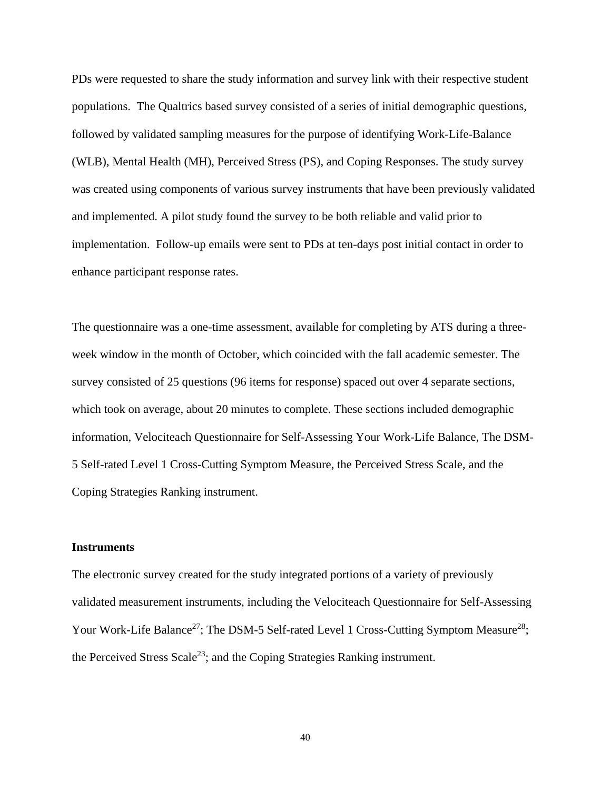PDs were requested to share the study information and survey link with their respective student populations. The Qualtrics based survey consisted of a series of initial demographic questions, followed by validated sampling measures for the purpose of identifying Work-Life-Balance (WLB), Mental Health (MH), Perceived Stress (PS), and Coping Responses. The study survey was created using components of various survey instruments that have been previously validated and implemented. A pilot study found the survey to be both reliable and valid prior to implementation. Follow-up emails were sent to PDs at ten-days post initial contact in order to enhance participant response rates.

The questionnaire was a one-time assessment, available for completing by ATS during a threeweek window in the month of October, which coincided with the fall academic semester. The survey consisted of 25 questions (96 items for response) spaced out over 4 separate sections, which took on average, about 20 minutes to complete. These sections included demographic information, Velociteach Questionnaire for Self-Assessing Your Work-Life Balance, The DSM-5 Self-rated Level 1 Cross-Cutting Symptom Measure, the Perceived Stress Scale, and the Coping Strategies Ranking instrument.

#### **Instruments**

The electronic survey created for the study integrated portions of a variety of previously validated measurement instruments, including the Velociteach Questionnaire for Self-Assessing Your Work-Life Balance<sup>27</sup>; The DSM-5 Self-rated Level 1 Cross-Cutting Symptom Measure<sup>28</sup>; the Perceived Stress Scale<sup>23</sup>; and the Coping Strategies Ranking instrument.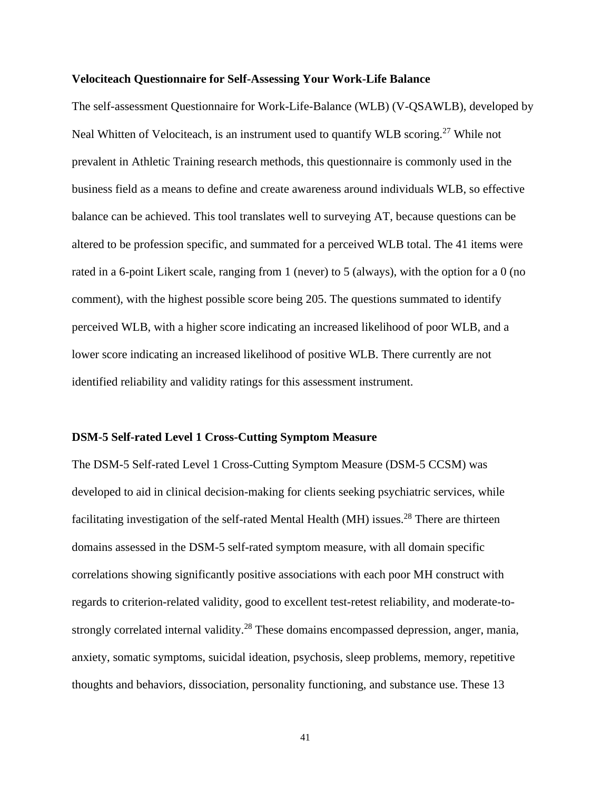## **Velociteach Questionnaire for Self-Assessing Your Work-Life Balance**

The self-assessment Questionnaire for Work-Life-Balance (WLB) (V-QSAWLB), developed by Neal Whitten of Velociteach, is an instrument used to quantify WLB scoring.<sup>27</sup> While not prevalent in Athletic Training research methods, this questionnaire is commonly used in the business field as a means to define and create awareness around individuals WLB, so effective balance can be achieved. This tool translates well to surveying AT, because questions can be altered to be profession specific, and summated for a perceived WLB total. The 41 items were rated in a 6-point Likert scale, ranging from 1 (never) to 5 (always), with the option for a 0 (no comment), with the highest possible score being 205. The questions summated to identify perceived WLB, with a higher score indicating an increased likelihood of poor WLB, and a lower score indicating an increased likelihood of positive WLB. There currently are not identified reliability and validity ratings for this assessment instrument.

#### **DSM-5 Self-rated Level 1 Cross-Cutting Symptom Measure**

The DSM-5 Self-rated Level 1 Cross-Cutting Symptom Measure (DSM-5 CCSM) was developed to aid in clinical decision-making for clients seeking psychiatric services, while facilitating investigation of the self-rated Mental Health (MH) issues.<sup>28</sup> There are thirteen domains assessed in the DSM-5 self-rated symptom measure, with all domain specific correlations showing significantly positive associations with each poor MH construct with regards to criterion-related validity, good to excellent test-retest reliability, and moderate-tostrongly correlated internal validity.<sup>28</sup> These domains encompassed depression, anger, mania, anxiety, somatic symptoms, suicidal ideation, psychosis, sleep problems, memory, repetitive thoughts and behaviors, dissociation, personality functioning, and substance use. These 13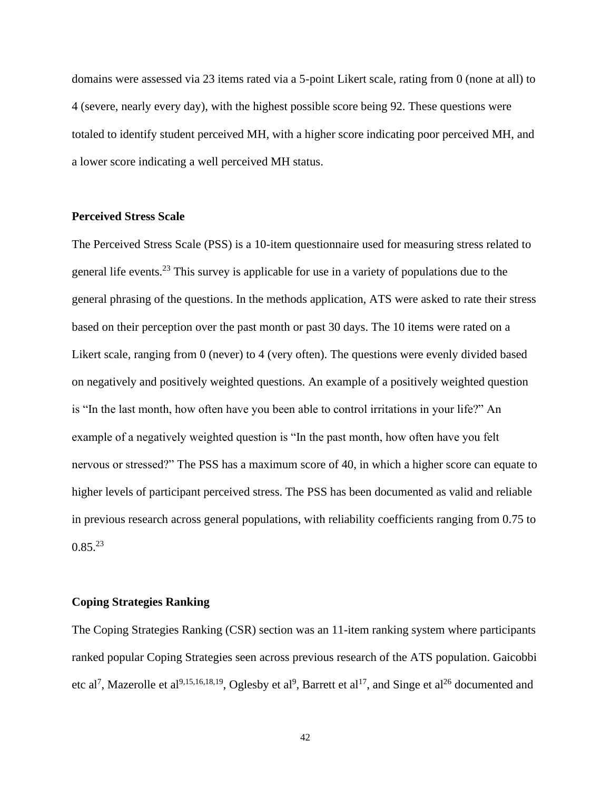domains were assessed via 23 items rated via a 5-point Likert scale, rating from 0 (none at all) to 4 (severe, nearly every day), with the highest possible score being 92. These questions were totaled to identify student perceived MH, with a higher score indicating poor perceived MH, and a lower score indicating a well perceived MH status.

## **Perceived Stress Scale**

The Perceived Stress Scale (PSS) is a 10-item questionnaire used for measuring stress related to general life events.<sup>23</sup> This survey is applicable for use in a variety of populations due to the general phrasing of the questions. In the methods application, ATS were asked to rate their stress based on their perception over the past month or past 30 days. The 10 items were rated on a Likert scale, ranging from 0 (never) to 4 (very often). The questions were evenly divided based on negatively and positively weighted questions. An example of a positively weighted question is "In the last month, how often have you been able to control irritations in your life?" An example of a negatively weighted question is "In the past month, how often have you felt nervous or stressed?" The PSS has a maximum score of 40, in which a higher score can equate to higher levels of participant perceived stress. The PSS has been documented as valid and reliable in previous research across general populations, with reliability coefficients ranging from 0.75 to  $0.85^{23}$ 

## **Coping Strategies Ranking**

The Coping Strategies Ranking (CSR) section was an 11-item ranking system where participants ranked popular Coping Strategies seen across previous research of the ATS population. Gaicobbi etc al<sup>7</sup>, Mazerolle et al<sup>9,15,16,18,19</sup>, Oglesby et al<sup>9</sup>, Barrett et al<sup>17</sup>, and Singe et al<sup>26</sup> documented and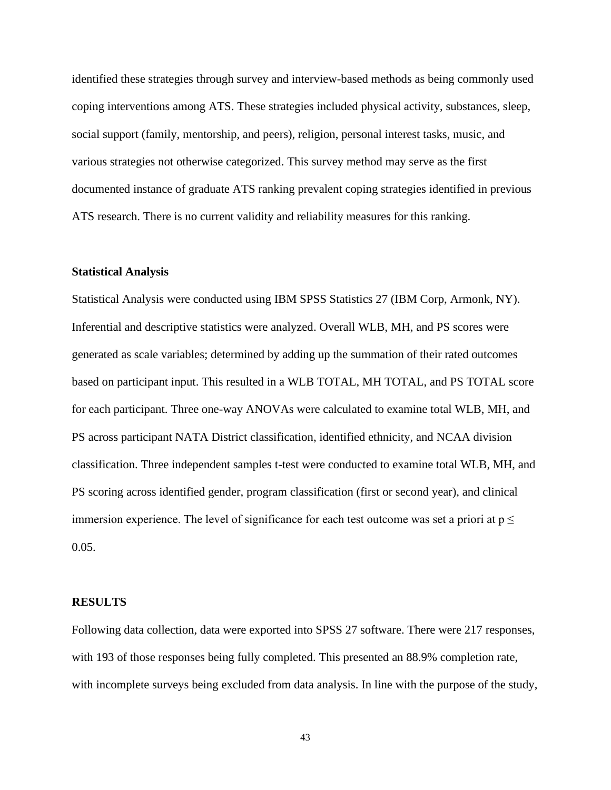identified these strategies through survey and interview-based methods as being commonly used coping interventions among ATS. These strategies included physical activity, substances, sleep, social support (family, mentorship, and peers), religion, personal interest tasks, music, and various strategies not otherwise categorized. This survey method may serve as the first documented instance of graduate ATS ranking prevalent coping strategies identified in previous ATS research. There is no current validity and reliability measures for this ranking.

## **Statistical Analysis**

Statistical Analysis were conducted using IBM SPSS Statistics 27 (IBM Corp, Armonk, NY). Inferential and descriptive statistics were analyzed. Overall WLB, MH, and PS scores were generated as scale variables; determined by adding up the summation of their rated outcomes based on participant input. This resulted in a WLB TOTAL, MH TOTAL, and PS TOTAL score for each participant. Three one-way ANOVAs were calculated to examine total WLB, MH, and PS across participant NATA District classification, identified ethnicity, and NCAA division classification. Three independent samples t-test were conducted to examine total WLB, MH, and PS scoring across identified gender, program classification (first or second year), and clinical immersion experience. The level of significance for each test outcome was set a priori at  $p \leq$ 0.05.

#### **RESULTS**

Following data collection, data were exported into SPSS 27 software. There were 217 responses, with 193 of those responses being fully completed. This presented an 88.9% completion rate, with incomplete surveys being excluded from data analysis. In line with the purpose of the study,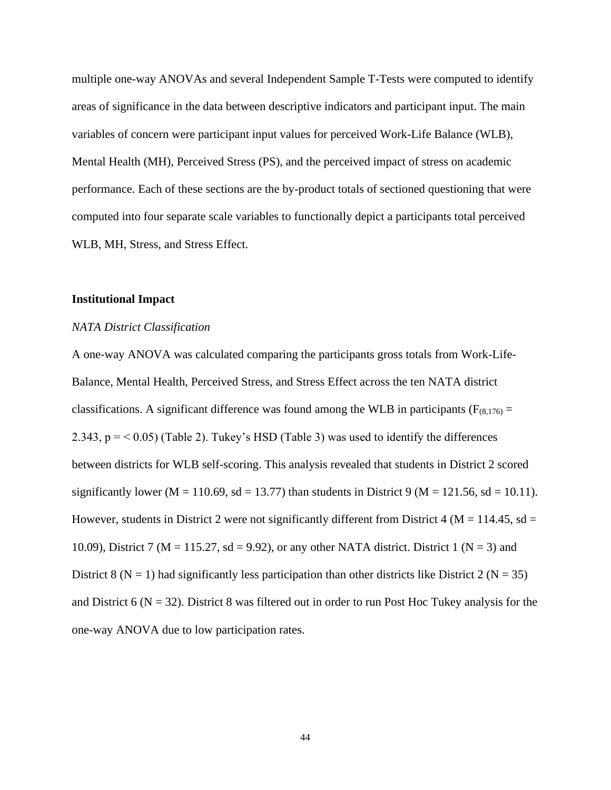multiple one-way ANOVAs and several Independent Sample T-Tests were computed to identify areas of significance in the data between descriptive indicators and participant input. The main variables of concern were participant input values for perceived Work-Life Balance (WLB), Mental Health (MH), Perceived Stress (PS), and the perceived impact of stress on academic performance. Each of these sections are the by-product totals of sectioned questioning that were computed into four separate scale variables to functionally depict a participants total perceived WLB, MH, Stress, and Stress Effect.

## **Institutional Impact**

#### *NATA District Classification*

A one-way ANOVA was calculated comparing the participants gross totals from Work-Life-Balance, Mental Health, Perceived Stress, and Stress Effect across the ten NATA district classifications. A significant difference was found among the WLB in participants ( $F_{(8,176)}$  = 2.343,  $p = < 0.05$ ) (Table 2). Tukey's HSD (Table 3) was used to identify the differences between districts for WLB self-scoring. This analysis revealed that students in District 2 scored significantly lower (M = 110.69, sd = 13.77) than students in District 9 (M = 121.56, sd = 10.11). However, students in District 2 were not significantly different from District 4 ( $M = 114.45$ , sd = 10.09), District 7 ( $M = 115.27$ , sd = 9.92), or any other NATA district. District 1 ( $N = 3$ ) and District 8 ( $N = 1$ ) had significantly less participation than other districts like District 2 ( $N = 35$ ) and District 6 ( $N = 32$ ). District 8 was filtered out in order to run Post Hoc Tukey analysis for the one-way ANOVA due to low participation rates.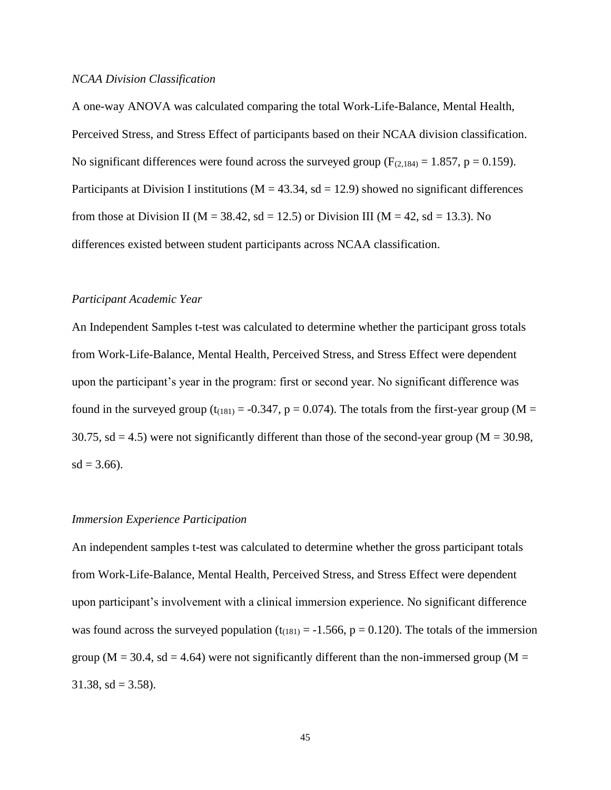#### *NCAA Division Classification*

A one-way ANOVA was calculated comparing the total Work-Life-Balance, Mental Health, Perceived Stress, and Stress Effect of participants based on their NCAA division classification. No significant differences were found across the surveyed group ( $F_{(2,184)} = 1.857$ ,  $p = 0.159$ ). Participants at Division I institutions ( $M = 43.34$ , sd = 12.9) showed no significant differences from those at Division II ( $M = 38.42$ , sd = 12.5) or Division III ( $M = 42$ , sd = 13.3). No differences existed between student participants across NCAA classification.

## *Participant Academic Year*

An Independent Samples t-test was calculated to determine whether the participant gross totals from Work-Life-Balance, Mental Health, Perceived Stress, and Stress Effect were dependent upon the participant's year in the program: first or second year. No significant difference was found in the surveyed group ( $t_{(181)} = -0.347$ ,  $p = 0.074$ ). The totals from the first-year group (M = 30.75, sd = 4.5) were not significantly different than those of the second-year group ( $M = 30.98$ ,  $sd = 3.66$ ).

#### *Immersion Experience Participation*

An independent samples t-test was calculated to determine whether the gross participant totals from Work-Life-Balance, Mental Health, Perceived Stress, and Stress Effect were dependent upon participant's involvement with a clinical immersion experience. No significant difference was found across the surveyed population  $(t_{(181)} = -1.566, p = 0.120)$ . The totals of the immersion group ( $M = 30.4$ , sd = 4.64) were not significantly different than the non-immersed group ( $M =$ 31.38, sd =  $3.58$ ).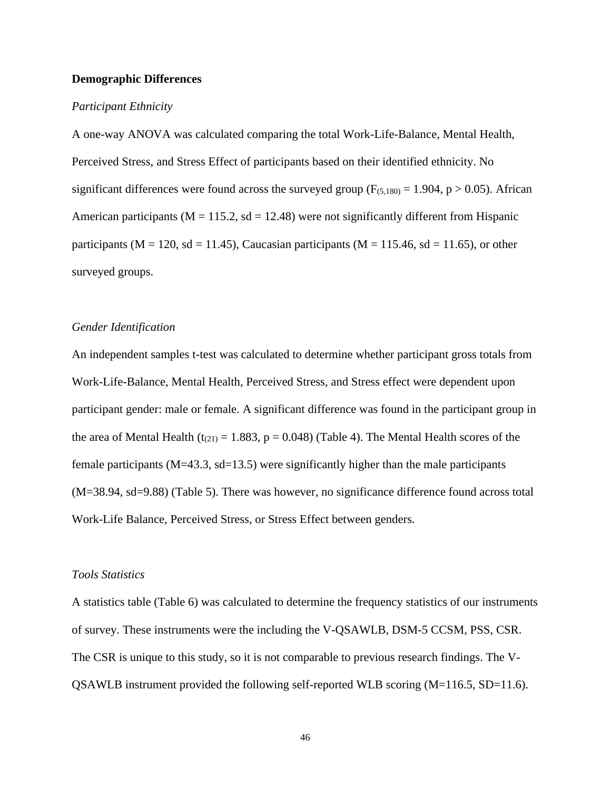## **Demographic Differences**

#### *Participant Ethnicity*

A one-way ANOVA was calculated comparing the total Work-Life-Balance, Mental Health, Perceived Stress, and Stress Effect of participants based on their identified ethnicity. No significant differences were found across the surveyed group ( $F_{(5,180)} = 1.904$ , p > 0.05). African American participants ( $M = 115.2$ , sd = 12.48) were not significantly different from Hispanic participants ( $M = 120$ , sd = 11.45), Caucasian participants ( $M = 115.46$ , sd = 11.65), or other surveyed groups.

## *Gender Identification*

An independent samples t-test was calculated to determine whether participant gross totals from Work-Life-Balance, Mental Health, Perceived Stress, and Stress effect were dependent upon participant gender: male or female. A significant difference was found in the participant group in the area of Mental Health ( $t_{(21)} = 1.883$ ,  $p = 0.048$ ) (Table 4). The Mental Health scores of the female participants (M=43.3, sd=13.5) were significantly higher than the male participants (M=38.94, sd=9.88) (Table 5). There was however, no significance difference found across total Work-Life Balance, Perceived Stress, or Stress Effect between genders.

## *Tools Statistics*

A statistics table (Table 6) was calculated to determine the frequency statistics of our instruments of survey. These instruments were the including the V-QSAWLB, DSM-5 CCSM, PSS, CSR. The CSR is unique to this study, so it is not comparable to previous research findings. The V-QSAWLB instrument provided the following self-reported WLB scoring (M=116.5, SD=11.6).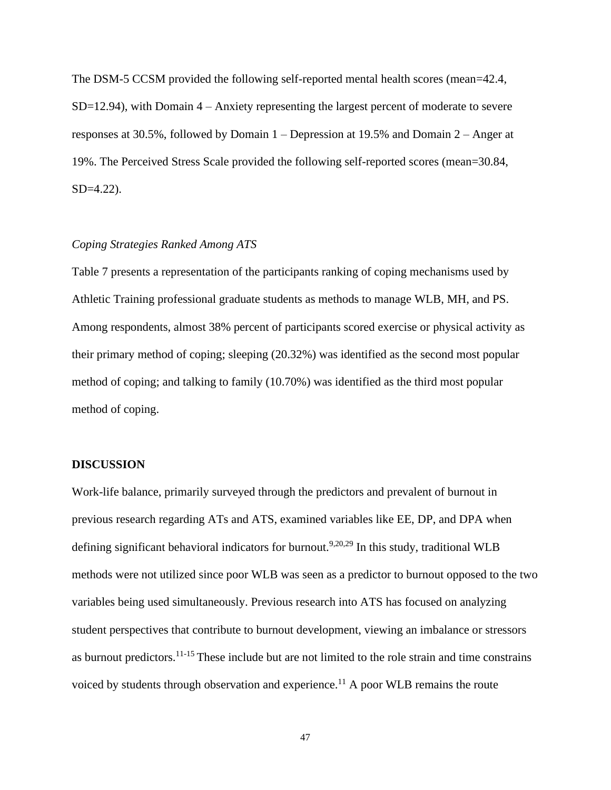The DSM-5 CCSM provided the following self-reported mental health scores (mean=42.4, SD=12.94), with Domain 4 – Anxiety representing the largest percent of moderate to severe responses at 30.5%, followed by Domain 1 – Depression at 19.5% and Domain 2 – Anger at 19%. The Perceived Stress Scale provided the following self-reported scores (mean=30.84, SD=4.22).

## *Coping Strategies Ranked Among ATS*

Table 7 presents a representation of the participants ranking of coping mechanisms used by Athletic Training professional graduate students as methods to manage WLB, MH, and PS. Among respondents, almost 38% percent of participants scored exercise or physical activity as their primary method of coping; sleeping (20.32%) was identified as the second most popular method of coping; and talking to family (10.70%) was identified as the third most popular method of coping.

## **DISCUSSION**

Work-life balance, primarily surveyed through the predictors and prevalent of burnout in previous research regarding ATs and ATS, examined variables like EE, DP, and DPA when defining significant behavioral indicators for burnout.<sup>9,20,29</sup> In this study, traditional WLB methods were not utilized since poor WLB was seen as a predictor to burnout opposed to the two variables being used simultaneously. Previous research into ATS has focused on analyzing student perspectives that contribute to burnout development, viewing an imbalance or stressors as burnout predictors.11-15 These include but are not limited to the role strain and time constrains voiced by students through observation and experience.<sup>11</sup> A poor WLB remains the route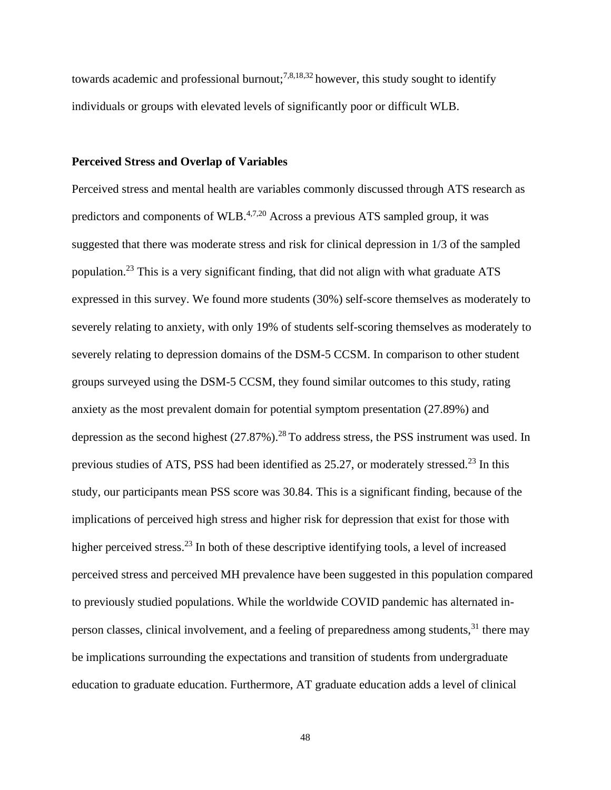towards academic and professional burnout;<sup>7,8,18,32</sup> however, this study sought to identify individuals or groups with elevated levels of significantly poor or difficult WLB.

## **Perceived Stress and Overlap of Variables**

Perceived stress and mental health are variables commonly discussed through ATS research as predictors and components of WLB.4,7,20 Across a previous ATS sampled group, it was suggested that there was moderate stress and risk for clinical depression in 1/3 of the sampled population.<sup>23</sup> This is a very significant finding, that did not align with what graduate ATS expressed in this survey. We found more students (30%) self-score themselves as moderately to severely relating to anxiety, with only 19% of students self-scoring themselves as moderately to severely relating to depression domains of the DSM-5 CCSM. In comparison to other student groups surveyed using the DSM-5 CCSM, they found similar outcomes to this study, rating anxiety as the most prevalent domain for potential symptom presentation (27.89%) and depression as the second highest  $(27.87\%)$ .<sup>28</sup> To address stress, the PSS instrument was used. In previous studies of ATS, PSS had been identified as 25.27, or moderately stressed.<sup>23</sup> In this study, our participants mean PSS score was 30.84. This is a significant finding, because of the implications of perceived high stress and higher risk for depression that exist for those with higher perceived stress.<sup>23</sup> In both of these descriptive identifying tools, a level of increased perceived stress and perceived MH prevalence have been suggested in this population compared to previously studied populations. While the worldwide COVID pandemic has alternated inperson classes, clinical involvement, and a feeling of preparedness among students,  $31$  there may be implications surrounding the expectations and transition of students from undergraduate education to graduate education. Furthermore, AT graduate education adds a level of clinical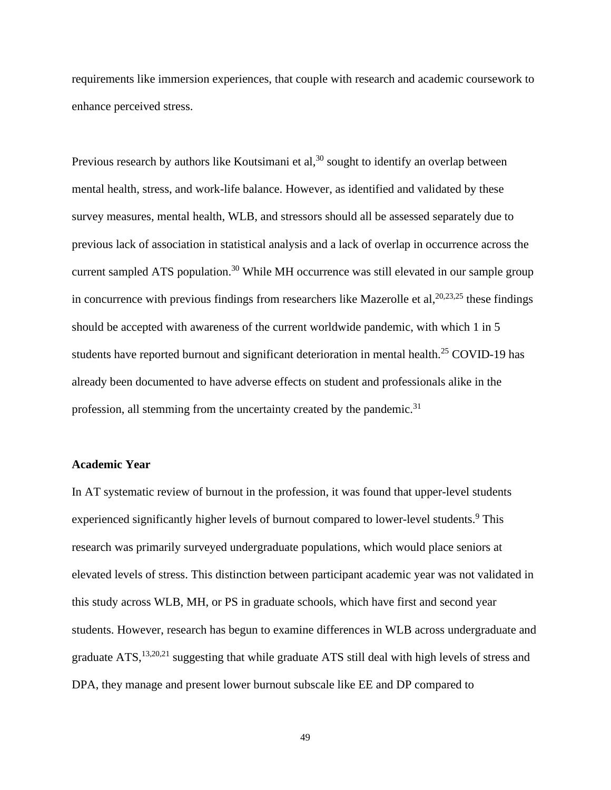requirements like immersion experiences, that couple with research and academic coursework to enhance perceived stress.

Previous research by authors like Koutsimani et al,  $30$  sought to identify an overlap between mental health, stress, and work-life balance. However, as identified and validated by these survey measures, mental health, WLB, and stressors should all be assessed separately due to previous lack of association in statistical analysis and a lack of overlap in occurrence across the current sampled ATS population.<sup>30</sup> While MH occurrence was still elevated in our sample group in concurrence with previous findings from researchers like Mazerolle et al,  $20,23,25$  these findings should be accepted with awareness of the current worldwide pandemic, with which 1 in 5 students have reported burnout and significant deterioration in mental health.<sup>25</sup> COVID-19 has already been documented to have adverse effects on student and professionals alike in the profession, all stemming from the uncertainty created by the pandemic.<sup>31</sup>

## **Academic Year**

In AT systematic review of burnout in the profession, it was found that upper-level students experienced significantly higher levels of burnout compared to lower-level students.<sup>9</sup> This research was primarily surveyed undergraduate populations, which would place seniors at elevated levels of stress. This distinction between participant academic year was not validated in this study across WLB, MH, or PS in graduate schools, which have first and second year students. However, research has begun to examine differences in WLB across undergraduate and graduate ATS,<sup>13,20,21</sup> suggesting that while graduate ATS still deal with high levels of stress and DPA, they manage and present lower burnout subscale like EE and DP compared to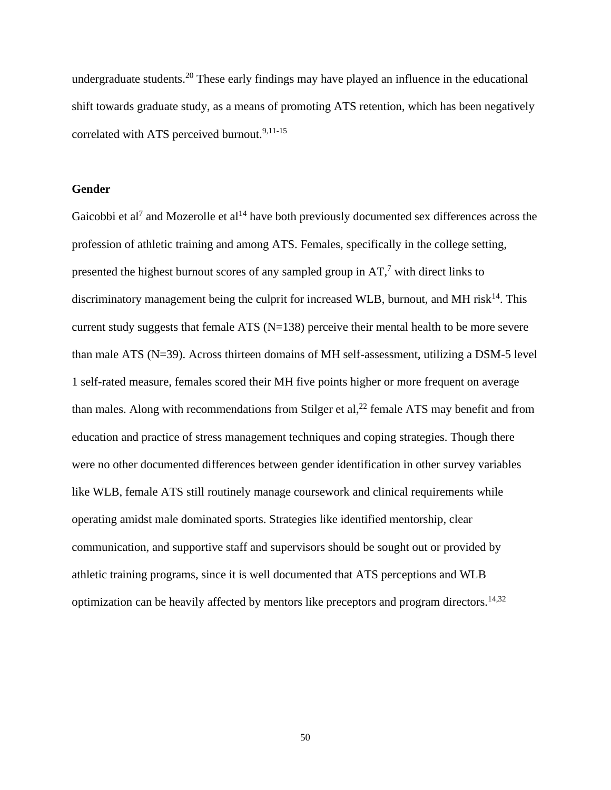undergraduate students.<sup>20</sup> These early findings may have played an influence in the educational shift towards graduate study, as a means of promoting ATS retention, which has been negatively correlated with ATS perceived burnout.<sup>9,11-15</sup>

## **Gender**

Gaicobbi et al<sup>7</sup> and Mozerolle et al<sup>14</sup> have both previously documented sex differences across the profession of athletic training and among ATS. Females, specifically in the college setting, presented the highest burnout scores of any sampled group in  $AT$ ,<sup>7</sup> with direct links to discriminatory management being the culprit for increased WLB, burnout, and MH risk $^{14}$ . This current study suggests that female ATS (N=138) perceive their mental health to be more severe than male ATS (N=39). Across thirteen domains of MH self-assessment, utilizing a DSM-5 level 1 self-rated measure, females scored their MH five points higher or more frequent on average than males. Along with recommendations from Stilger et al, $^{22}$  female ATS may benefit and from education and practice of stress management techniques and coping strategies. Though there were no other documented differences between gender identification in other survey variables like WLB, female ATS still routinely manage coursework and clinical requirements while operating amidst male dominated sports. Strategies like identified mentorship, clear communication, and supportive staff and supervisors should be sought out or provided by athletic training programs, since it is well documented that ATS perceptions and WLB optimization can be heavily affected by mentors like preceptors and program directors.<sup>14,32</sup>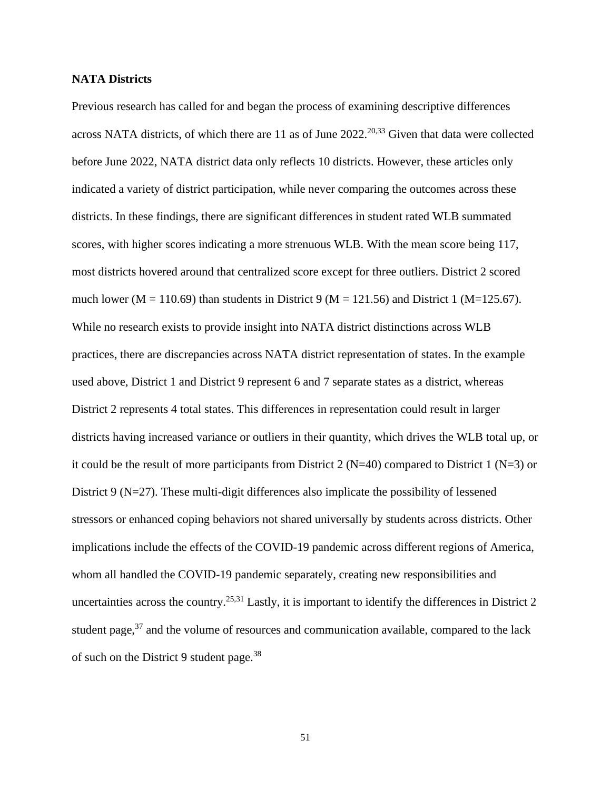## **NATA Districts**

Previous research has called for and began the process of examining descriptive differences across NATA districts, of which there are 11 as of June 2022.<sup>20,33</sup> Given that data were collected before June 2022, NATA district data only reflects 10 districts. However, these articles only indicated a variety of district participation, while never comparing the outcomes across these districts. In these findings, there are significant differences in student rated WLB summated scores, with higher scores indicating a more strenuous WLB. With the mean score being 117, most districts hovered around that centralized score except for three outliers. District 2 scored much lower (M = 110.69) than students in District 9 (M = 121.56) and District 1 (M=125.67). While no research exists to provide insight into NATA district distinctions across WLB practices, there are discrepancies across NATA district representation of states. In the example used above, District 1 and District 9 represent 6 and 7 separate states as a district, whereas District 2 represents 4 total states. This differences in representation could result in larger districts having increased variance or outliers in their quantity, which drives the WLB total up, or it could be the result of more participants from District 2 ( $N=40$ ) compared to District 1 ( $N=3$ ) or District 9 (N=27). These multi-digit differences also implicate the possibility of lessened stressors or enhanced coping behaviors not shared universally by students across districts. Other implications include the effects of the COVID-19 pandemic across different regions of America, whom all handled the COVID-19 pandemic separately, creating new responsibilities and uncertainties across the country.<sup>25,31</sup> Lastly, it is important to identify the differences in District 2 student page,  $37$  and the volume of resources and communication available, compared to the lack of such on the District 9 student page.<sup>38</sup>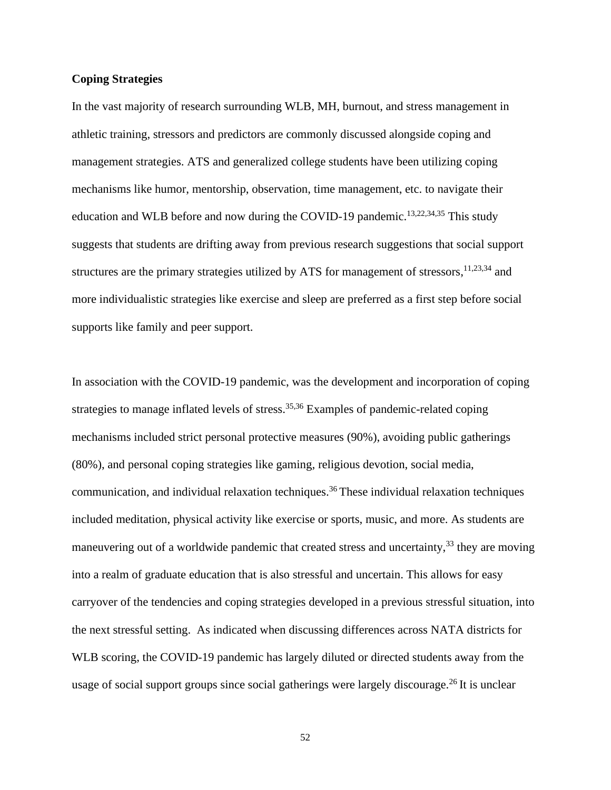## **Coping Strategies**

In the vast majority of research surrounding WLB, MH, burnout, and stress management in athletic training, stressors and predictors are commonly discussed alongside coping and management strategies. ATS and generalized college students have been utilizing coping mechanisms like humor, mentorship, observation, time management, etc. to navigate their education and WLB before and now during the COVID-19 pandemic.<sup>13,22,34,35</sup> This study suggests that students are drifting away from previous research suggestions that social support structures are the primary strategies utilized by ATS for management of stressors,  $11,23,34$  and more individualistic strategies like exercise and sleep are preferred as a first step before social supports like family and peer support.

In association with the COVID-19 pandemic, was the development and incorporation of coping strategies to manage inflated levels of stress.<sup>35,36</sup> Examples of pandemic-related coping mechanisms included strict personal protective measures (90%), avoiding public gatherings (80%), and personal coping strategies like gaming, religious devotion, social media, communication, and individual relaxation techniques.<sup>36</sup> These individual relaxation techniques included meditation, physical activity like exercise or sports, music, and more. As students are maneuvering out of a worldwide pandemic that created stress and uncertainty,  $33$  they are moving into a realm of graduate education that is also stressful and uncertain. This allows for easy carryover of the tendencies and coping strategies developed in a previous stressful situation, into the next stressful setting. As indicated when discussing differences across NATA districts for WLB scoring, the COVID-19 pandemic has largely diluted or directed students away from the usage of social support groups since social gatherings were largely discourage.<sup>26</sup> It is unclear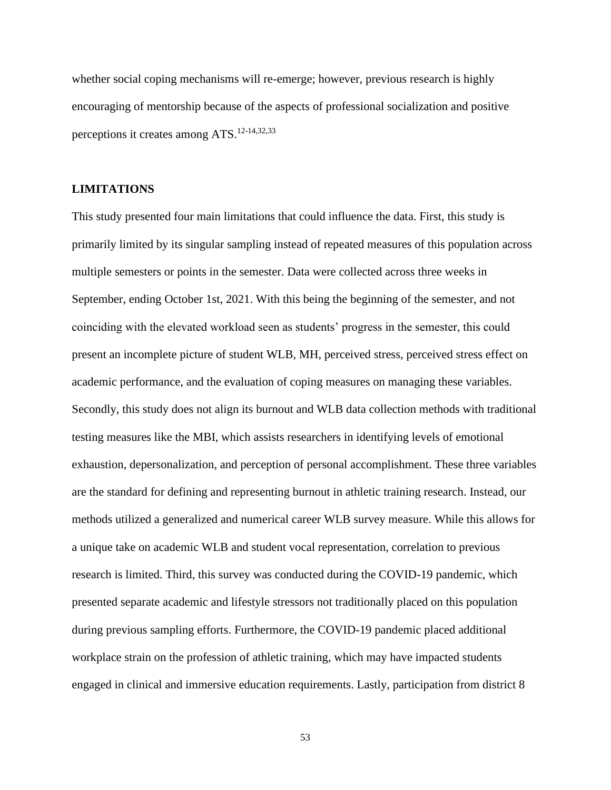whether social coping mechanisms will re-emerge; however, previous research is highly encouraging of mentorship because of the aspects of professional socialization and positive perceptions it creates among ATS.12-14,32,33

## **LIMITATIONS**

This study presented four main limitations that could influence the data. First, this study is primarily limited by its singular sampling instead of repeated measures of this population across multiple semesters or points in the semester. Data were collected across three weeks in September, ending October 1st, 2021. With this being the beginning of the semester, and not coinciding with the elevated workload seen as students' progress in the semester, this could present an incomplete picture of student WLB, MH, perceived stress, perceived stress effect on academic performance, and the evaluation of coping measures on managing these variables. Secondly, this study does not align its burnout and WLB data collection methods with traditional testing measures like the MBI, which assists researchers in identifying levels of emotional exhaustion, depersonalization, and perception of personal accomplishment. These three variables are the standard for defining and representing burnout in athletic training research. Instead, our methods utilized a generalized and numerical career WLB survey measure. While this allows for a unique take on academic WLB and student vocal representation, correlation to previous research is limited. Third, this survey was conducted during the COVID-19 pandemic, which presented separate academic and lifestyle stressors not traditionally placed on this population during previous sampling efforts. Furthermore, the COVID-19 pandemic placed additional workplace strain on the profession of athletic training, which may have impacted students engaged in clinical and immersive education requirements. Lastly, participation from district 8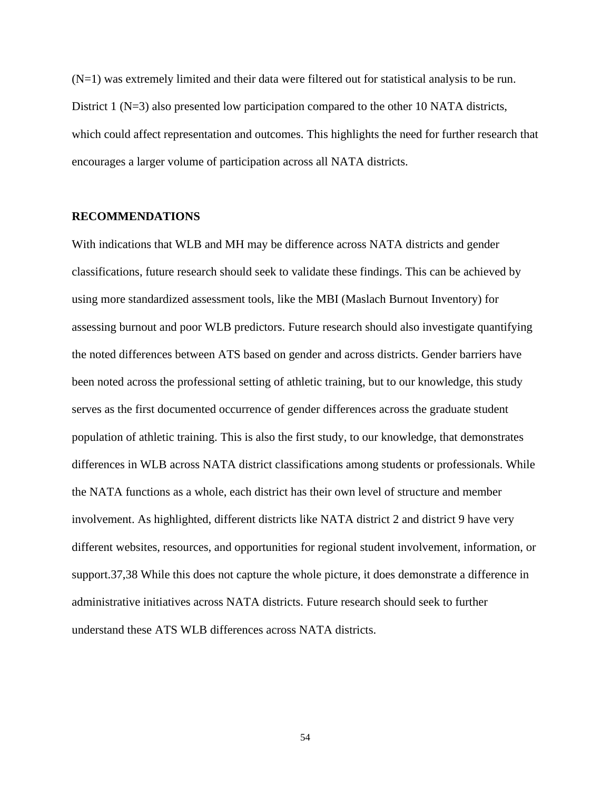(N=1) was extremely limited and their data were filtered out for statistical analysis to be run. District 1 (N=3) also presented low participation compared to the other 10 NATA districts, which could affect representation and outcomes. This highlights the need for further research that encourages a larger volume of participation across all NATA districts.

## **RECOMMENDATIONS**

With indications that WLB and MH may be difference across NATA districts and gender classifications, future research should seek to validate these findings. This can be achieved by using more standardized assessment tools, like the MBI (Maslach Burnout Inventory) for assessing burnout and poor WLB predictors. Future research should also investigate quantifying the noted differences between ATS based on gender and across districts. Gender barriers have been noted across the professional setting of athletic training, but to our knowledge, this study serves as the first documented occurrence of gender differences across the graduate student population of athletic training. This is also the first study, to our knowledge, that demonstrates differences in WLB across NATA district classifications among students or professionals. While the NATA functions as a whole, each district has their own level of structure and member involvement. As highlighted, different districts like NATA district 2 and district 9 have very different websites, resources, and opportunities for regional student involvement, information, or support.37,38 While this does not capture the whole picture, it does demonstrate a difference in administrative initiatives across NATA districts. Future research should seek to further understand these ATS WLB differences across NATA districts.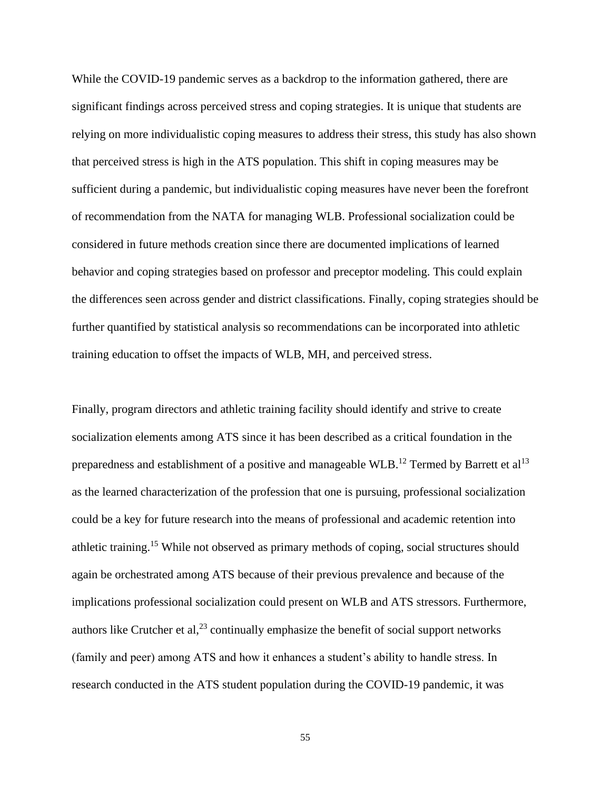While the COVID-19 pandemic serves as a backdrop to the information gathered, there are significant findings across perceived stress and coping strategies. It is unique that students are relying on more individualistic coping measures to address their stress, this study has also shown that perceived stress is high in the ATS population. This shift in coping measures may be sufficient during a pandemic, but individualistic coping measures have never been the forefront of recommendation from the NATA for managing WLB. Professional socialization could be considered in future methods creation since there are documented implications of learned behavior and coping strategies based on professor and preceptor modeling. This could explain the differences seen across gender and district classifications. Finally, coping strategies should be further quantified by statistical analysis so recommendations can be incorporated into athletic training education to offset the impacts of WLB, MH, and perceived stress.

Finally, program directors and athletic training facility should identify and strive to create socialization elements among ATS since it has been described as a critical foundation in the preparedness and establishment of a positive and manageable WLB.<sup>12</sup> Termed by Barrett et al<sup>13</sup> as the learned characterization of the profession that one is pursuing, professional socialization could be a key for future research into the means of professional and academic retention into athletic training.<sup>15</sup> While not observed as primary methods of coping, social structures should again be orchestrated among ATS because of their previous prevalence and because of the implications professional socialization could present on WLB and ATS stressors. Furthermore, authors like Crutcher et al, $^{23}$  continually emphasize the benefit of social support networks (family and peer) among ATS and how it enhances a student's ability to handle stress. In research conducted in the ATS student population during the COVID-19 pandemic, it was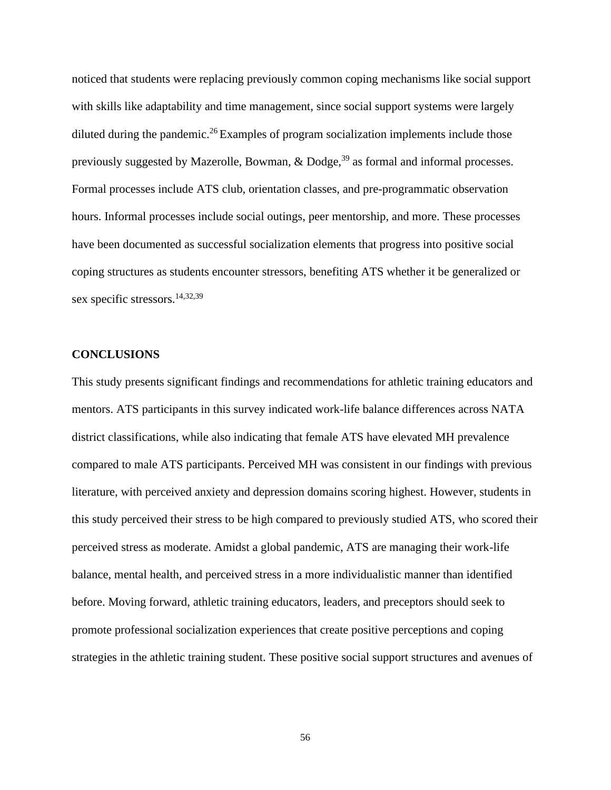noticed that students were replacing previously common coping mechanisms like social support with skills like adaptability and time management, since social support systems were largely diluted during the pandemic.<sup>26</sup> Examples of program socialization implements include those previously suggested by Mazerolle, Bowman,  $\&$  Dodge,<sup>39</sup> as formal and informal processes. Formal processes include ATS club, orientation classes, and pre-programmatic observation hours. Informal processes include social outings, peer mentorship, and more. These processes have been documented as successful socialization elements that progress into positive social coping structures as students encounter stressors, benefiting ATS whether it be generalized or sex specific stressors.<sup>14,32,39</sup>

## **CONCLUSIONS**

This study presents significant findings and recommendations for athletic training educators and mentors. ATS participants in this survey indicated work-life balance differences across NATA district classifications, while also indicating that female ATS have elevated MH prevalence compared to male ATS participants. Perceived MH was consistent in our findings with previous literature, with perceived anxiety and depression domains scoring highest. However, students in this study perceived their stress to be high compared to previously studied ATS, who scored their perceived stress as moderate. Amidst a global pandemic, ATS are managing their work-life balance, mental health, and perceived stress in a more individualistic manner than identified before. Moving forward, athletic training educators, leaders, and preceptors should seek to promote professional socialization experiences that create positive perceptions and coping strategies in the athletic training student. These positive social support structures and avenues of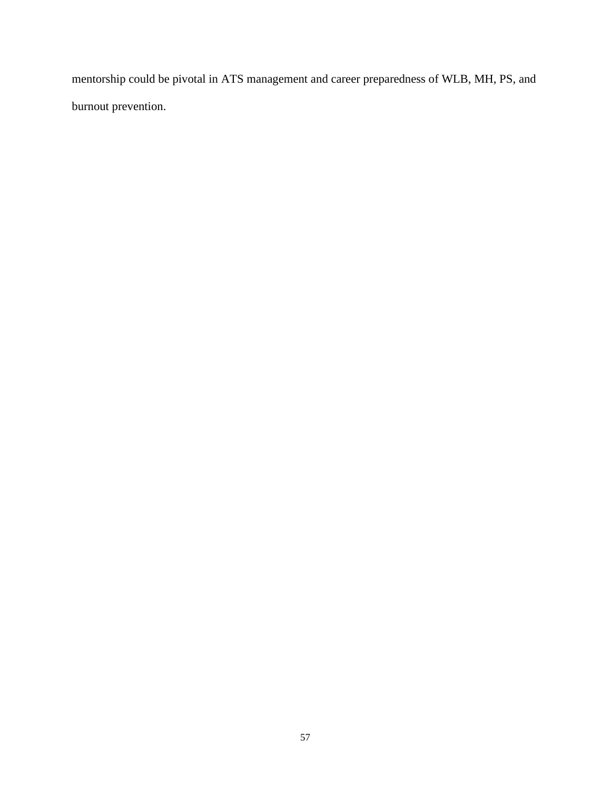mentorship could be pivotal in ATS management and career preparedness of WLB, MH, PS, and burnout prevention.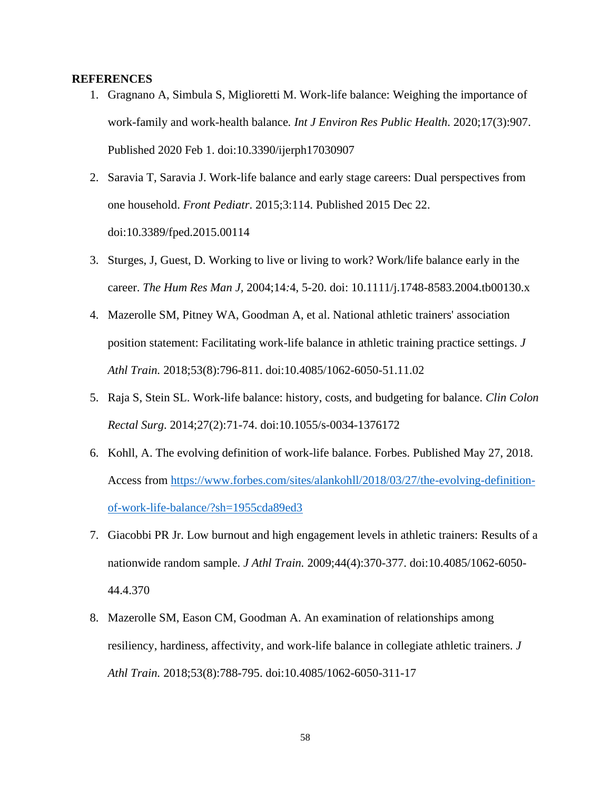## **REFERENCES**

- 1. Gragnano A, Simbula S, Miglioretti M. Work-life balance: Weighing the importance of work-family and work-health balance*. Int J Environ Res Public Health*. 2020;17(3):907. Published 2020 Feb 1. doi:10.3390/ijerph17030907
- 2. Saravia T, Saravia J. Work-life balance and early stage careers: Dual perspectives from one household. *Front Pediatr*. 2015;3:114. Published 2015 Dec 22. doi:10.3389/fped.2015.00114
- 3. Sturges, J, Guest, D. Working to live or living to work? Work/life balance early in the career. *The Hum Res Man J,* 2004;14*:*4, 5-20. doi: 10.1111/j.1748-8583.2004.tb00130.x
- 4. Mazerolle SM, Pitney WA, Goodman A, et al. National athletic trainers' association position statement: Facilitating work-life balance in athletic training practice settings. *J Athl Train.* 2018;53(8):796-811. doi:10.4085/1062-6050-51.11.02
- 5. Raja S, Stein SL. Work-life balance: history, costs, and budgeting for balance. *Clin Colon Rectal Surg*. 2014;27(2):71-74. doi:10.1055/s-0034-1376172
- 6. Kohll, A. The evolving definition of work-life balance. Forbes. Published May 27, 2018. Access from [https://www.forbes.com/sites/alankohll/2018/03/27/the-evolving-definition](https://www.forbes.com/sites/alankohll/2018/03/27/the-evolving-definition-of-work-life-balance/?sh=1955cda89ed3)[of-work-life-balance/?sh=1955cda89ed3](https://www.forbes.com/sites/alankohll/2018/03/27/the-evolving-definition-of-work-life-balance/?sh=1955cda89ed3)
- 7. Giacobbi PR Jr. Low burnout and high engagement levels in athletic trainers: Results of a nationwide random sample. *J Athl Train.* 2009;44(4):370-377. doi:10.4085/1062-6050- 44.4.370
- 8. Mazerolle SM, Eason CM, Goodman A. An examination of relationships among resiliency, hardiness, affectivity, and work-life balance in collegiate athletic trainers. *J Athl Train.* 2018;53(8):788-795. doi:10.4085/1062-6050-311-17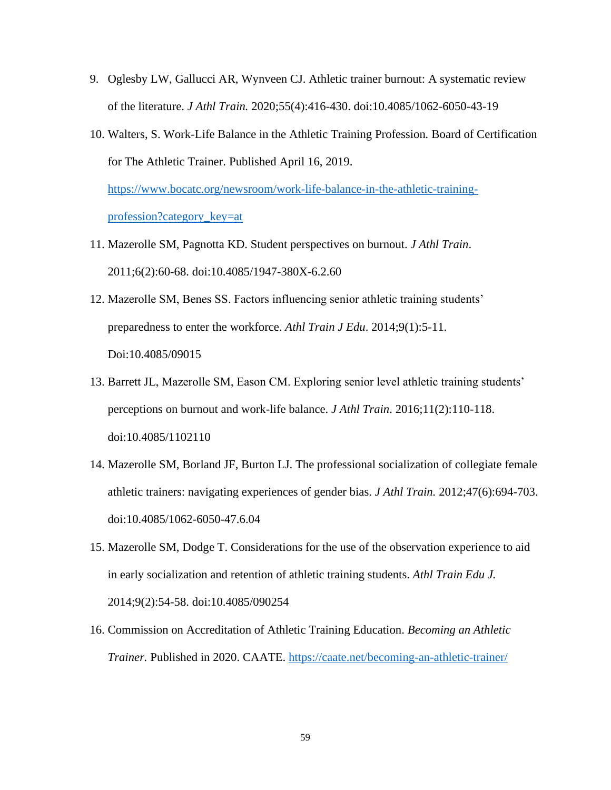- 9. Oglesby LW, Gallucci AR, Wynveen CJ. Athletic trainer burnout: A systematic review of the literature. *J Athl Train.* 2020;55(4):416-430. doi:10.4085/1062-6050-43-19
- 10. Walters, S. Work-Life Balance in the Athletic Training Profession*.* Board of Certification for The Athletic Trainer. Published April 16, 2019.

[https://www.bocatc.org/newsroom/work-life-balance-in-the-athletic-training](https://www.bocatc.org/newsroom/work-life-balance-in-the-athletic-training-profession?category_key=at)[profession?category\\_key=at](https://www.bocatc.org/newsroom/work-life-balance-in-the-athletic-training-profession?category_key=at)

- 11. Mazerolle SM, Pagnotta KD. Student perspectives on burnout. *J Athl Train*. 2011;6(2):60-68. doi:10.4085/1947-380X-6.2.60
- 12. Mazerolle SM, Benes SS. Factors influencing senior athletic training students' preparedness to enter the workforce. *Athl Train J Edu*. 2014;9(1):5-11. Doi:10.4085/09015
- 13. Barrett JL, Mazerolle SM, Eason CM. Exploring senior level athletic training students' perceptions on burnout and work-life balance. *J Athl Train*. 2016;11(2):110-118. doi:10.4085/1102110
- 14. Mazerolle SM, Borland JF, Burton LJ. The professional socialization of collegiate female athletic trainers: navigating experiences of gender bias. *J Athl Train.* 2012;47(6):694-703. doi:10.4085/1062-6050-47.6.04
- 15. Mazerolle SM, Dodge T. Considerations for the use of the observation experience to aid in early socialization and retention of athletic training students. *Athl Train Edu J.* 2014;9(2):54-58. doi:10.4085/090254
- 16. Commission on Accreditation of Athletic Training Education. *Becoming an Athletic Trainer.* Published in 2020. CAATE.<https://caate.net/becoming-an-athletic-trainer/>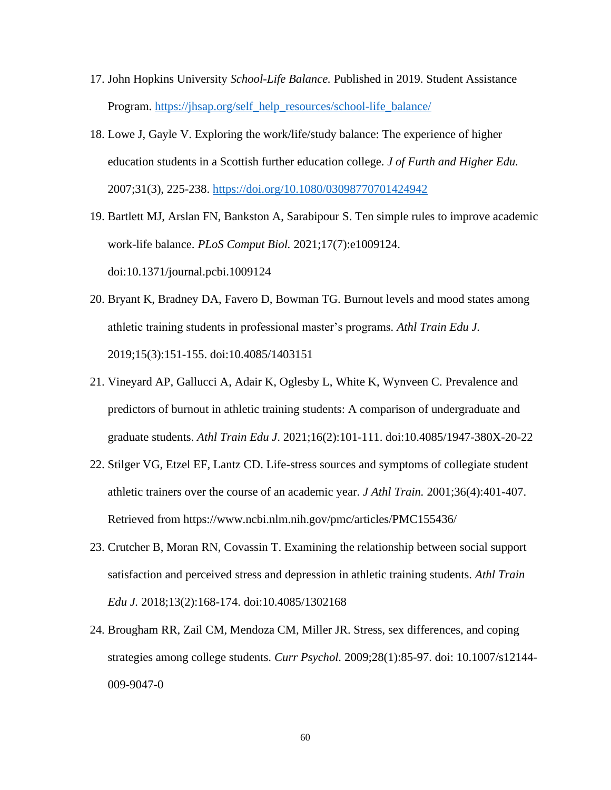- 17. John Hopkins University *School-Life Balance.* Published in 2019. Student Assistance Program. [https://jhsap.org/self\\_help\\_resources/school-life\\_balance/](https://jhsap.org/self_help_resources/school-life_balance/)
- 18. Lowe J, Gayle V. Exploring the work/life/study balance: The experience of higher education students in a Scottish further education college. *J of Furth and Higher Edu.*  2007;31(3), 225-238.<https://doi.org/10.1080/03098770701424942>
- 19. Bartlett MJ, Arslan FN, Bankston A, Sarabipour S. Ten simple rules to improve academic work-life balance. *PLoS Comput Biol.* 2021;17(7):e1009124. doi:10.1371/journal.pcbi.1009124
- 20. Bryant K, Bradney DA, Favero D, Bowman TG. Burnout levels and mood states among athletic training students in professional master's programs*. Athl Train Edu J.* 2019;15(3):151-155. doi:10.4085/1403151
- 21. Vineyard AP, Gallucci A, Adair K, Oglesby L, White K, Wynveen C. Prevalence and predictors of burnout in athletic training students: A comparison of undergraduate and graduate students. *Athl Train Edu J*. 2021;16(2):101-111. doi:10.4085/1947-380X-20-22
- 22. Stilger VG, Etzel EF, Lantz CD. Life-stress sources and symptoms of collegiate student athletic trainers over the course of an academic year. *J Athl Train.* 2001;36(4):401-407. Retrieved from<https://www.ncbi.nlm.nih.gov/pmc/articles/PMC155436/>
- 23. Crutcher B, Moran RN, Covassin T. Examining the relationship between social support satisfaction and perceived stress and depression in athletic training students. *Athl Train Edu J.* 2018;13(2):168-174. doi:10.4085/1302168
- 24. Brougham RR, Zail CM, Mendoza CM, Miller JR. Stress, sex differences, and coping strategies among college students. *Curr Psychol.* 2009;28(1):85-97. doi: 10.1007/s12144- 009-9047-0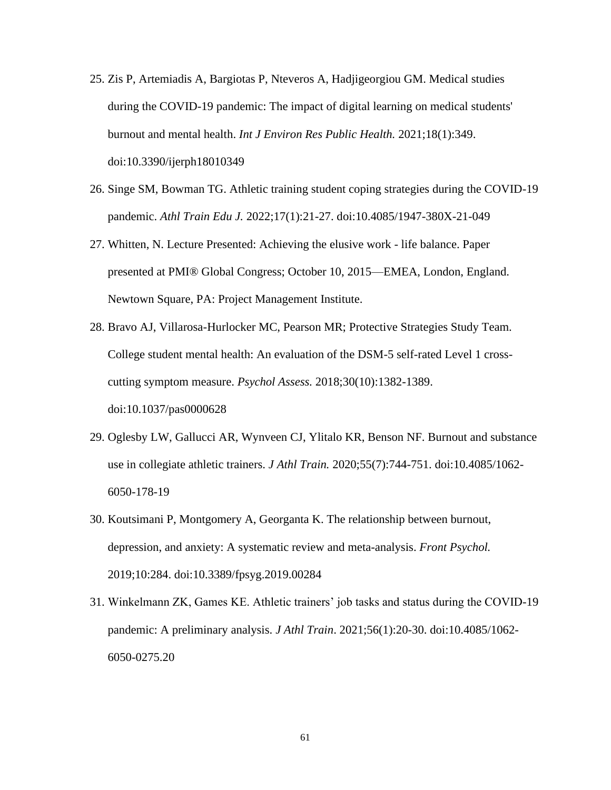- 25. Zis P, Artemiadis A, Bargiotas P, Nteveros A, Hadjigeorgiou GM. Medical studies during the COVID-19 pandemic: The impact of digital learning on medical students' burnout and mental health. *Int J Environ Res Public Health.* 2021;18(1):349. doi:10.3390/ijerph18010349
- 26. Singe SM, Bowman TG. Athletic training student coping strategies during the COVID-19 pandemic. *Athl Train Edu J.* 2022;17(1):21-27. doi:10.4085/1947-380X-21-049
- 27. Whitten, N. Lecture Presented: Achieving the elusive work life balance. Paper presented at PMI® Global Congress; October 10, 2015—EMEA, London, England. Newtown Square, PA: Project Management Institute.
- 28. Bravo AJ, Villarosa-Hurlocker MC, Pearson MR; Protective Strategies Study Team. College student mental health: An evaluation of the DSM-5 self-rated Level 1 crosscutting symptom measure. *Psychol Assess.* 2018;30(10):1382-1389. doi:10.1037/pas0000628
- 29. Oglesby LW, Gallucci AR, Wynveen CJ, Ylitalo KR, Benson NF. Burnout and substance use in collegiate athletic trainers. *J Athl Train.* 2020;55(7):744-751. doi:10.4085/1062- 6050-178-19
- 30. Koutsimani P, Montgomery A, Georganta K. The relationship between burnout, depression, and anxiety: A systematic review and meta-analysis. *Front Psychol.* 2019;10:284. doi:10.3389/fpsyg.2019.00284
- 31. Winkelmann ZK, Games KE. Athletic trainers' job tasks and status during the COVID-19 pandemic: A preliminary analysis. *J Athl Train*. 2021;56(1):20-30. doi:10.4085/1062- 6050-0275.20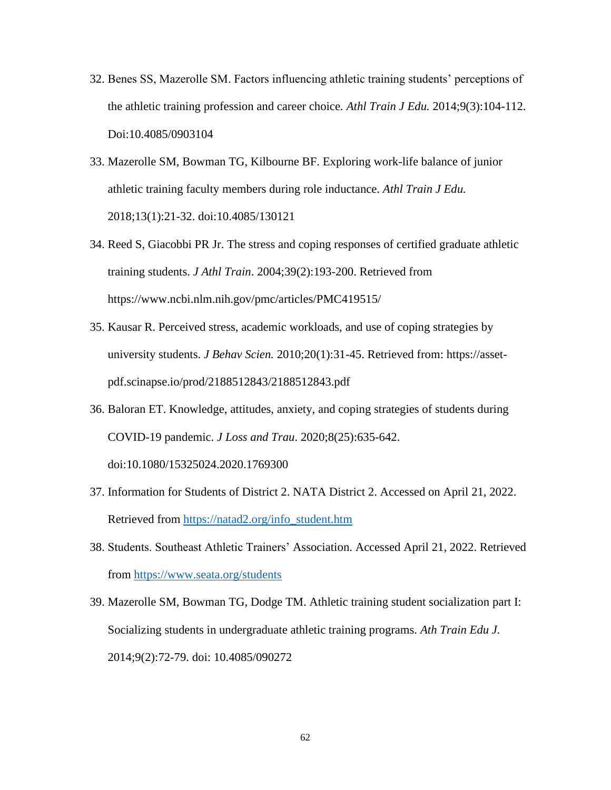- 32. Benes SS, Mazerolle SM. Factors influencing athletic training students' perceptions of the athletic training profession and career choice. *Athl Train J Edu.* 2014;9(3):104-112. Doi:10.4085/0903104
- 33. Mazerolle SM, Bowman TG, Kilbourne BF. Exploring work-life balance of junior athletic training faculty members during role inductance. *Athl Train J Edu.* 2018;13(1):21-32. doi:10.4085/130121
- 34. Reed S, Giacobbi PR Jr. The stress and coping responses of certified graduate athletic training students. *J Athl Train*. 2004;39(2):193-200. Retrieved from <https://www.ncbi.nlm.nih.gov/pmc/articles/PMC419515/>
- 35. Kausar R. Perceived stress, academic workloads, and use of coping strategies by university students. *J Behav Scien.* 2010;20(1):31-45. Retrieved from: [https://asset](https://asset-pdf.scinapse.io/prod/2188512843/2188512843.pdf)[pdf.scinapse.io/prod/2188512843/2188512843.pdf](https://asset-pdf.scinapse.io/prod/2188512843/2188512843.pdf)
- 36. Baloran ET. Knowledge, attitudes, anxiety, and coping strategies of students during COVID-19 pandemic. *J Loss and Trau*. 2020;8(25):635-642. doi:10.1080/15325024.2020.1769300
- 37. Information for Students of District 2. NATA District 2. Accessed on April 21, 2022. Retrieved from [https://natad2.org/info\\_student.htm](https://natad2.org/info_student.htm)
- 38. Students. Southeast Athletic Trainers' Association. Accessed April 21, 2022. Retrieved from<https://www.seata.org/students>
- 39. Mazerolle SM, Bowman TG, Dodge TM. Athletic training student socialization part I: Socializing students in undergraduate athletic training programs. *Ath Train Edu J.* 2014;9(2):72-79. doi: 10.4085/090272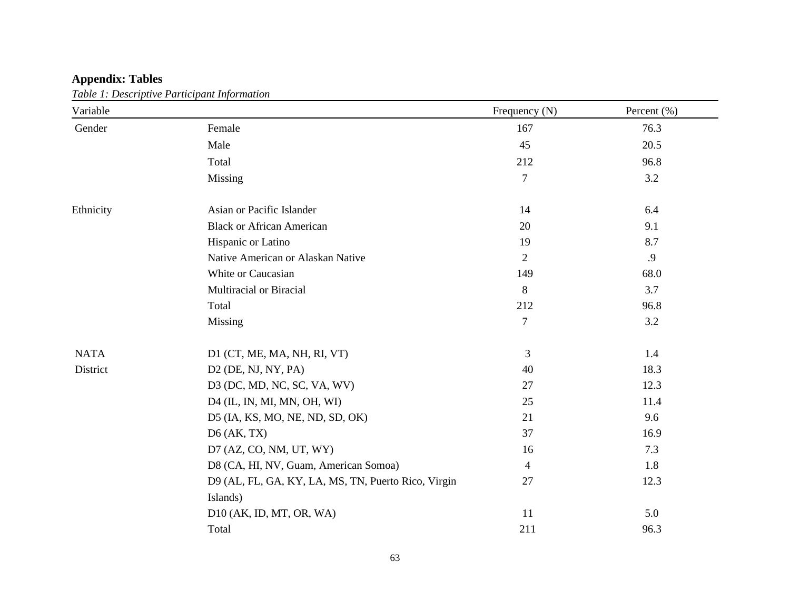# **Appendix: Tables**

*Table 1: Descriptive Participant Information* 

| Variable    |                                                     | Frequency (N)  | Percent (%) |
|-------------|-----------------------------------------------------|----------------|-------------|
| Gender      | Female                                              | 167            | 76.3        |
|             | Male                                                | 45             | 20.5        |
|             | Total                                               | 212            | 96.8        |
|             | Missing                                             | 7              | 3.2         |
| Ethnicity   | Asian or Pacific Islander                           | 14             | 6.4         |
|             | <b>Black or African American</b>                    | 20             | 9.1         |
|             | Hispanic or Latino                                  | 19             | 8.7         |
|             | Native American or Alaskan Native                   | 2              | .9          |
|             | White or Caucasian                                  | 149            | 68.0        |
|             | Multiracial or Biracial                             | 8              | 3.7         |
|             | Total                                               | 212            | 96.8        |
|             | Missing                                             | $\overline{7}$ | 3.2         |
| <b>NATA</b> | D1 (CT, ME, MA, NH, RI, VT)                         | 3              | 1.4         |
| District    | $D2$ (DE, NJ, NY, PA)                               | 40             | 18.3        |
|             | D3 (DC, MD, NC, SC, VA, WV)                         | 27             | 12.3        |
|             | D4 (IL, IN, MI, MN, OH, WI)                         | 25             | 11.4        |
|             | D5 (IA, KS, MO, NE, ND, SD, OK)                     | 21             | 9.6         |
|             | $D6$ (AK, TX)                                       | 37             | 16.9        |
|             | $D7$ (AZ, CO, NM, UT, WY)                           | 16             | 7.3         |
|             | D8 (CA, HI, NV, Guam, American Somoa)               | $\overline{4}$ | 1.8         |
|             | D9 (AL, FL, GA, KY, LA, MS, TN, Puerto Rico, Virgin | 27             | 12.3        |
|             | Islands)                                            |                |             |
|             | $D10$ (AK, ID, MT, OR, WA)                          | 11             | 5.0         |
|             | Total                                               | 211            | 96.3        |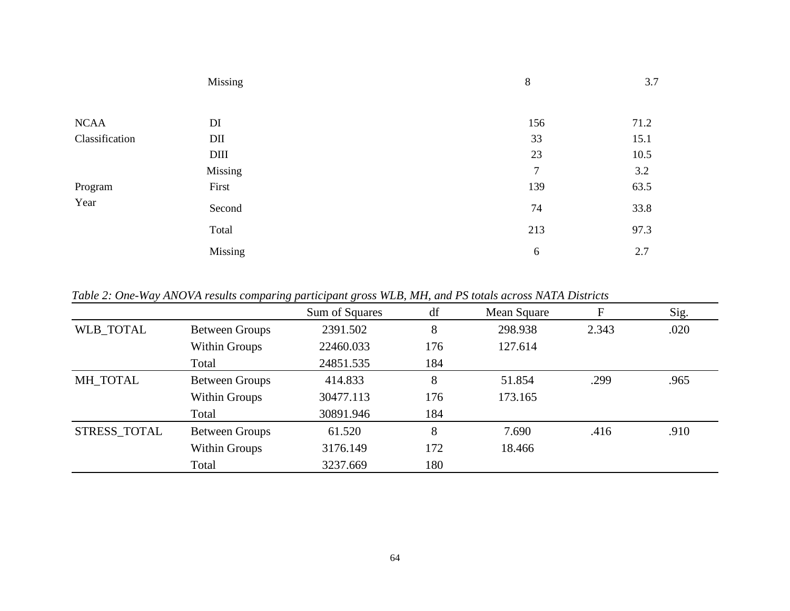|                | Missing     | 8              | 3.7  |
|----------------|-------------|----------------|------|
|                |             |                |      |
| <b>NCAA</b>    | DI          | 156            | 71.2 |
| Classification | DII         | 33             | 15.1 |
|                | <b>DIII</b> | 23             | 10.5 |
|                | Missing     | $\overline{7}$ | 3.2  |
| Program        | First       | 139            | 63.5 |
| Year           | Second      | 74             | 33.8 |
|                | Total       | 213            | 97.3 |
|                | Missing     | 6              | 2.7  |

*Table 2: One-Way ANOVA results comparing participant gross WLB, MH, and PS totals across NATA Districts*

|              |                       | Sum of Squares | df  | Mean Square | F     | Sig. |
|--------------|-----------------------|----------------|-----|-------------|-------|------|
| WLB_TOTAL    | <b>Between Groups</b> | 2391.502       | 8   | 298.938     | 2.343 | .020 |
|              | <b>Within Groups</b>  | 22460.033      | 176 | 127.614     |       |      |
|              | Total                 | 24851.535      | 184 |             |       |      |
| MH_TOTAL     | <b>Between Groups</b> | 414.833        | 8   | 51.854      | .299  | .965 |
|              | Within Groups         | 30477.113      | 176 | 173.165     |       |      |
|              | Total                 | 30891.946      | 184 |             |       |      |
| STRESS_TOTAL | <b>Between Groups</b> | 61.520         | 8   | 7.690       | .416  | .910 |
|              | Within Groups         | 3176.149       | 172 | 18.466      |       |      |
|              | Total                 | 3237.669       | 180 |             |       |      |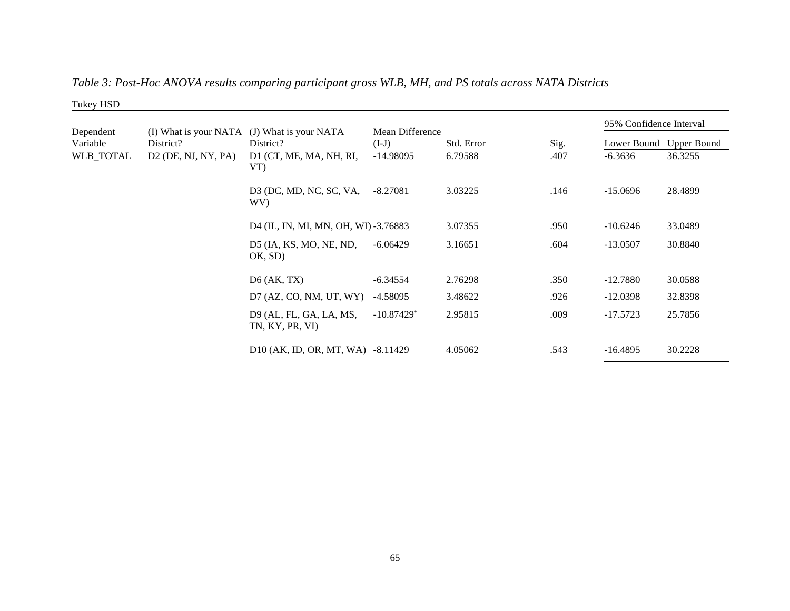| Tukey HSD             |                       |                                                          |                            |            |      |                         |                    |
|-----------------------|-----------------------|----------------------------------------------------------|----------------------------|------------|------|-------------------------|--------------------|
|                       |                       |                                                          |                            |            |      | 95% Confidence Interval |                    |
| Dependent<br>Variable | District?             | (I) What is your NATA (J) What is your NATA<br>District? | Mean Difference<br>$(I-J)$ | Std. Error | Sig. | Lower Bound             | <b>Upper Bound</b> |
| WLB_TOTAL             | $D2$ (DE, NJ, NY, PA) | D1 (CT, ME, MA, NH, RI,<br>VT)                           | $-14.98095$                | 6.79588    | .407 | $-6.3636$               | 36.3255            |
|                       |                       | D3 (DC, MD, NC, SC, VA,<br>WV)                           | $-8.27081$                 | 3.03225    | .146 | $-15.0696$              | 28.4899            |
|                       |                       | D4 (IL, IN, MI, MN, OH, WI) -3.76883                     |                            | 3.07355    | .950 | $-10.6246$              | 33.0489            |
|                       |                       | D5 (IA, KS, MO, NE, ND,<br>OK, SD)                       | $-6.06429$                 | 3.16651    | .604 | $-13.0507$              | 30.8840            |
|                       |                       | $D6$ (AK, TX)                                            | $-6.34554$                 | 2.76298    | .350 | $-12.7880$              | 30.0588            |
|                       |                       | D7 (AZ, CO, NM, UT, WY)                                  | $-4.58095$                 | 3.48622    | .926 | $-12.0398$              | 32.8398            |
|                       |                       | D9 (AL, FL, GA, LA, MS,<br>TN, KY, PR, VI)               | $-10.87429$ <sup>*</sup>   | 2.95815    | .009 | $-17.5723$              | 25.7856            |
|                       |                       | D10 (AK, ID, OR, MT, WA) -8.11429                        |                            | 4.05062    | .543 | $-16.4895$              | 30.2228            |

*Table 3: Post-Hoc ANOVA results comparing participant gross WLB, MH, and PS totals across NATA Districts*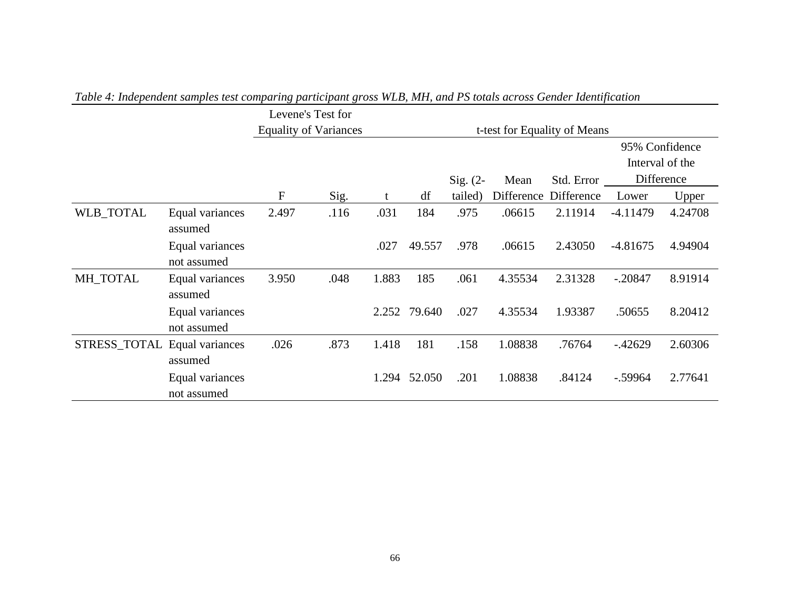|              |                                |                              | Levene's Test for            |       |              |            |            |            |                |                 |
|--------------|--------------------------------|------------------------------|------------------------------|-------|--------------|------------|------------|------------|----------------|-----------------|
|              |                                | <b>Equality of Variances</b> | t-test for Equality of Means |       |              |            |            |            |                |                 |
|              |                                |                              |                              |       |              |            |            |            | 95% Confidence |                 |
|              |                                |                              |                              |       |              |            |            |            |                | Interval of the |
|              |                                |                              |                              |       |              | $Sig. (2-$ | Mean       | Std. Error | Difference     |                 |
|              |                                | F                            | Sig.                         | t     | df           | tailed)    | Difference | Difference | Lower          | Upper           |
| WLB_TOTAL    | Equal variances<br>assumed     | 2.497                        | .116                         | .031  | 184          | .975       | .06615     | 2.11914    | $-4.11479$     | 4.24708         |
|              | Equal variances<br>not assumed |                              |                              | .027  | 49.557       | .978       | .06615     | 2.43050    | $-4.81675$     | 4.94904         |
| MH_TOTAL     | Equal variances<br>assumed     | 3.950                        | .048                         | 1.883 | 185          | .061       | 4.35534    | 2.31328    | $-.20847$      | 8.91914         |
|              | Equal variances<br>not assumed |                              |                              |       | 2.252 79.640 | .027       | 4.35534    | 1.93387    | .50655         | 8.20412         |
| STRESS_TOTAL | Equal variances<br>assumed     | .026                         | .873                         | 1.418 | 181          | .158       | 1.08838    | .76764     | $-42629$       | 2.60306         |
|              | Equal variances<br>not assumed |                              |                              | 1.294 | 52.050       | .201       | 1.08838    | .84124     | $-.59964$      | 2.77641         |

*Table 4: Independent samples test comparing participant gross WLB, MH, and PS totals across Gender Identification*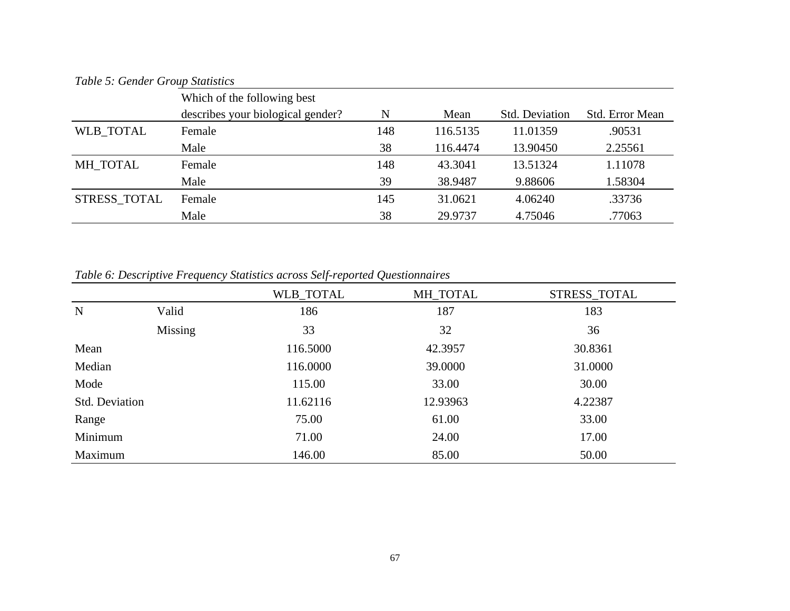| Table 5: Gender Group Statistics |  |
|----------------------------------|--|
|----------------------------------|--|

| Table 5. Octaver Orbap Blanshes |                                   |     |          |                |                 |
|---------------------------------|-----------------------------------|-----|----------|----------------|-----------------|
|                                 | Which of the following best       |     |          |                |                 |
|                                 | describes your biological gender? | N   | Mean     | Std. Deviation | Std. Error Mean |
| <b>WLB TOTAL</b>                | Female                            | 148 | 116.5135 | 11.01359       | .90531          |
|                                 | Male                              | 38  | 116.4474 | 13.90450       | 2.25561         |
| MH TOTAL                        | Female                            | 148 | 43.3041  | 13.51324       | 1.11078         |
|                                 | Male                              | 39  | 38.9487  | 9.88606        | 1.58304         |
| STRESS_TOTAL                    | Female                            | 145 | 31.0621  | 4.06240        | .33736          |
|                                 | Male                              | 38  | 29.9737  | 4.75046        | .77063          |

*Table 6: Descriptive Frequency Statistics across Self-reported Questionnaires* 

|                       |         | WLB_TOTAL | MH_TOTAL | STRESS_TOTAL |
|-----------------------|---------|-----------|----------|--------------|
| N                     | Valid   | 186       | 187      | 183          |
|                       | Missing | 33        | 32       | 36           |
| Mean                  |         | 116.5000  | 42.3957  | 30.8361      |
| Median                |         | 116.0000  | 39.0000  | 31.0000      |
| Mode                  |         | 115.00    | 33.00    | 30.00        |
| <b>Std. Deviation</b> |         | 11.62116  | 12.93963 | 4.22387      |
| Range                 |         | 75.00     | 61.00    | 33.00        |
| Minimum               |         | 71.00     | 24.00    | 17.00        |
| Maximum               |         | 146.00    | 85.00    | 50.00        |